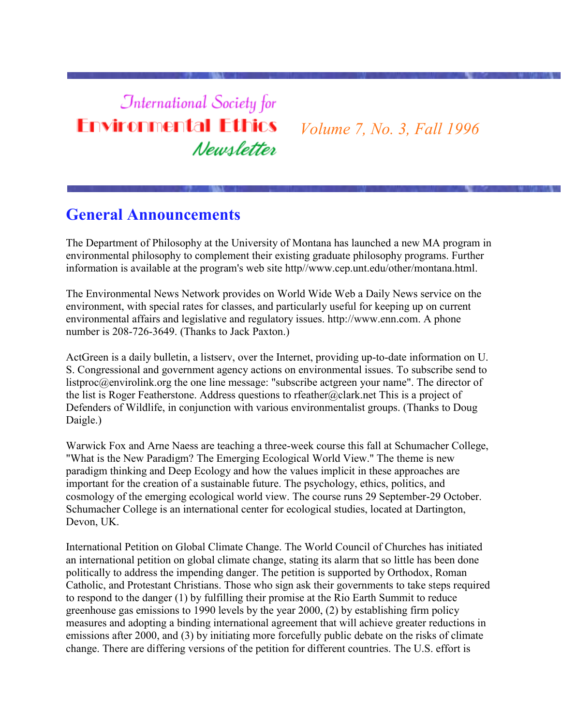# **International Society for Environmental Ethics** Newsletter

*Volume 7, No. 3, Fall 1996*

# **General Announcements**

The Department of Philosophy at the University of Montana has launched a new MA program in environmental philosophy to complement their existing graduate philosophy programs. Further information is available at the program's web site http//www.cep.unt.edu/other/montana.html.

The Environmental News Network provides on World Wide Web a Daily News service on the environment, with special rates for classes, and particularly useful for keeping up on current environmental affairs and legislative and regulatory issues. http://www.enn.com. A phone number is 208-726-3649. (Thanks to Jack Paxton.)

ActGreen is a daily bulletin, a listserv, over the Internet, providing up-to-date information on U. S. Congressional and government agency actions on environmental issues. To subscribe send to listproc@envirolink.org the one line message: "subscribe actgreen your name". The director of the list is Roger Featherstone. Address questions to rfeather@clark.net This is a project of Defenders of Wildlife, in conjunction with various environmentalist groups. (Thanks to Doug Daigle.)

Warwick Fox and Arne Naess are teaching a three-week course this fall at Schumacher College, "What is the New Paradigm? The Emerging Ecological World View." The theme is new paradigm thinking and Deep Ecology and how the values implicit in these approaches are important for the creation of a sustainable future. The psychology, ethics, politics, and cosmology of the emerging ecological world view. The course runs 29 September-29 October. Schumacher College is an international center for ecological studies, located at Dartington, Devon, UK.

International Petition on Global Climate Change. The World Council of Churches has initiated an international petition on global climate change, stating its alarm that so little has been done politically to address the impending danger. The petition is supported by Orthodox, Roman Catholic, and Protestant Christians. Those who sign ask their governments to take steps required to respond to the danger (1) by fulfilling their promise at the Rio Earth Summit to reduce greenhouse gas emissions to 1990 levels by the year 2000, (2) by establishing firm policy measures and adopting a binding international agreement that will achieve greater reductions in emissions after 2000, and (3) by initiating more forcefully public debate on the risks of climate change. There are differing versions of the petition for different countries. The U.S. effort is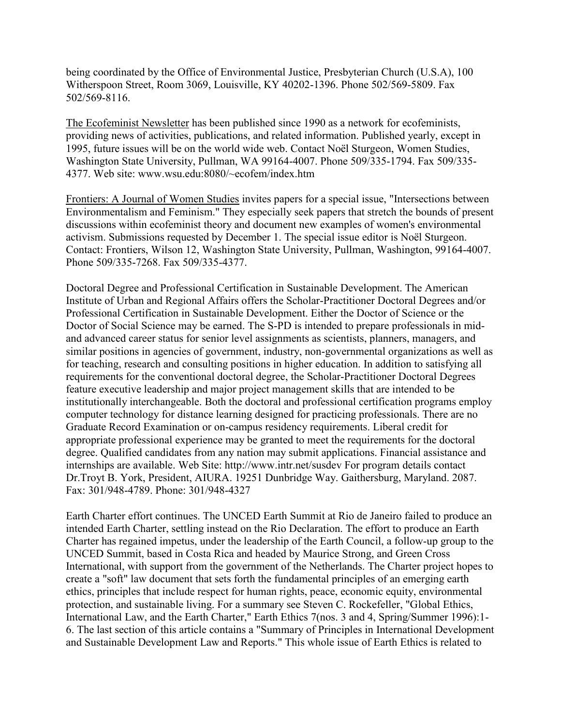being coordinated by the Office of Environmental Justice, Presbyterian Church (U.S.A), 100 Witherspoon Street, Room 3069, Louisville, KY 40202-1396. Phone 502/569-5809. Fax 502/569-8116.

The Ecofeminist Newsletter has been published since 1990 as a network for ecofeminists, providing news of activities, publications, and related information. Published yearly, except in 1995, future issues will be on the world wide web. Contact Noël Sturgeon, Women Studies, Washington State University, Pullman, WA 99164-4007. Phone 509/335-1794. Fax 509/335- 4377. Web site: www.wsu.edu:8080/~ecofem/index.htm

Frontiers: A Journal of Women Studies invites papers for a special issue, "Intersections between Environmentalism and Feminism." They especially seek papers that stretch the bounds of present discussions within ecofeminist theory and document new examples of women's environmental activism. Submissions requested by December 1. The special issue editor is Noël Sturgeon. Contact: Frontiers, Wilson 12, Washington State University, Pullman, Washington, 99164-4007. Phone 509/335-7268. Fax 509/335-4377.

Doctoral Degree and Professional Certification in Sustainable Development. The American Institute of Urban and Regional Affairs offers the Scholar-Practitioner Doctoral Degrees and/or Professional Certification in Sustainable Development. Either the Doctor of Science or the Doctor of Social Science may be earned. The S-PD is intended to prepare professionals in midand advanced career status for senior level assignments as scientists, planners, managers, and similar positions in agencies of government, industry, non-governmental organizations as well as for teaching, research and consulting positions in higher education. In addition to satisfying all requirements for the conventional doctoral degree, the Scholar-Practitioner Doctoral Degrees feature executive leadership and major project management skills that are intended to be institutionally interchangeable. Both the doctoral and professional certification programs employ computer technology for distance learning designed for practicing professionals. There are no Graduate Record Examination or on-campus residency requirements. Liberal credit for appropriate professional experience may be granted to meet the requirements for the doctoral degree. Qualified candidates from any nation may submit applications. Financial assistance and internships are available. Web Site: http://www.intr.net/susdev For program details contact Dr.Troyt B. York, President, AIURA. 19251 Dunbridge Way. Gaithersburg, Maryland. 2087. Fax: 301/948-4789. Phone: 301/948-4327

Earth Charter effort continues. The UNCED Earth Summit at Rio de Janeiro failed to produce an intended Earth Charter, settling instead on the Rio Declaration. The effort to produce an Earth Charter has regained impetus, under the leadership of the Earth Council, a follow-up group to the UNCED Summit, based in Costa Rica and headed by Maurice Strong, and Green Cross International, with support from the government of the Netherlands. The Charter project hopes to create a "soft" law document that sets forth the fundamental principles of an emerging earth ethics, principles that include respect for human rights, peace, economic equity, environmental protection, and sustainable living. For a summary see Steven C. Rockefeller, "Global Ethics, International Law, and the Earth Charter," Earth Ethics 7(nos. 3 and 4, Spring/Summer 1996):1- 6. The last section of this article contains a "Summary of Principles in International Development and Sustainable Development Law and Reports." This whole issue of Earth Ethics is related to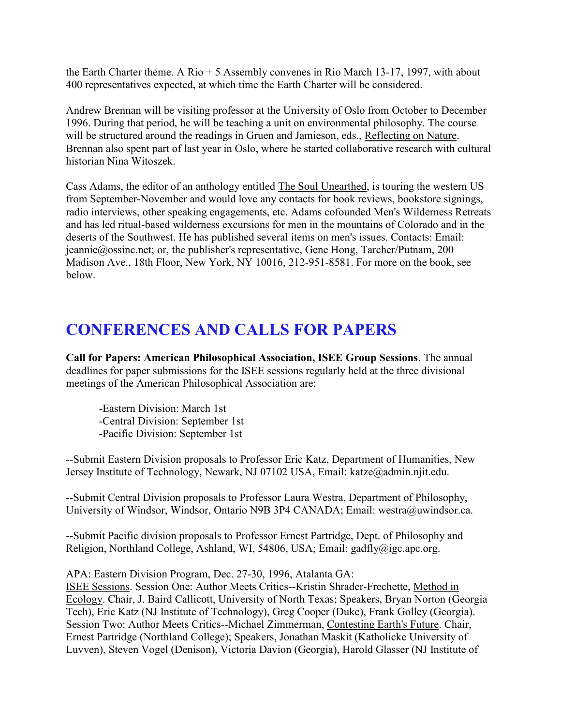the Earth Charter theme. A Rio + 5 Assembly convenes in Rio March 13-17, 1997, with about 400 representatives expected, at which time the Earth Charter will be considered.

Andrew Brennan will be visiting professor at the University of Oslo from October to December 1996. During that period, he will be teaching a unit on environmental philosophy. The course will be structured around the readings in Gruen and Jamieson, eds., Reflecting on Nature. Brennan also spent part of last year in Oslo, where he started collaborative research with cultural historian Nina Witoszek.

Cass Adams, the editor of an anthology entitled The Soul Unearthed, is touring the western US from September-November and would love any contacts for book reviews, bookstore signings, radio interviews, other speaking engagements, etc. Adams cofounded Men's Wilderness Retreats and has led ritual-based wilderness excursions for men in the mountains of Colorado and in the deserts of the Southwest. He has published several items on men's issues. Contacts: Email: jeannie@ossinc.net; or, the publisher's representative, Gene Hong, Tarcher/Putnam, 200 Madison Ave., 18th Floor, New York, NY 10016, 212-951-8581. For more on the book, see below.

# **CONFERENCES AND CALLS FOR PAPERS**

**Call for Papers: American Philosophical Association, ISEE Group Sessions**. The annual deadlines for paper submissions for the ISEE sessions regularly held at the three divisional meetings of the American Philosophical Association are:

-Eastern Division: March 1st -Central Division: September 1st -Pacific Division: September 1st

--Submit Eastern Division proposals to Professor Eric Katz, Department of Humanities, New Jersey Institute of Technology, Newark, NJ 07102 USA, Email: katze@admin.njit.edu.

--Submit Central Division proposals to Professor Laura Westra, Department of Philosophy, University of Windsor, Windsor, Ontario N9B 3P4 CANADA; Email: westra@uwindsor.ca.

--Submit Pacific division proposals to Professor Ernest Partridge, Dept. of Philosophy and Religion, Northland College, Ashland, WI, 54806, USA; Email: gadfly@igc.apc.org.

APA: Eastern Division Program, Dec. 27-30, 1996, Atalanta GA:

ISEE Sessions. Session One: Author Meets Critics--Kristin Shrader-Frechette, Method in Ecology. Chair, J. Baird Callicott, University of North Texas; Speakers, Bryan Norton (Georgia Tech), Eric Katz (NJ Institute of Technology), Greg Cooper (Duke), Frank Golley (Georgia). Session Two: Author Meets Critics--Michael Zimmerman, Contesting Earth's Future. Chair, Ernest Partridge (Northland College); Speakers, Jonathan Maskit (Katholicke University of Luvven), Steven Vogel (Denison), Victoria Davion (Georgia), Harold Glasser (NJ Institute of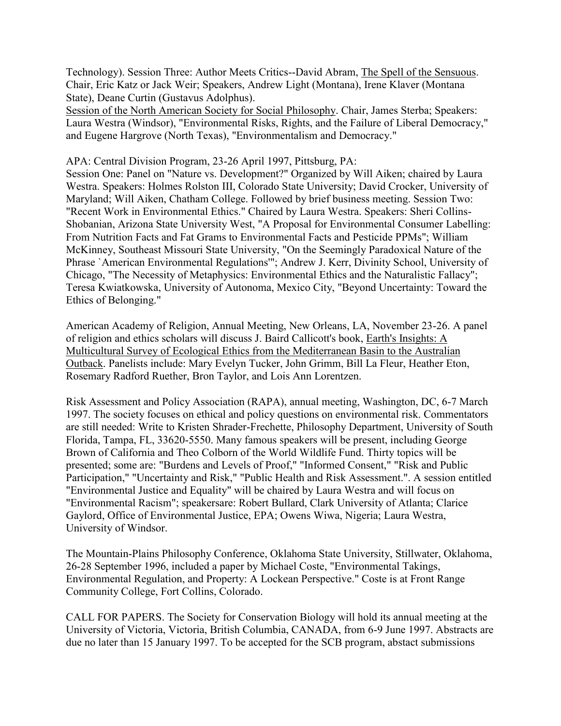Technology). Session Three: Author Meets Critics--David Abram, The Spell of the Sensuous. Chair, Eric Katz or Jack Weir; Speakers, Andrew Light (Montana), Irene Klaver (Montana State), Deane Curtin (Gustavus Adolphus).

Session of the North American Society for Social Philosophy. Chair, James Sterba; Speakers: Laura Westra (Windsor), "Environmental Risks, Rights, and the Failure of Liberal Democracy," and Eugene Hargrove (North Texas), "Environmentalism and Democracy."

#### APA: Central Division Program, 23-26 April 1997, Pittsburg, PA:

Session One: Panel on "Nature vs. Development?" Organized by Will Aiken; chaired by Laura Westra. Speakers: Holmes Rolston III, Colorado State University; David Crocker, University of Maryland; Will Aiken, Chatham College. Followed by brief business meeting. Session Two: "Recent Work in Environmental Ethics." Chaired by Laura Westra. Speakers: Sheri Collins-Shobanian, Arizona State University West, "A Proposal for Environmental Consumer Labelling: From Nutrition Facts and Fat Grams to Environmental Facts and Pesticide PPMs"; William McKinney, Southeast Missouri State University, "On the Seemingly Paradoxical Nature of the Phrase `American Environmental Regulations'"; Andrew J. Kerr, Divinity School, University of Chicago, "The Necessity of Metaphysics: Environmental Ethics and the Naturalistic Fallacy"; Teresa Kwiatkowska, University of Autonoma, Mexico City, "Beyond Uncertainty: Toward the Ethics of Belonging."

American Academy of Religion, Annual Meeting, New Orleans, LA, November 23-26. A panel of religion and ethics scholars will discuss J. Baird Callicott's book, Earth's Insights: A Multicultural Survey of Ecological Ethics from the Mediterranean Basin to the Australian Outback. Panelists include: Mary Evelyn Tucker, John Grimm, Bill La Fleur, Heather Eton, Rosemary Radford Ruether, Bron Taylor, and Lois Ann Lorentzen.

Risk Assessment and Policy Association (RAPA), annual meeting, Washington, DC, 6-7 March 1997. The society focuses on ethical and policy questions on environmental risk. Commentators are still needed: Write to Kristen Shrader-Frechette, Philosophy Department, University of South Florida, Tampa, FL, 33620-5550. Many famous speakers will be present, including George Brown of California and Theo Colborn of the World Wildlife Fund. Thirty topics will be presented; some are: "Burdens and Levels of Proof," "Informed Consent," "Risk and Public Participation," "Uncertainty and Risk," "Public Health and Risk Assessment.". A session entitled "Environmental Justice and Equality" will be chaired by Laura Westra and will focus on "Environmental Racism"; speakersare: Robert Bullard, Clark University of Atlanta; Clarice Gaylord, Office of Environmental Justice, EPA; Owens Wiwa, Nigeria; Laura Westra, University of Windsor.

The Mountain-Plains Philosophy Conference, Oklahoma State University, Stillwater, Oklahoma, 26-28 September 1996, included a paper by Michael Coste, "Environmental Takings, Environmental Regulation, and Property: A Lockean Perspective." Coste is at Front Range Community College, Fort Collins, Colorado.

CALL FOR PAPERS. The Society for Conservation Biology will hold its annual meeting at the University of Victoria, Victoria, British Columbia, CANADA, from 6-9 June 1997. Abstracts are due no later than 15 January 1997. To be accepted for the SCB program, abstact submissions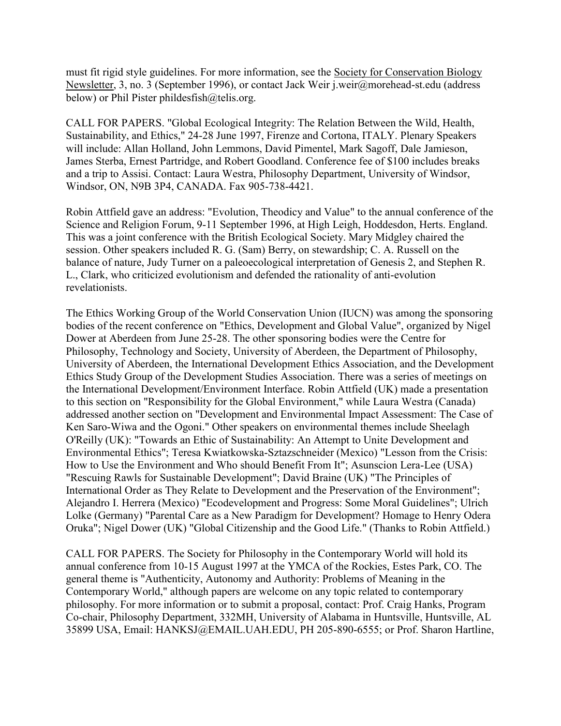must fit rigid style guidelines. For more information, see the Society for Conservation Biology Newsletter, 3, no. 3 (September 1996), or contact Jack Weir j.weir@morehead-st.edu (address below) or Phil Pister phildesfish@telis.org.

CALL FOR PAPERS. "Global Ecological Integrity: The Relation Between the Wild, Health, Sustainability, and Ethics," 24-28 June 1997, Firenze and Cortona, ITALY. Plenary Speakers will include: Allan Holland, John Lemmons, David Pimentel, Mark Sagoff, Dale Jamieson, James Sterba, Ernest Partridge, and Robert Goodland. Conference fee of \$100 includes breaks and a trip to Assisi. Contact: Laura Westra, Philosophy Department, University of Windsor, Windsor, ON, N9B 3P4, CANADA. Fax 905-738-4421.

Robin Attfield gave an address: "Evolution, Theodicy and Value" to the annual conference of the Science and Religion Forum, 9-11 September 1996, at High Leigh, Hoddesdon, Herts. England. This was a joint conference with the British Ecological Society. Mary Midgley chaired the session. Other speakers included R. G. (Sam) Berry, on stewardship; C. A. Russell on the balance of nature, Judy Turner on a paleoecological interpretation of Genesis 2, and Stephen R. L., Clark, who criticized evolutionism and defended the rationality of anti-evolution revelationists.

The Ethics Working Group of the World Conservation Union (IUCN) was among the sponsoring bodies of the recent conference on "Ethics, Development and Global Value", organized by Nigel Dower at Aberdeen from June 25-28. The other sponsoring bodies were the Centre for Philosophy, Technology and Society, University of Aberdeen, the Department of Philosophy, University of Aberdeen, the International Development Ethics Association, and the Development Ethics Study Group of the Development Studies Association. There was a series of meetings on the International Development/Environment Interface. Robin Attfield (UK) made a presentation to this section on "Responsibility for the Global Environment," while Laura Westra (Canada) addressed another section on "Development and Environmental Impact Assessment: The Case of Ken Saro-Wiwa and the Ogoni." Other speakers on environmental themes include Sheelagh O'Reilly (UK): "Towards an Ethic of Sustainability: An Attempt to Unite Development and Environmental Ethics"; Teresa Kwiatkowska-Sztazschneider (Mexico) "Lesson from the Crisis: How to Use the Environment and Who should Benefit From It"; Asunscion Lera-Lee (USA) "Rescuing Rawls for Sustainable Development"; David Braine (UK) "The Principles of International Order as They Relate to Development and the Preservation of the Environment"; Alejandro I. Herrera (Mexico) "Ecodevelopment and Progress: Some Moral Guidelines"; Ulrich Lolke (Germany) "Parental Care as a New Paradigm for Development? Homage to Henry Odera Oruka"; Nigel Dower (UK) "Global Citizenship and the Good Life." (Thanks to Robin Attfield.)

CALL FOR PAPERS. The Society for Philosophy in the Contemporary World will hold its annual conference from 10-15 August 1997 at the YMCA of the Rockies, Estes Park, CO. The general theme is "Authenticity, Autonomy and Authority: Problems of Meaning in the Contemporary World," although papers are welcome on any topic related to contemporary philosophy. For more information or to submit a proposal, contact: Prof. Craig Hanks, Program Co-chair, Philosophy Department, 332MH, University of Alabama in Huntsville, Huntsville, AL 35899 USA, Email: HANKSJ@EMAIL.UAH.EDU, PH 205-890-6555; or Prof. Sharon Hartline,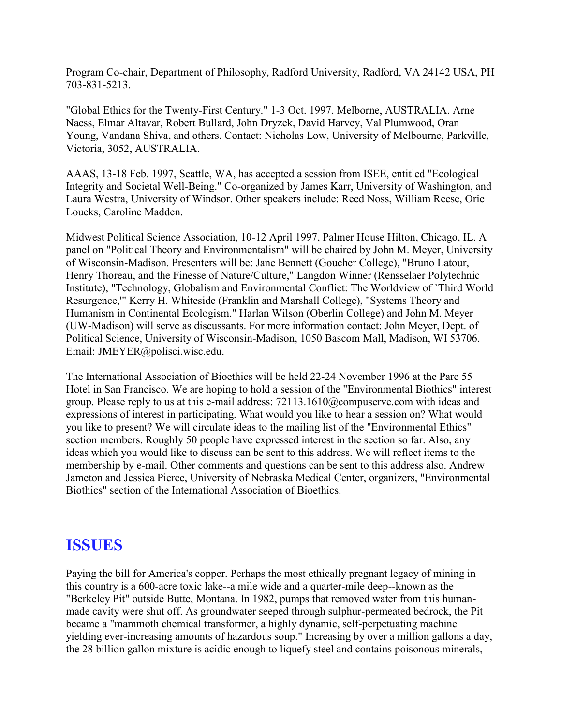Program Co-chair, Department of Philosophy, Radford University, Radford, VA 24142 USA, PH 703-831-5213.

"Global Ethics for the Twenty-First Century." 1-3 Oct. 1997. Melborne, AUSTRALIA. Arne Naess, Elmar Altavar, Robert Bullard, John Dryzek, David Harvey, Val Plumwood, Oran Young, Vandana Shiva, and others. Contact: Nicholas Low, University of Melbourne, Parkville, Victoria, 3052, AUSTRALIA.

AAAS, 13-18 Feb. 1997, Seattle, WA, has accepted a session from ISEE, entitled "Ecological Integrity and Societal Well-Being." Co-organized by James Karr, University of Washington, and Laura Westra, University of Windsor. Other speakers include: Reed Noss, William Reese, Orie Loucks, Caroline Madden.

Midwest Political Science Association, 10-12 April 1997, Palmer House Hilton, Chicago, IL. A panel on "Political Theory and Environmentalism" will be chaired by John M. Meyer, University of Wisconsin-Madison. Presenters will be: Jane Bennett (Goucher College), "Bruno Latour, Henry Thoreau, and the Finesse of Nature/Culture," Langdon Winner (Rensselaer Polytechnic Institute), "Technology, Globalism and Environmental Conflict: The Worldview of `Third World Resurgence,'" Kerry H. Whiteside (Franklin and Marshall College), "Systems Theory and Humanism in Continental Ecologism." Harlan Wilson (Oberlin College) and John M. Meyer (UW-Madison) will serve as discussants. For more information contact: John Meyer, Dept. of Political Science, University of Wisconsin-Madison, 1050 Bascom Mall, Madison, WI 53706. Email: JMEYER@polisci.wisc.edu.

The International Association of Bioethics will be held 22-24 November 1996 at the Parc 55 Hotel in San Francisco. We are hoping to hold a session of the "Environmental Biothics" interest group. Please reply to us at this e-mail address: 72113.1610@compuserve.com with ideas and expressions of interest in participating. What would you like to hear a session on? What would you like to present? We will circulate ideas to the mailing list of the "Environmental Ethics" section members. Roughly 50 people have expressed interest in the section so far. Also, any ideas which you would like to discuss can be sent to this address. We will reflect items to the membership by e-mail. Other comments and questions can be sent to this address also. Andrew Jameton and Jessica Pierce, University of Nebraska Medical Center, organizers, "Environmental Biothics" section of the International Association of Bioethics.

# **ISSUES**

Paying the bill for America's copper. Perhaps the most ethically pregnant legacy of mining in this country is a 600-acre toxic lake--a mile wide and a quarter-mile deep--known as the "Berkeley Pit" outside Butte, Montana. In 1982, pumps that removed water from this humanmade cavity were shut off. As groundwater seeped through sulphur-permeated bedrock, the Pit became a "mammoth chemical transformer, a highly dynamic, self-perpetuating machine yielding ever-increasing amounts of hazardous soup." Increasing by over a million gallons a day, the 28 billion gallon mixture is acidic enough to liquefy steel and contains poisonous minerals,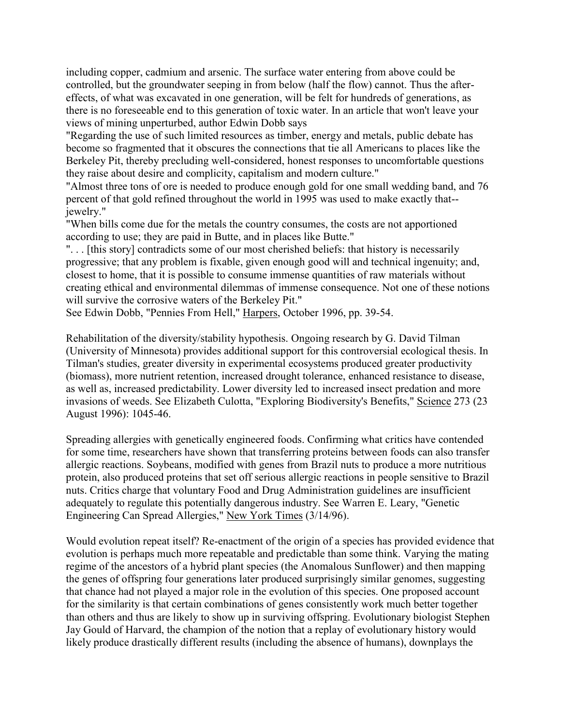including copper, cadmium and arsenic. The surface water entering from above could be controlled, but the groundwater seeping in from below (half the flow) cannot. Thus the aftereffects, of what was excavated in one generation, will be felt for hundreds of generations, as there is no foreseeable end to this generation of toxic water. In an article that won't leave your views of mining unperturbed, author Edwin Dobb says

"Regarding the use of such limited resources as timber, energy and metals, public debate has become so fragmented that it obscures the connections that tie all Americans to places like the Berkeley Pit, thereby precluding well-considered, honest responses to uncomfortable questions they raise about desire and complicity, capitalism and modern culture."

"Almost three tons of ore is needed to produce enough gold for one small wedding band, and 76 percent of that gold refined throughout the world in 1995 was used to make exactly that- jewelry."

"When bills come due for the metals the country consumes, the costs are not apportioned according to use; they are paid in Butte, and in places like Butte."

". . . [this story] contradicts some of our most cherished beliefs: that history is necessarily progressive; that any problem is fixable, given enough good will and technical ingenuity; and, closest to home, that it is possible to consume immense quantities of raw materials without creating ethical and environmental dilemmas of immense consequence. Not one of these notions will survive the corrosive waters of the Berkeley Pit."

See Edwin Dobb, "Pennies From Hell," Harpers, October 1996, pp. 39-54.

Rehabilitation of the diversity/stability hypothesis. Ongoing research by G. David Tilman (University of Minnesota) provides additional support for this controversial ecological thesis. In Tilman's studies, greater diversity in experimental ecosystems produced greater productivity (biomass), more nutrient retention, increased drought tolerance, enhanced resistance to disease, as well as, increased predictability. Lower diversity led to increased insect predation and more invasions of weeds. See Elizabeth Culotta, "Exploring Biodiversity's Benefits," Science 273 (23 August 1996): 1045-46.

Spreading allergies with genetically engineered foods. Confirming what critics have contended for some time, researchers have shown that transferring proteins between foods can also transfer allergic reactions. Soybeans, modified with genes from Brazil nuts to produce a more nutritious protein, also produced proteins that set off serious allergic reactions in people sensitive to Brazil nuts. Critics charge that voluntary Food and Drug Administration guidelines are insufficient adequately to regulate this potentially dangerous industry. See Warren E. Leary, "Genetic Engineering Can Spread Allergies," New York Times (3/14/96).

Would evolution repeat itself? Re-enactment of the origin of a species has provided evidence that evolution is perhaps much more repeatable and predictable than some think. Varying the mating regime of the ancestors of a hybrid plant species (the Anomalous Sunflower) and then mapping the genes of offspring four generations later produced surprisingly similar genomes, suggesting that chance had not played a major role in the evolution of this species. One proposed account for the similarity is that certain combinations of genes consistently work much better together than others and thus are likely to show up in surviving offspring. Evolutionary biologist Stephen Jay Gould of Harvard, the champion of the notion that a replay of evolutionary history would likely produce drastically different results (including the absence of humans), downplays the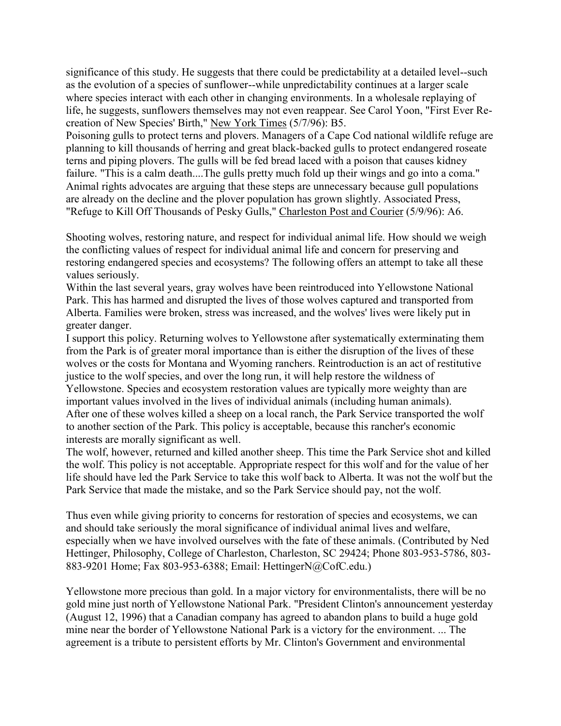significance of this study. He suggests that there could be predictability at a detailed level--such as the evolution of a species of sunflower--while unpredictability continues at a larger scale where species interact with each other in changing environments. In a wholesale replaying of life, he suggests, sunflowers themselves may not even reappear. See Carol Yoon, "First Ever Recreation of New Species' Birth," New York Times (5/7/96): B5.

Poisoning gulls to protect terns and plovers. Managers of a Cape Cod national wildlife refuge are planning to kill thousands of herring and great black-backed gulls to protect endangered roseate terns and piping plovers. The gulls will be fed bread laced with a poison that causes kidney failure. "This is a calm death....The gulls pretty much fold up their wings and go into a coma." Animal rights advocates are arguing that these steps are unnecessary because gull populations are already on the decline and the plover population has grown slightly. Associated Press, "Refuge to Kill Off Thousands of Pesky Gulls," Charleston Post and Courier (5/9/96): A6.

Shooting wolves, restoring nature, and respect for individual animal life. How should we weigh the conflicting values of respect for individual animal life and concern for preserving and restoring endangered species and ecosystems? The following offers an attempt to take all these values seriously.

Within the last several years, gray wolves have been reintroduced into Yellowstone National Park. This has harmed and disrupted the lives of those wolves captured and transported from Alberta. Families were broken, stress was increased, and the wolves' lives were likely put in greater danger.

I support this policy. Returning wolves to Yellowstone after systematically exterminating them from the Park is of greater moral importance than is either the disruption of the lives of these wolves or the costs for Montana and Wyoming ranchers. Reintroduction is an act of restitutive justice to the wolf species, and over the long run, it will help restore the wildness of Yellowstone. Species and ecosystem restoration values are typically more weighty than are important values involved in the lives of individual animals (including human animals). After one of these wolves killed a sheep on a local ranch, the Park Service transported the wolf to another section of the Park. This policy is acceptable, because this rancher's economic interests are morally significant as well.

The wolf, however, returned and killed another sheep. This time the Park Service shot and killed the wolf. This policy is not acceptable. Appropriate respect for this wolf and for the value of her life should have led the Park Service to take this wolf back to Alberta. It was not the wolf but the Park Service that made the mistake, and so the Park Service should pay, not the wolf.

Thus even while giving priority to concerns for restoration of species and ecosystems, we can and should take seriously the moral significance of individual animal lives and welfare, especially when we have involved ourselves with the fate of these animals. (Contributed by Ned Hettinger, Philosophy, College of Charleston, Charleston, SC 29424; Phone 803-953-5786, 803- 883-9201 Home; Fax 803-953-6388; Email: HettingerN@CofC.edu.)

Yellowstone more precious than gold. In a major victory for environmentalists, there will be no gold mine just north of Yellowstone National Park. "President Clinton's announcement yesterday (August 12, 1996) that a Canadian company has agreed to abandon plans to build a huge gold mine near the border of Yellowstone National Park is a victory for the environment. ... The agreement is a tribute to persistent efforts by Mr. Clinton's Government and environmental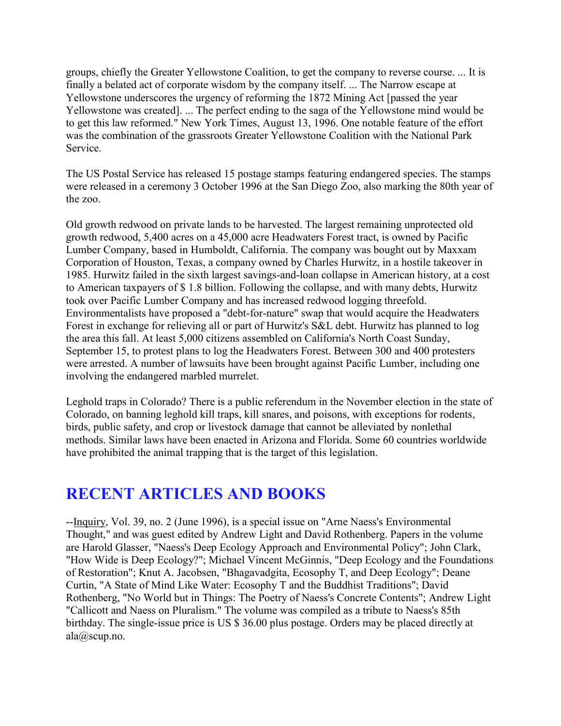groups, chiefly the Greater Yellowstone Coalition, to get the company to reverse course. ... It is finally a belated act of corporate wisdom by the company itself. ... The Narrow escape at Yellowstone underscores the urgency of reforming the 1872 Mining Act [passed the year Yellowstone was created]. ... The perfect ending to the saga of the Yellowstone mind would be to get this law reformed." New York Times, August 13, 1996. One notable feature of the effort was the combination of the grassroots Greater Yellowstone Coalition with the National Park Service.

The US Postal Service has released 15 postage stamps featuring endangered species. The stamps were released in a ceremony 3 October 1996 at the San Diego Zoo, also marking the 80th year of the zoo.

Old growth redwood on private lands to be harvested. The largest remaining unprotected old growth redwood, 5,400 acres on a 45,000 acre Headwaters Forest tract, is owned by Pacific Lumber Company, based in Humboldt, California. The company was bought out by Maxxam Corporation of Houston, Texas, a company owned by Charles Hurwitz, in a hostile takeover in 1985. Hurwitz failed in the sixth largest savings-and-loan collapse in American history, at a cost to American taxpayers of \$ 1.8 billion. Following the collapse, and with many debts, Hurwitz took over Pacific Lumber Company and has increased redwood logging threefold. Environmentalists have proposed a "debt-for-nature" swap that would acquire the Headwaters Forest in exchange for relieving all or part of Hurwitz's S&L debt. Hurwitz has planned to log the area this fall. At least 5,000 citizens assembled on California's North Coast Sunday, September 15, to protest plans to log the Headwaters Forest. Between 300 and 400 protesters were arrested. A number of lawsuits have been brought against Pacific Lumber, including one involving the endangered marbled murrelet.

Leghold traps in Colorado? There is a public referendum in the November election in the state of Colorado, on banning leghold kill traps, kill snares, and poisons, with exceptions for rodents, birds, public safety, and crop or livestock damage that cannot be alleviated by nonlethal methods. Similar laws have been enacted in Arizona and Florida. Some 60 countries worldwide have prohibited the animal trapping that is the target of this legislation.

# **RECENT ARTICLES AND BOOKS**

--Inquiry, Vol. 39, no. 2 (June 1996), is a special issue on "Arne Naess's Environmental Thought," and was guest edited by Andrew Light and David Rothenberg. Papers in the volume are Harold Glasser, "Naess's Deep Ecology Approach and Environmental Policy"; John Clark, "How Wide is Deep Ecology?"; Michael Vincent McGinnis, "Deep Ecology and the Foundations of Restoration"; Knut A. Jacobsen, "Bhagavadgita, Ecosophy T, and Deep Ecology"; Deane Curtin, "A State of Mind Like Water: Ecosophy T and the Buddhist Traditions"; David Rothenberg, "No World but in Things: The Poetry of Naess's Concrete Contents"; Andrew Light "Callicott and Naess on Pluralism." The volume was compiled as a tribute to Naess's 85th birthday. The single-issue price is US \$ 36.00 plus postage. Orders may be placed directly at ala@scup.no.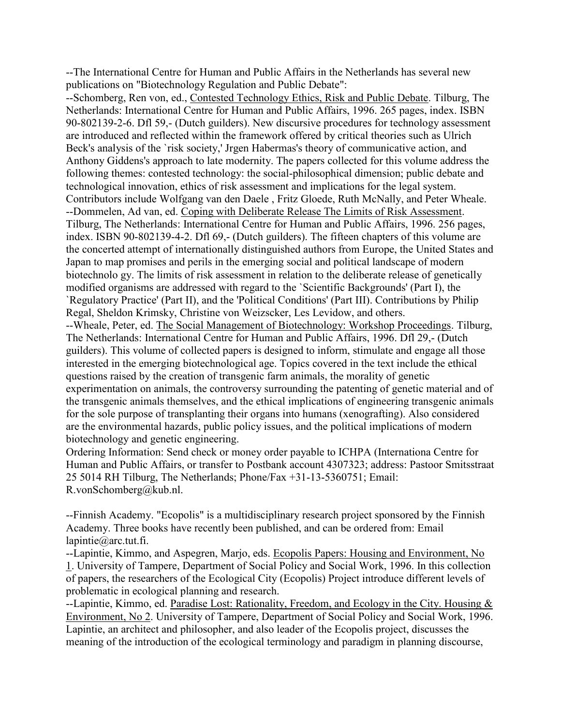--The International Centre for Human and Public Affairs in the Netherlands has several new publications on "Biotechnology Regulation and Public Debate":

--Schomberg, Ren von, ed., Contested Technology Ethics, Risk and Public Debate. Tilburg, The Netherlands: International Centre for Human and Public Affairs, 1996. 265 pages, index. ISBN 90-802139-2-6. Dfl 59,- (Dutch guilders). New discursive procedures for technology assessment are introduced and reflected within the framework offered by critical theories such as Ulrich Beck's analysis of the `risk society,' Jrgen Habermas's theory of communicative action, and Anthony Giddens's approach to late modernity. The papers collected for this volume address the following themes: contested technology: the social-philosophical dimension; public debate and technological innovation, ethics of risk assessment and implications for the legal system. Contributors include Wolfgang van den Daele , Fritz Gloede, Ruth McNally, and Peter Wheale. --Dommelen, Ad van, ed. Coping with Deliberate Release The Limits of Risk Assessment. Tilburg, The Netherlands: International Centre for Human and Public Affairs, 1996. 256 pages, index. ISBN 90-802139-4-2. Dfl 69,- (Dutch guilders). The fifteen chapters of this volume are the concerted attempt of internationally distinguished authors from Europe, the United States and Japan to map promises and perils in the emerging social and political landscape of modern biotechnolo gy. The limits of risk assessment in relation to the deliberate release of genetically modified organisms are addressed with regard to the `Scientific Backgrounds' (Part I), the `Regulatory Practice' (Part II), and the 'Political Conditions' (Part III). Contributions by Philip Regal, Sheldon Krimsky, Christine von Weizscker, Les Levidow, and others.

--Wheale, Peter, ed. The Social Management of Biotechnology: Workshop Proceedings. Tilburg, The Netherlands: International Centre for Human and Public Affairs, 1996. Dfl 29,- (Dutch guilders). This volume of collected papers is designed to inform, stimulate and engage all those interested in the emerging biotechnological age. Topics covered in the text include the ethical questions raised by the creation of transgenic farm animals, the morality of genetic experimentation on animals, the controversy surrounding the patenting of genetic material and of the transgenic animals themselves, and the ethical implications of engineering transgenic animals for the sole purpose of transplanting their organs into humans (xenografting). Also considered are the environmental hazards, public policy issues, and the political implications of modern biotechnology and genetic engineering.

Ordering Information: Send check or money order payable to ICHPA (Internationa Centre for Human and Public Affairs, or transfer to Postbank account 4307323; address: Pastoor Smitsstraat 25 5014 RH Tilburg, The Netherlands; Phone/Fax +31-13-5360751; Email: R.vonSchomberg@kub.nl.

--Finnish Academy. "Ecopolis" is a multidisciplinary research project sponsored by the Finnish Academy. Three books have recently been published, and can be ordered from: Email lapintie@arc.tut.fi.

--Lapintie, Kimmo, and Aspegren, Marjo, eds. Ecopolis Papers: Housing and Environment, No 1. University of Tampere, Department of Social Policy and Social Work, 1996. In this collection of papers, the researchers of the Ecological City (Ecopolis) Project introduce different levels of problematic in ecological planning and research.

--Lapintie, Kimmo, ed. Paradise Lost: Rationality, Freedom, and Ecology in the City. Housing & Environment, No 2. University of Tampere, Department of Social Policy and Social Work, 1996. Lapintie, an architect and philosopher, and also leader of the Ecopolis project, discusses the meaning of the introduction of the ecological terminology and paradigm in planning discourse,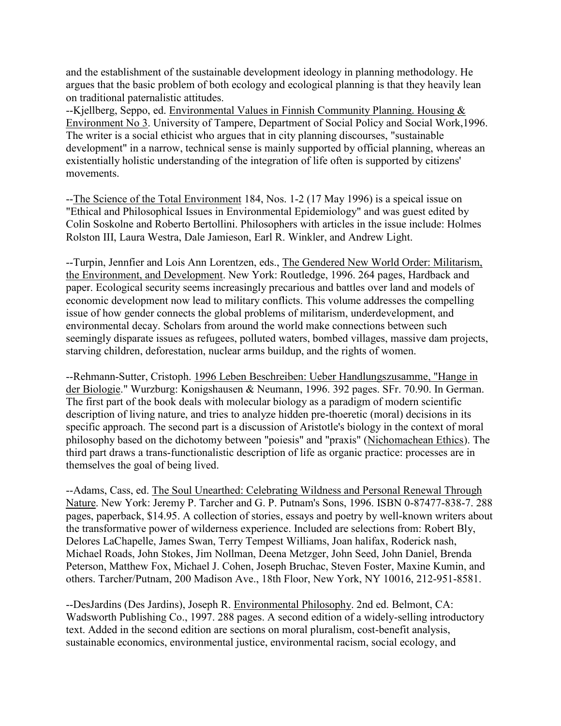and the establishment of the sustainable development ideology in planning methodology. He argues that the basic problem of both ecology and ecological planning is that they heavily lean on traditional paternalistic attitudes.

--Kjellberg, Seppo, ed. Environmental Values in Finnish Community Planning. Housing & Environment No 3. University of Tampere, Department of Social Policy and Social Work,1996. The writer is a social ethicist who argues that in city planning discourses, "sustainable development" in a narrow, technical sense is mainly supported by official planning, whereas an existentially holistic understanding of the integration of life often is supported by citizens' movements.

--The Science of the Total Environment 184, Nos. 1-2 (17 May 1996) is a speical issue on "Ethical and Philosophical Issues in Environmental Epidemiology" and was guest edited by Colin Soskolne and Roberto Bertollini. Philosophers with articles in the issue include: Holmes Rolston III, Laura Westra, Dale Jamieson, Earl R. Winkler, and Andrew Light.

--Turpin, Jennfier and Lois Ann Lorentzen, eds., The Gendered New World Order: Militarism, the Environment, and Development. New York: Routledge, 1996. 264 pages, Hardback and paper. Ecological security seems increasingly precarious and battles over land and models of economic development now lead to military conflicts. This volume addresses the compelling issue of how gender connects the global problems of militarism, underdevelopment, and environmental decay. Scholars from around the world make connections between such seemingly disparate issues as refugees, polluted waters, bombed villages, massive dam projects, starving children, deforestation, nuclear arms buildup, and the rights of women.

--Rehmann-Sutter, Cristoph. 1996 Leben Beschreiben: Ueber Handlungszusamme, "Hange in der Biologie." Wurzburg: Konigshausen & Neumann, 1996. 392 pages. SFr. 70.90. In German. The first part of the book deals with molecular biology as a paradigm of modern scientific description of living nature, and tries to analyze hidden pre-thoeretic (moral) decisions in its specific approach. The second part is a discussion of Aristotle's biology in the context of moral philosophy based on the dichotomy between "poiesis" and "praxis" (Nichomachean Ethics). The third part draws a trans-functionalistic description of life as organic practice: processes are in themselves the goal of being lived.

--Adams, Cass, ed. The Soul Unearthed: Celebrating Wildness and Personal Renewal Through Nature. New York: Jeremy P. Tarcher and G. P. Putnam's Sons, 1996. ISBN 0-87477-838-7. 288 pages, paperback, \$14.95. A collection of stories, essays and poetry by well-known writers about the transformative power of wilderness experience. Included are selections from: Robert Bly, Delores LaChapelle, James Swan, Terry Tempest Williams, Joan halifax, Roderick nash, Michael Roads, John Stokes, Jim Nollman, Deena Metzger, John Seed, John Daniel, Brenda Peterson, Matthew Fox, Michael J. Cohen, Joseph Bruchac, Steven Foster, Maxine Kumin, and others. Tarcher/Putnam, 200 Madison Ave., 18th Floor, New York, NY 10016, 212-951-8581.

--DesJardins (Des Jardins), Joseph R. Environmental Philosophy. 2nd ed. Belmont, CA: Wadsworth Publishing Co., 1997. 288 pages. A second edition of a widely-selling introductory text. Added in the second edition are sections on moral pluralism, cost-benefit analysis, sustainable economics, environmental justice, environmental racism, social ecology, and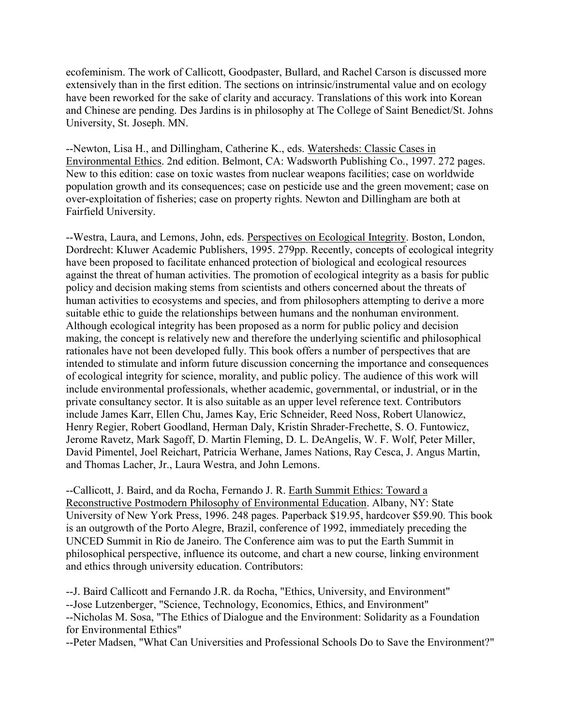ecofeminism. The work of Callicott, Goodpaster, Bullard, and Rachel Carson is discussed more extensively than in the first edition. The sections on intrinsic/instrumental value and on ecology have been reworked for the sake of clarity and accuracy. Translations of this work into Korean and Chinese are pending. Des Jardins is in philosophy at The College of Saint Benedict/St. Johns University, St. Joseph. MN.

--Newton, Lisa H., and Dillingham, Catherine K., eds. Watersheds: Classic Cases in Environmental Ethics. 2nd edition. Belmont, CA: Wadsworth Publishing Co., 1997. 272 pages. New to this edition: case on toxic wastes from nuclear weapons facilities; case on worldwide population growth and its consequences; case on pesticide use and the green movement; case on over-exploitation of fisheries; case on property rights. Newton and Dillingham are both at Fairfield University.

--Westra, Laura, and Lemons, John, eds. Perspectives on Ecological Integrity. Boston, London, Dordrecht: Kluwer Academic Publishers, 1995. 279pp. Recently, concepts of ecological integrity have been proposed to facilitate enhanced protection of biological and ecological resources against the threat of human activities. The promotion of ecological integrity as a basis for public policy and decision making stems from scientists and others concerned about the threats of human activities to ecosystems and species, and from philosophers attempting to derive a more suitable ethic to guide the relationships between humans and the nonhuman environment. Although ecological integrity has been proposed as a norm for public policy and decision making, the concept is relatively new and therefore the underlying scientific and philosophical rationales have not been developed fully. This book offers a number of perspectives that are intended to stimulate and inform future discussion concerning the importance and consequences of ecological integrity for science, morality, and public policy. The audience of this work will include environmental professionals, whether academic, governmental, or industrial, or in the private consultancy sector. It is also suitable as an upper level reference text. Contributors include James Karr, Ellen Chu, James Kay, Eric Schneider, Reed Noss, Robert Ulanowicz, Henry Regier, Robert Goodland, Herman Daly, Kristin Shrader-Frechette, S. O. Funtowicz, Jerome Ravetz, Mark Sagoff, D. Martin Fleming, D. L. DeAngelis, W. F. Wolf, Peter Miller, David Pimentel, Joel Reichart, Patricia Werhane, James Nations, Ray Cesca, J. Angus Martin, and Thomas Lacher, Jr., Laura Westra, and John Lemons.

--Callicott, J. Baird, and da Rocha, Fernando J. R. Earth Summit Ethics: Toward a Reconstructive Postmodern Philosophy of Environmental Education. Albany, NY: State University of New York Press, 1996. 248 pages. Paperback \$19.95, hardcover \$59.90. This book is an outgrowth of the Porto Alegre, Brazil, conference of 1992, immediately preceding the UNCED Summit in Rio de Janeiro. The Conference aim was to put the Earth Summit in philosophical perspective, influence its outcome, and chart a new course, linking environment and ethics through university education. Contributors:

--J. Baird Callicott and Fernando J.R. da Rocha, "Ethics, University, and Environment" --Jose Lutzenberger, "Science, Technology, Economics, Ethics, and Environment" --Nicholas M. Sosa, "The Ethics of Dialogue and the Environment: Solidarity as a Foundation for Environmental Ethics"

--Peter Madsen, "What Can Universities and Professional Schools Do to Save the Environment?"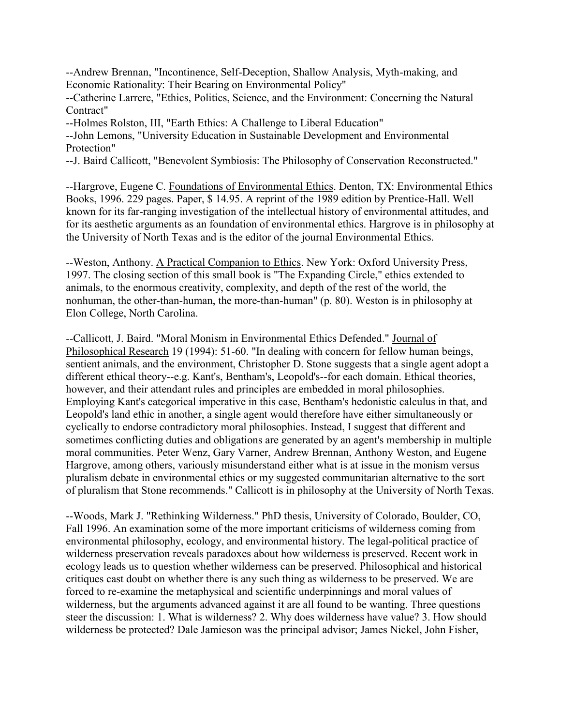--Andrew Brennan, "Incontinence, Self-Deception, Shallow Analysis, Myth-making, and Economic Rationality: Their Bearing on Environmental Policy"

--Catherine Larrere, "Ethics, Politics, Science, and the Environment: Concerning the Natural Contract"

--Holmes Rolston, III, "Earth Ethics: A Challenge to Liberal Education"

--John Lemons, "University Education in Sustainable Development and Environmental Protection"

--J. Baird Callicott, "Benevolent Symbiosis: The Philosophy of Conservation Reconstructed."

--Hargrove, Eugene C. Foundations of Environmental Ethics. Denton, TX: Environmental Ethics Books, 1996. 229 pages. Paper, \$ 14.95. A reprint of the 1989 edition by Prentice-Hall. Well known for its far-ranging investigation of the intellectual history of environmental attitudes, and for its aesthetic arguments as an foundation of environmental ethics. Hargrove is in philosophy at the University of North Texas and is the editor of the journal Environmental Ethics.

--Weston, Anthony. A Practical Companion to Ethics. New York: Oxford University Press, 1997. The closing section of this small book is "The Expanding Circle," ethics extended to animals, to the enormous creativity, complexity, and depth of the rest of the world, the nonhuman, the other-than-human, the more-than-human" (p. 80). Weston is in philosophy at Elon College, North Carolina.

--Callicott, J. Baird. "Moral Monism in Environmental Ethics Defended." Journal of Philosophical Research 19 (1994): 51-60. "In dealing with concern for fellow human beings, sentient animals, and the environment, Christopher D. Stone suggests that a single agent adopt a different ethical theory--e.g. Kant's, Bentham's, Leopold's--for each domain. Ethical theories, however, and their attendant rules and principles are embedded in moral philosophies. Employing Kant's categorical imperative in this case, Bentham's hedonistic calculus in that, and Leopold's land ethic in another, a single agent would therefore have either simultaneously or cyclically to endorse contradictory moral philosophies. Instead, I suggest that different and sometimes conflicting duties and obligations are generated by an agent's membership in multiple moral communities. Peter Wenz, Gary Varner, Andrew Brennan, Anthony Weston, and Eugene Hargrove, among others, variously misunderstand either what is at issue in the monism versus pluralism debate in environmental ethics or my suggested communitarian alternative to the sort of pluralism that Stone recommends." Callicott is in philosophy at the University of North Texas.

--Woods, Mark J. "Rethinking Wilderness." PhD thesis, University of Colorado, Boulder, CO, Fall 1996. An examination some of the more important criticisms of wilderness coming from environmental philosophy, ecology, and environmental history. The legal-political practice of wilderness preservation reveals paradoxes about how wilderness is preserved. Recent work in ecology leads us to question whether wilderness can be preserved. Philosophical and historical critiques cast doubt on whether there is any such thing as wilderness to be preserved. We are forced to re-examine the metaphysical and scientific underpinnings and moral values of wilderness, but the arguments advanced against it are all found to be wanting. Three questions steer the discussion: 1. What is wilderness? 2. Why does wilderness have value? 3. How should wilderness be protected? Dale Jamieson was the principal advisor; James Nickel, John Fisher,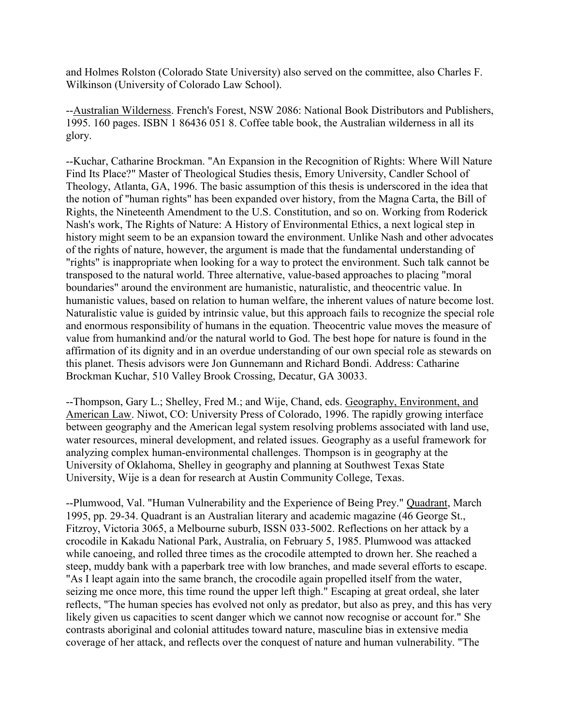and Holmes Rolston (Colorado State University) also served on the committee, also Charles F. Wilkinson (University of Colorado Law School).

--Australian Wilderness. French's Forest, NSW 2086: National Book Distributors and Publishers, 1995. 160 pages. ISBN 1 86436 051 8. Coffee table book, the Australian wilderness in all its glory.

--Kuchar, Catharine Brockman. "An Expansion in the Recognition of Rights: Where Will Nature Find Its Place?" Master of Theological Studies thesis, Emory University, Candler School of Theology, Atlanta, GA, 1996. The basic assumption of this thesis is underscored in the idea that the notion of "human rights" has been expanded over history, from the Magna Carta, the Bill of Rights, the Nineteenth Amendment to the U.S. Constitution, and so on. Working from Roderick Nash's work, The Rights of Nature: A History of Environmental Ethics, a next logical step in history might seem to be an expansion toward the environment. Unlike Nash and other advocates of the rights of nature, however, the argument is made that the fundamental understanding of "rights" is inappropriate when looking for a way to protect the environment. Such talk cannot be transposed to the natural world. Three alternative, value-based approaches to placing "moral boundaries" around the environment are humanistic, naturalistic, and theocentric value. In humanistic values, based on relation to human welfare, the inherent values of nature become lost. Naturalistic value is guided by intrinsic value, but this approach fails to recognize the special role and enormous responsibility of humans in the equation. Theocentric value moves the measure of value from humankind and/or the natural world to God. The best hope for nature is found in the affirmation of its dignity and in an overdue understanding of our own special role as stewards on this planet. Thesis advisors were Jon Gunnemann and Richard Bondi. Address: Catharine Brockman Kuchar, 510 Valley Brook Crossing, Decatur, GA 30033.

--Thompson, Gary L.; Shelley, Fred M.; and Wije, Chand, eds. Geography, Environment, and American Law. Niwot, CO: University Press of Colorado, 1996. The rapidly growing interface between geography and the American legal system resolving problems associated with land use, water resources, mineral development, and related issues. Geography as a useful framework for analyzing complex human-environmental challenges. Thompson is in geography at the University of Oklahoma, Shelley in geography and planning at Southwest Texas State University, Wije is a dean for research at Austin Community College, Texas.

--Plumwood, Val. "Human Vulnerability and the Experience of Being Prey." Quadrant, March 1995, pp. 29-34. Quadrant is an Australian literary and academic magazine (46 George St., Fitzroy, Victoria 3065, a Melbourne suburb, ISSN 033-5002. Reflections on her attack by a crocodile in Kakadu National Park, Australia, on February 5, 1985. Plumwood was attacked while canoeing, and rolled three times as the crocodile attempted to drown her. She reached a steep, muddy bank with a paperbark tree with low branches, and made several efforts to escape. "As I leapt again into the same branch, the crocodile again propelled itself from the water, seizing me once more, this time round the upper left thigh." Escaping at great ordeal, she later reflects, "The human species has evolved not only as predator, but also as prey, and this has very likely given us capacities to scent danger which we cannot now recognise or account for." She contrasts aboriginal and colonial attitudes toward nature, masculine bias in extensive media coverage of her attack, and reflects over the conquest of nature and human vulnerability. "The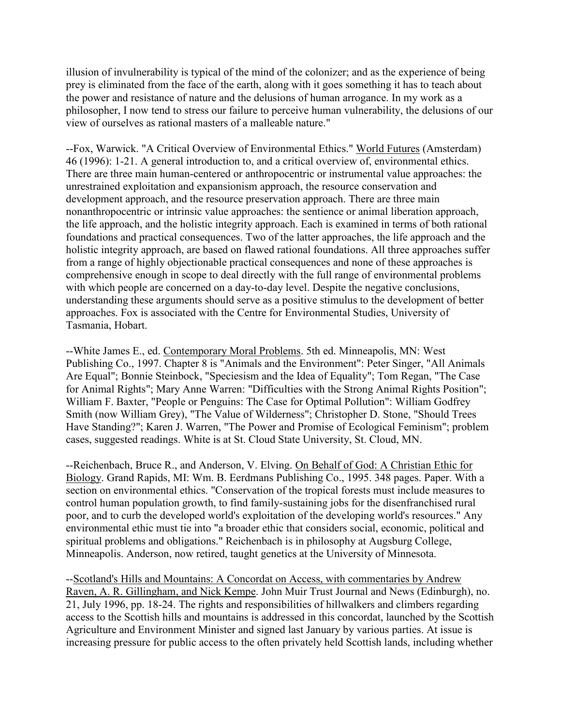illusion of invulnerability is typical of the mind of the colonizer; and as the experience of being prey is eliminated from the face of the earth, along with it goes something it has to teach about the power and resistance of nature and the delusions of human arrogance. In my work as a philosopher, I now tend to stress our failure to perceive human vulnerability, the delusions of our view of ourselves as rational masters of a malleable nature."

--Fox, Warwick. "A Critical Overview of Environmental Ethics." World Futures (Amsterdam) 46 (1996): 1-21. A general introduction to, and a critical overview of, environmental ethics. There are three main human-centered or anthropocentric or instrumental value approaches: the unrestrained exploitation and expansionism approach, the resource conservation and development approach, and the resource preservation approach. There are three main nonanthropocentric or intrinsic value approaches: the sentience or animal liberation approach, the life approach, and the holistic integrity approach. Each is examined in terms of both rational foundations and practical consequences. Two of the latter approaches, the life approach and the holistic integrity approach, are based on flawed rational foundations. All three approaches suffer from a range of highly objectionable practical consequences and none of these approaches is comprehensive enough in scope to deal directly with the full range of environmental problems with which people are concerned on a day-to-day level. Despite the negative conclusions, understanding these arguments should serve as a positive stimulus to the development of better approaches. Fox is associated with the Centre for Environmental Studies, University of Tasmania, Hobart.

--White James E., ed. Contemporary Moral Problems. 5th ed. Minneapolis, MN: West Publishing Co., 1997. Chapter 8 is "Animals and the Environment": Peter Singer, "All Animals Are Equal"; Bonnie Steinbock, "Speciesism and the Idea of Equality"; Tom Regan, "The Case for Animal Rights"; Mary Anne Warren: "Difficulties with the Strong Animal Rights Position"; William F. Baxter, "People or Penguins: The Case for Optimal Pollution": William Godfrey Smith (now William Grey), "The Value of Wilderness"; Christopher D. Stone, "Should Trees Have Standing?"; Karen J. Warren, "The Power and Promise of Ecological Feminism"; problem cases, suggested readings. White is at St. Cloud State University, St. Cloud, MN.

--Reichenbach, Bruce R., and Anderson, V. Elving. On Behalf of God: A Christian Ethic for Biology. Grand Rapids, MI: Wm. B. Eerdmans Publishing Co., 1995. 348 pages. Paper. With a section on environmental ethics. "Conservation of the tropical forests must include measures to control human population growth, to find family-sustaining jobs for the disenfranchised rural poor, and to curb the developed world's exploitation of the developing world's resources." Any environmental ethic must tie into "a broader ethic that considers social, economic, political and spiritual problems and obligations." Reichenbach is in philosophy at Augsburg College, Minneapolis. Anderson, now retired, taught genetics at the University of Minnesota.

--Scotland's Hills and Mountains: A Concordat on Access, with commentaries by Andrew Raven, A. R. Gillingham, and Nick Kempe. John Muir Trust Journal and News (Edinburgh), no. 21, July 1996, pp. 18-24. The rights and responsibilities of hillwalkers and climbers regarding access to the Scottish hills and mountains is addressed in this concordat, launched by the Scottish Agriculture and Environment Minister and signed last January by various parties. At issue is increasing pressure for public access to the often privately held Scottish lands, including whether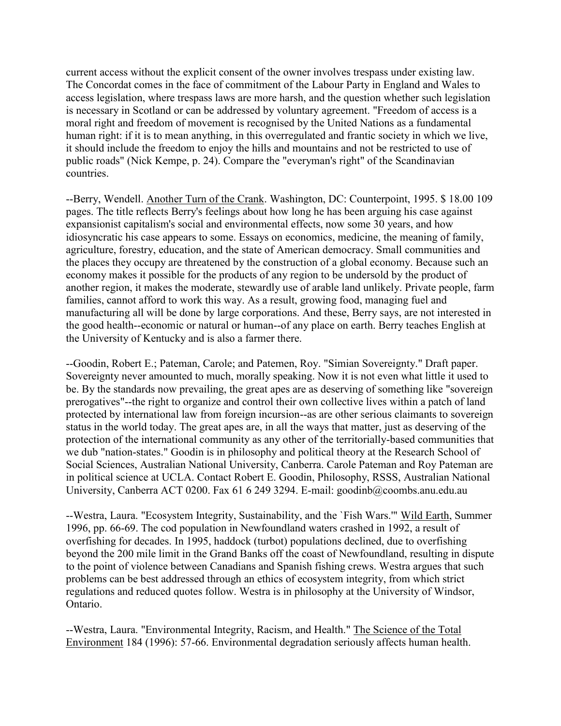current access without the explicit consent of the owner involves trespass under existing law. The Concordat comes in the face of commitment of the Labour Party in England and Wales to access legislation, where trespass laws are more harsh, and the question whether such legislation is necessary in Scotland or can be addressed by voluntary agreement. "Freedom of access is a moral right and freedom of movement is recognised by the United Nations as a fundamental human right: if it is to mean anything, in this overregulated and frantic society in which we live, it should include the freedom to enjoy the hills and mountains and not be restricted to use of public roads" (Nick Kempe, p. 24). Compare the "everyman's right" of the Scandinavian countries.

--Berry, Wendell. Another Turn of the Crank. Washington, DC: Counterpoint, 1995. \$ 18.00 109 pages. The title reflects Berry's feelings about how long he has been arguing his case against expansionist capitalism's social and environmental effects, now some 30 years, and how idiosyncratic his case appears to some. Essays on economics, medicine, the meaning of family, agriculture, forestry, education, and the state of American democracy. Small communities and the places they occupy are threatened by the construction of a global economy. Because such an economy makes it possible for the products of any region to be undersold by the product of another region, it makes the moderate, stewardly use of arable land unlikely. Private people, farm families, cannot afford to work this way. As a result, growing food, managing fuel and manufacturing all will be done by large corporations. And these, Berry says, are not interested in the good health--economic or natural or human--of any place on earth. Berry teaches English at the University of Kentucky and is also a farmer there.

--Goodin, Robert E.; Pateman, Carole; and Patemen, Roy. "Simian Sovereignty." Draft paper. Sovereignty never amounted to much, morally speaking. Now it is not even what little it used to be. By the standards now prevailing, the great apes are as deserving of something like "sovereign prerogatives"--the right to organize and control their own collective lives within a patch of land protected by international law from foreign incursion--as are other serious claimants to sovereign status in the world today. The great apes are, in all the ways that matter, just as deserving of the protection of the international community as any other of the territorially-based communities that we dub "nation-states." Goodin is in philosophy and political theory at the Research School of Social Sciences, Australian National University, Canberra. Carole Pateman and Roy Pateman are in political science at UCLA. Contact Robert E. Goodin, Philosophy, RSSS, Australian National University, Canberra ACT 0200. Fax 61 6 249 3294. E-mail: goodinb@coombs.anu.edu.au

--Westra, Laura. "Ecosystem Integrity, Sustainability, and the `Fish Wars." Wild Earth, Summer 1996, pp. 66-69. The cod population in Newfoundland waters crashed in 1992, a result of overfishing for decades. In 1995, haddock (turbot) populations declined, due to overfishing beyond the 200 mile limit in the Grand Banks off the coast of Newfoundland, resulting in dispute to the point of violence between Canadians and Spanish fishing crews. Westra argues that such problems can be best addressed through an ethics of ecosystem integrity, from which strict regulations and reduced quotes follow. Westra is in philosophy at the University of Windsor, Ontario.

--Westra, Laura. "Environmental Integrity, Racism, and Health." The Science of the Total Environment 184 (1996): 57-66. Environmental degradation seriously affects human health.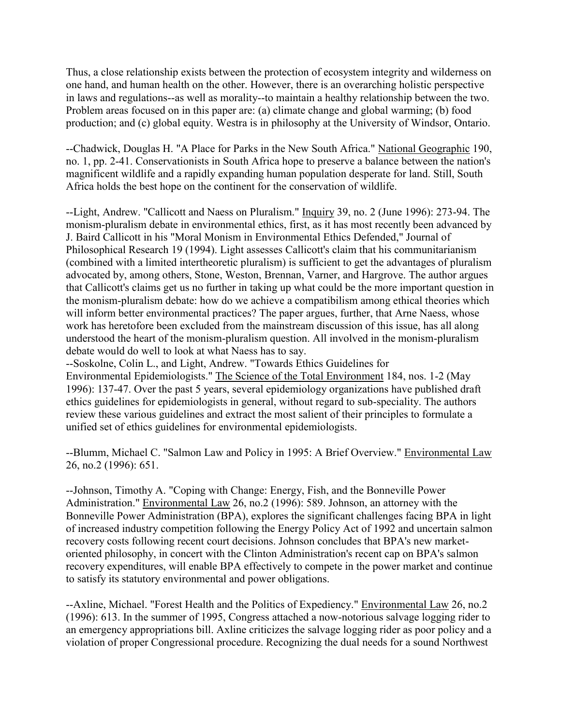Thus, a close relationship exists between the protection of ecosystem integrity and wilderness on one hand, and human health on the other. However, there is an overarching holistic perspective in laws and regulations--as well as morality--to maintain a healthy relationship between the two. Problem areas focused on in this paper are: (a) climate change and global warming; (b) food production; and (c) global equity. Westra is in philosophy at the University of Windsor, Ontario.

--Chadwick, Douglas H. "A Place for Parks in the New South Africa." National Geographic 190, no. 1, pp. 2-41. Conservationists in South Africa hope to preserve a balance between the nation's magnificent wildlife and a rapidly expanding human population desperate for land. Still, South Africa holds the best hope on the continent for the conservation of wildlife.

--Light, Andrew. "Callicott and Naess on Pluralism." Inquiry 39, no. 2 (June 1996): 273-94. The monism-pluralism debate in environmental ethics, first, as it has most recently been advanced by J. Baird Callicott in his "Moral Monism in Environmental Ethics Defended," Journal of Philosophical Research 19 (1994). Light assesses Callicott's claim that his communitarianism (combined with a limited intertheoretic pluralism) is sufficient to get the advantages of pluralism advocated by, among others, Stone, Weston, Brennan, Varner, and Hargrove. The author argues that Callicott's claims get us no further in taking up what could be the more important question in the monism-pluralism debate: how do we achieve a compatibilism among ethical theories which will inform better environmental practices? The paper argues, further, that Arne Naess, whose work has heretofore been excluded from the mainstream discussion of this issue, has all along understood the heart of the monism-pluralism question. All involved in the monism-pluralism debate would do well to look at what Naess has to say.

--Soskolne, Colin L., and Light, Andrew. "Towards Ethics Guidelines for Environmental Epidemiologists." The Science of the Total Environment 184, nos. 1-2 (May 1996): 137-47. Over the past 5 years, several epidemiology organizations have published draft ethics guidelines for epidemiologists in general, without regard to sub-speciality. The authors review these various guidelines and extract the most salient of their principles to formulate a unified set of ethics guidelines for environmental epidemiologists.

--Blumm, Michael C. "Salmon Law and Policy in 1995: A Brief Overview." Environmental Law 26, no.2 (1996): 651.

--Johnson, Timothy A. "Coping with Change: Energy, Fish, and the Bonneville Power Administration." Environmental Law 26, no.2 (1996): 589. Johnson, an attorney with the Bonneville Power Administration (BPA), explores the significant challenges facing BPA in light of increased industry competition following the Energy Policy Act of 1992 and uncertain salmon recovery costs following recent court decisions. Johnson concludes that BPA's new marketoriented philosophy, in concert with the Clinton Administration's recent cap on BPA's salmon recovery expenditures, will enable BPA effectively to compete in the power market and continue to satisfy its statutory environmental and power obligations.

--Axline, Michael. "Forest Health and the Politics of Expediency." Environmental Law 26, no.2 (1996): 613. In the summer of 1995, Congress attached a now-notorious salvage logging rider to an emergency appropriations bill. Axline criticizes the salvage logging rider as poor policy and a violation of proper Congressional procedure. Recognizing the dual needs for a sound Northwest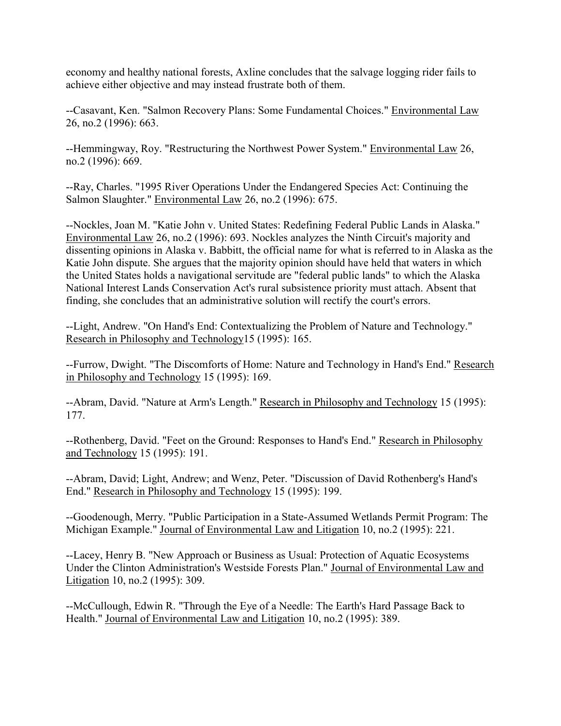economy and healthy national forests, Axline concludes that the salvage logging rider fails to achieve either objective and may instead frustrate both of them.

--Casavant, Ken. "Salmon Recovery Plans: Some Fundamental Choices." Environmental Law 26, no.2 (1996): 663.

--Hemmingway, Roy. "Restructuring the Northwest Power System." Environmental Law 26, no.2 (1996): 669.

--Ray, Charles. "1995 River Operations Under the Endangered Species Act: Continuing the Salmon Slaughter." Environmental Law 26, no.2 (1996): 675.

--Nockles, Joan M. "Katie John v. United States: Redefining Federal Public Lands in Alaska." Environmental Law 26, no.2 (1996): 693. Nockles analyzes the Ninth Circuit's majority and dissenting opinions in Alaska v. Babbitt, the official name for what is referred to in Alaska as the Katie John dispute. She argues that the majority opinion should have held that waters in which the United States holds a navigational servitude are "federal public lands" to which the Alaska National Interest Lands Conservation Act's rural subsistence priority must attach. Absent that finding, she concludes that an administrative solution will rectify the court's errors.

--Light, Andrew. "On Hand's End: Contextualizing the Problem of Nature and Technology." Research in Philosophy and Technology15 (1995): 165.

--Furrow, Dwight. "The Discomforts of Home: Nature and Technology in Hand's End." Research in Philosophy and Technology 15 (1995): 169.

--Abram, David. "Nature at Arm's Length." Research in Philosophy and Technology 15 (1995): 177.

--Rothenberg, David. "Feet on the Ground: Responses to Hand's End." Research in Philosophy and Technology 15 (1995): 191.

--Abram, David; Light, Andrew; and Wenz, Peter. "Discussion of David Rothenberg's Hand's End." Research in Philosophy and Technology 15 (1995): 199.

--Goodenough, Merry. "Public Participation in a State-Assumed Wetlands Permit Program: The Michigan Example." Journal of Environmental Law and Litigation 10, no.2 (1995): 221.

--Lacey, Henry B. "New Approach or Business as Usual: Protection of Aquatic Ecosystems Under the Clinton Administration's Westside Forests Plan." Journal of Environmental Law and Litigation 10, no.2 (1995): 309.

--McCullough, Edwin R. "Through the Eye of a Needle: The Earth's Hard Passage Back to Health." Journal of Environmental Law and Litigation 10, no.2 (1995): 389.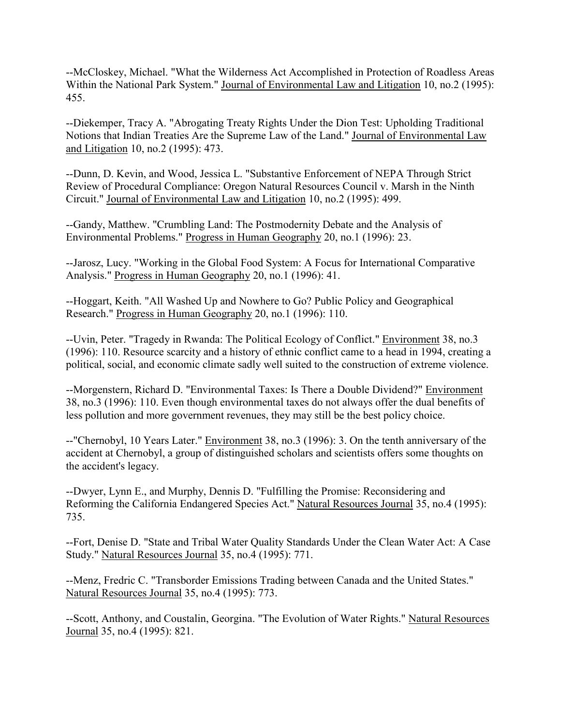--McCloskey, Michael. "What the Wilderness Act Accomplished in Protection of Roadless Areas Within the National Park System." Journal of Environmental Law and Litigation 10, no.2 (1995): 455.

--Diekemper, Tracy A. "Abrogating Treaty Rights Under the Dion Test: Upholding Traditional Notions that Indian Treaties Are the Supreme Law of the Land." Journal of Environmental Law and Litigation 10, no.2 (1995): 473.

--Dunn, D. Kevin, and Wood, Jessica L. "Substantive Enforcement of NEPA Through Strict Review of Procedural Compliance: Oregon Natural Resources Council v. Marsh in the Ninth Circuit." Journal of Environmental Law and Litigation 10, no.2 (1995): 499.

--Gandy, Matthew. "Crumbling Land: The Postmodernity Debate and the Analysis of Environmental Problems." Progress in Human Geography 20, no.1 (1996): 23.

--Jarosz, Lucy. "Working in the Global Food System: A Focus for International Comparative Analysis." Progress in Human Geography 20, no.1 (1996): 41.

--Hoggart, Keith. "All Washed Up and Nowhere to Go? Public Policy and Geographical Research." Progress in Human Geography 20, no.1 (1996): 110.

--Uvin, Peter. "Tragedy in Rwanda: The Political Ecology of Conflict." Environment 38, no.3 (1996): 110. Resource scarcity and a history of ethnic conflict came to a head in 1994, creating a political, social, and economic climate sadly well suited to the construction of extreme violence.

--Morgenstern, Richard D. "Environmental Taxes: Is There a Double Dividend?" Environment 38, no.3 (1996): 110. Even though environmental taxes do not always offer the dual benefits of less pollution and more government revenues, they may still be the best policy choice.

--"Chernobyl, 10 Years Later." Environment 38, no.3 (1996): 3. On the tenth anniversary of the accident at Chernobyl, a group of distinguished scholars and scientists offers some thoughts on the accident's legacy.

--Dwyer, Lynn E., and Murphy, Dennis D. "Fulfilling the Promise: Reconsidering and Reforming the California Endangered Species Act." Natural Resources Journal 35, no.4 (1995): 735.

--Fort, Denise D. "State and Tribal Water Quality Standards Under the Clean Water Act: A Case Study." Natural Resources Journal 35, no.4 (1995): 771.

--Menz, Fredric C. "Transborder Emissions Trading between Canada and the United States." Natural Resources Journal 35, no.4 (1995): 773.

--Scott, Anthony, and Coustalin, Georgina. "The Evolution of Water Rights." Natural Resources Journal 35, no.4 (1995): 821.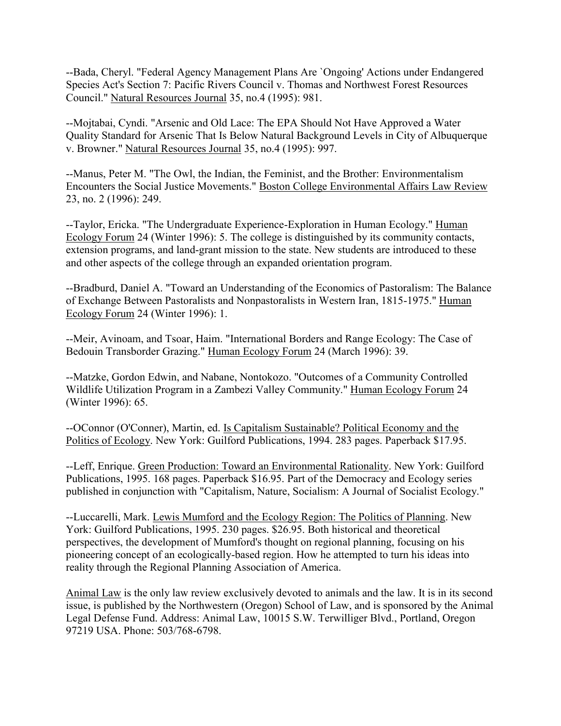--Bada, Cheryl. "Federal Agency Management Plans Are `Ongoing' Actions under Endangered Species Act's Section 7: Pacific Rivers Council v. Thomas and Northwest Forest Resources Council." Natural Resources Journal 35, no.4 (1995): 981.

--Mojtabai, Cyndi. "Arsenic and Old Lace: The EPA Should Not Have Approved a Water Quality Standard for Arsenic That Is Below Natural Background Levels in City of Albuquerque v. Browner." Natural Resources Journal 35, no.4 (1995): 997.

--Manus, Peter M. "The Owl, the Indian, the Feminist, and the Brother: Environmentalism Encounters the Social Justice Movements." Boston College Environmental Affairs Law Review 23, no. 2 (1996): 249.

--Taylor, Ericka. "The Undergraduate Experience-Exploration in Human Ecology." Human Ecology Forum 24 (Winter 1996): 5. The college is distinguished by its community contacts, extension programs, and land-grant mission to the state. New students are introduced to these and other aspects of the college through an expanded orientation program.

--Bradburd, Daniel A. "Toward an Understanding of the Economics of Pastoralism: The Balance of Exchange Between Pastoralists and Nonpastoralists in Western Iran, 1815-1975." Human Ecology Forum 24 (Winter 1996): 1.

--Meir, Avinoam, and Tsoar, Haim. "International Borders and Range Ecology: The Case of Bedouin Transborder Grazing." Human Ecology Forum 24 (March 1996): 39.

--Matzke, Gordon Edwin, and Nabane, Nontokozo. "Outcomes of a Community Controlled Wildlife Utilization Program in a Zambezi Valley Community." Human Ecology Forum 24 (Winter 1996): 65.

--OConnor (O'Conner), Martin, ed. Is Capitalism Sustainable? Political Economy and the Politics of Ecology. New York: Guilford Publications, 1994. 283 pages. Paperback \$17.95.

--Leff, Enrique. Green Production: Toward an Environmental Rationality. New York: Guilford Publications, 1995. 168 pages. Paperback \$16.95. Part of the Democracy and Ecology series published in conjunction with "Capitalism, Nature, Socialism: A Journal of Socialist Ecology."

--Luccarelli, Mark. Lewis Mumford and the Ecology Region: The Politics of Planning. New York: Guilford Publications, 1995. 230 pages. \$26.95. Both historical and theoretical perspectives, the development of Mumford's thought on regional planning, focusing on his pioneering concept of an ecologically-based region. How he attempted to turn his ideas into reality through the Regional Planning Association of America.

Animal Law is the only law review exclusively devoted to animals and the law. It is in its second issue, is published by the Northwestern (Oregon) School of Law, and is sponsored by the Animal Legal Defense Fund. Address: Animal Law, 10015 S.W. Terwilliger Blvd., Portland, Oregon 97219 USA. Phone: 503/768-6798.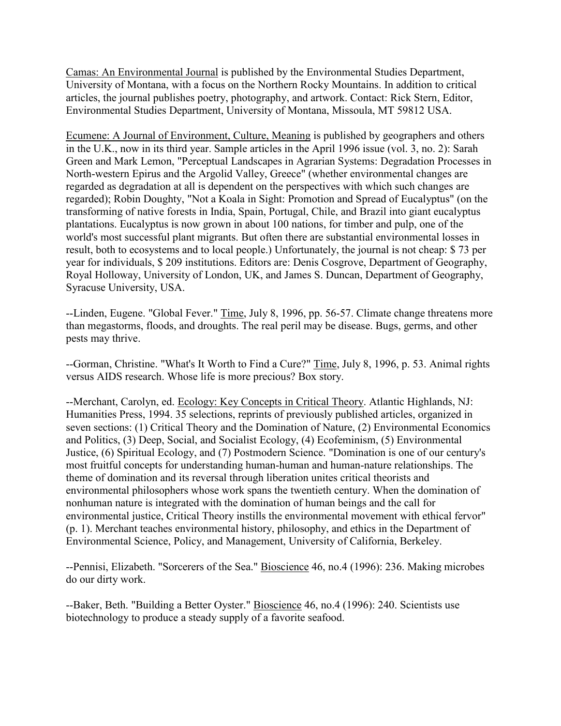Camas: An Environmental Journal is published by the Environmental Studies Department, University of Montana, with a focus on the Northern Rocky Mountains. In addition to critical articles, the journal publishes poetry, photography, and artwork. Contact: Rick Stern, Editor, Environmental Studies Department, University of Montana, Missoula, MT 59812 USA.

Ecumene: A Journal of Environment, Culture, Meaning is published by geographers and others in the U.K., now in its third year. Sample articles in the April 1996 issue (vol. 3, no. 2): Sarah Green and Mark Lemon, "Perceptual Landscapes in Agrarian Systems: Degradation Processes in North-western Epirus and the Argolid Valley, Greece" (whether environmental changes are regarded as degradation at all is dependent on the perspectives with which such changes are regarded); Robin Doughty, "Not a Koala in Sight: Promotion and Spread of Eucalyptus" (on the transforming of native forests in India, Spain, Portugal, Chile, and Brazil into giant eucalyptus plantations. Eucalyptus is now grown in about 100 nations, for timber and pulp, one of the world's most successful plant migrants. But often there are substantial environmental losses in result, both to ecosystems and to local people.) Unfortunately, the journal is not cheap: \$ 73 per year for individuals, \$ 209 institutions. Editors are: Denis Cosgrove, Department of Geography, Royal Holloway, University of London, UK, and James S. Duncan, Department of Geography, Syracuse University, USA.

--Linden, Eugene. "Global Fever." Time, July 8, 1996, pp. 56-57. Climate change threatens more than megastorms, floods, and droughts. The real peril may be disease. Bugs, germs, and other pests may thrive.

--Gorman, Christine. "What's It Worth to Find a Cure?" Time, July 8, 1996, p. 53. Animal rights versus AIDS research. Whose life is more precious? Box story.

--Merchant, Carolyn, ed. Ecology: Key Concepts in Critical Theory. Atlantic Highlands, NJ: Humanities Press, 1994. 35 selections, reprints of previously published articles, organized in seven sections: (1) Critical Theory and the Domination of Nature, (2) Environmental Economics and Politics, (3) Deep, Social, and Socialist Ecology, (4) Ecofeminism, (5) Environmental Justice, (6) Spiritual Ecology, and (7) Postmodern Science. "Domination is one of our century's most fruitful concepts for understanding human-human and human-nature relationships. The theme of domination and its reversal through liberation unites critical theorists and environmental philosophers whose work spans the twentieth century. When the domination of nonhuman nature is integrated with the domination of human beings and the call for environmental justice, Critical Theory instills the environmental movement with ethical fervor" (p. 1). Merchant teaches environmental history, philosophy, and ethics in the Department of Environmental Science, Policy, and Management, University of California, Berkeley.

--Pennisi, Elizabeth. "Sorcerers of the Sea." Bioscience 46, no.4 (1996): 236. Making microbes do our dirty work.

--Baker, Beth. "Building a Better Oyster." Bioscience 46, no.4 (1996): 240. Scientists use biotechnology to produce a steady supply of a favorite seafood.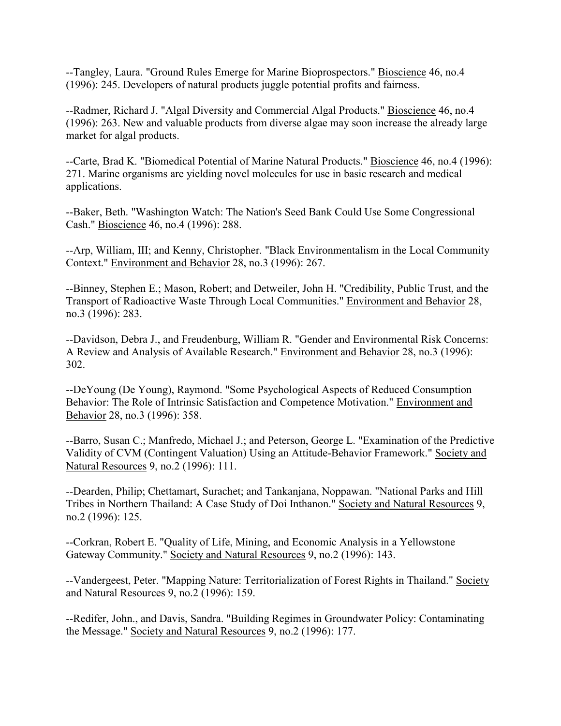--Tangley, Laura. "Ground Rules Emerge for Marine Bioprospectors." Bioscience 46, no.4 (1996): 245. Developers of natural products juggle potential profits and fairness.

--Radmer, Richard J. "Algal Diversity and Commercial Algal Products." Bioscience 46, no.4 (1996): 263. New and valuable products from diverse algae may soon increase the already large market for algal products.

--Carte, Brad K. "Biomedical Potential of Marine Natural Products." Bioscience 46, no.4 (1996): 271. Marine organisms are yielding novel molecules for use in basic research and medical applications.

--Baker, Beth. "Washington Watch: The Nation's Seed Bank Could Use Some Congressional Cash." Bioscience 46, no.4 (1996): 288.

--Arp, William, III; and Kenny, Christopher. "Black Environmentalism in the Local Community Context." Environment and Behavior 28, no.3 (1996): 267.

--Binney, Stephen E.; Mason, Robert; and Detweiler, John H. "Credibility, Public Trust, and the Transport of Radioactive Waste Through Local Communities." Environment and Behavior 28, no.3 (1996): 283.

--Davidson, Debra J., and Freudenburg, William R. "Gender and Environmental Risk Concerns: A Review and Analysis of Available Research." Environment and Behavior 28, no.3 (1996): 302.

--DeYoung (De Young), Raymond. "Some Psychological Aspects of Reduced Consumption Behavior: The Role of Intrinsic Satisfaction and Competence Motivation." Environment and Behavior 28, no.3 (1996): 358.

--Barro, Susan C.; Manfredo, Michael J.; and Peterson, George L. "Examination of the Predictive Validity of CVM (Contingent Valuation) Using an Attitude-Behavior Framework." Society and Natural Resources 9, no.2 (1996): 111.

--Dearden, Philip; Chettamart, Surachet; and Tankanjana, Noppawan. "National Parks and Hill Tribes in Northern Thailand: A Case Study of Doi Inthanon." Society and Natural Resources 9, no.2 (1996): 125.

--Corkran, Robert E. "Quality of Life, Mining, and Economic Analysis in a Yellowstone Gateway Community." Society and Natural Resources 9, no.2 (1996): 143.

--Vandergeest, Peter. "Mapping Nature: Territorialization of Forest Rights in Thailand." Society and Natural Resources 9, no.2 (1996): 159.

--Redifer, John., and Davis, Sandra. "Building Regimes in Groundwater Policy: Contaminating the Message." Society and Natural Resources 9, no.2 (1996): 177.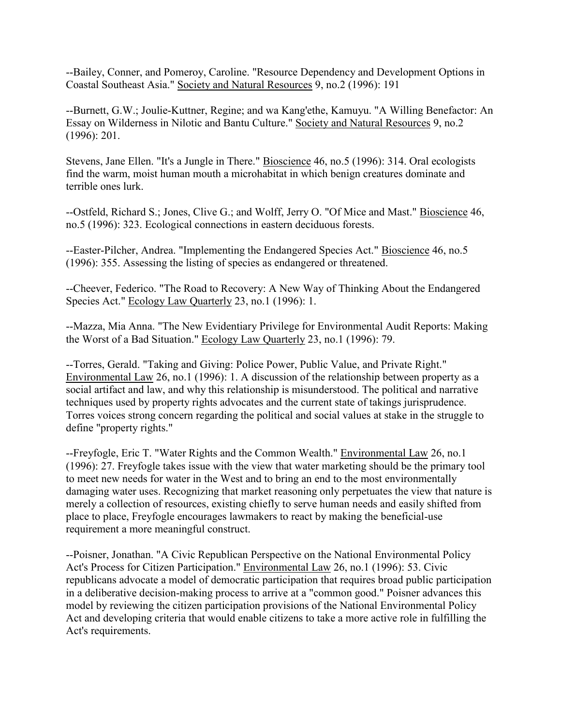--Bailey, Conner, and Pomeroy, Caroline. "Resource Dependency and Development Options in Coastal Southeast Asia." Society and Natural Resources 9, no.2 (1996): 191

--Burnett, G.W.; Joulie-Kuttner, Regine; and wa Kang'ethe, Kamuyu. "A Willing Benefactor: An Essay on Wilderness in Nilotic and Bantu Culture." Society and Natural Resources 9, no.2 (1996): 201.

Stevens, Jane Ellen. "It's a Jungle in There." Bioscience 46, no.5 (1996): 314. Oral ecologists find the warm, moist human mouth a microhabitat in which benign creatures dominate and terrible ones lurk.

--Ostfeld, Richard S.; Jones, Clive G.; and Wolff, Jerry O. "Of Mice and Mast." Bioscience 46, no.5 (1996): 323. Ecological connections in eastern deciduous forests.

--Easter-Pilcher, Andrea. "Implementing the Endangered Species Act." Bioscience 46, no.5 (1996): 355. Assessing the listing of species as endangered or threatened.

--Cheever, Federico. "The Road to Recovery: A New Way of Thinking About the Endangered Species Act." Ecology Law Quarterly 23, no.1 (1996): 1.

--Mazza, Mia Anna. "The New Evidentiary Privilege for Environmental Audit Reports: Making the Worst of a Bad Situation." Ecology Law Quarterly 23, no.1 (1996): 79.

--Torres, Gerald. "Taking and Giving: Police Power, Public Value, and Private Right." Environmental Law 26, no.1 (1996): 1. A discussion of the relationship between property as a social artifact and law, and why this relationship is misunderstood. The political and narrative techniques used by property rights advocates and the current state of takings jurisprudence. Torres voices strong concern regarding the political and social values at stake in the struggle to define "property rights."

--Freyfogle, Eric T. "Water Rights and the Common Wealth." Environmental Law 26, no.1 (1996): 27. Freyfogle takes issue with the view that water marketing should be the primary tool to meet new needs for water in the West and to bring an end to the most environmentally damaging water uses. Recognizing that market reasoning only perpetuates the view that nature is merely a collection of resources, existing chiefly to serve human needs and easily shifted from place to place, Freyfogle encourages lawmakers to react by making the beneficial-use requirement a more meaningful construct.

--Poisner, Jonathan. "A Civic Republican Perspective on the National Environmental Policy Act's Process for Citizen Participation." Environmental Law 26, no.1 (1996): 53. Civic republicans advocate a model of democratic participation that requires broad public participation in a deliberative decision-making process to arrive at a "common good." Poisner advances this model by reviewing the citizen participation provisions of the National Environmental Policy Act and developing criteria that would enable citizens to take a more active role in fulfilling the Act's requirements.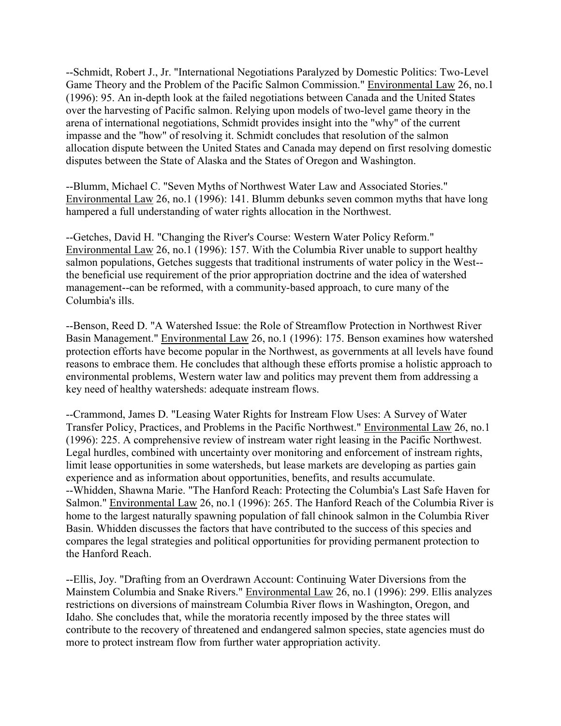--Schmidt, Robert J., Jr. "International Negotiations Paralyzed by Domestic Politics: Two-Level Game Theory and the Problem of the Pacific Salmon Commission." Environmental Law 26, no.1 (1996): 95. An in-depth look at the failed negotiations between Canada and the United States over the harvesting of Pacific salmon. Relying upon models of two-level game theory in the arena of international negotiations, Schmidt provides insight into the "why" of the current impasse and the "how" of resolving it. Schmidt concludes that resolution of the salmon allocation dispute between the United States and Canada may depend on first resolving domestic disputes between the State of Alaska and the States of Oregon and Washington.

--Blumm, Michael C. "Seven Myths of Northwest Water Law and Associated Stories." Environmental Law 26, no.1 (1996): 141. Blumm debunks seven common myths that have long hampered a full understanding of water rights allocation in the Northwest.

--Getches, David H. "Changing the River's Course: Western Water Policy Reform." Environmental Law 26, no.1 (1996): 157. With the Columbia River unable to support healthy salmon populations, Getches suggests that traditional instruments of water policy in the West- the beneficial use requirement of the prior appropriation doctrine and the idea of watershed management--can be reformed, with a community-based approach, to cure many of the Columbia's ills.

--Benson, Reed D. "A Watershed Issue: the Role of Streamflow Protection in Northwest River Basin Management." Environmental Law 26, no.1 (1996): 175. Benson examines how watershed protection efforts have become popular in the Northwest, as governments at all levels have found reasons to embrace them. He concludes that although these efforts promise a holistic approach to environmental problems, Western water law and politics may prevent them from addressing a key need of healthy watersheds: adequate instream flows.

--Crammond, James D. "Leasing Water Rights for Instream Flow Uses: A Survey of Water Transfer Policy, Practices, and Problems in the Pacific Northwest." Environmental Law 26, no.1 (1996): 225. A comprehensive review of instream water right leasing in the Pacific Northwest. Legal hurdles, combined with uncertainty over monitoring and enforcement of instream rights, limit lease opportunities in some watersheds, but lease markets are developing as parties gain experience and as information about opportunities, benefits, and results accumulate. --Whidden, Shawna Marie. "The Hanford Reach: Protecting the Columbia's Last Safe Haven for Salmon." Environmental Law 26, no.1 (1996): 265. The Hanford Reach of the Columbia River is home to the largest naturally spawning population of fall chinook salmon in the Columbia River Basin. Whidden discusses the factors that have contributed to the success of this species and compares the legal strategies and political opportunities for providing permanent protection to the Hanford Reach.

--Ellis, Joy. "Drafting from an Overdrawn Account: Continuing Water Diversions from the Mainstem Columbia and Snake Rivers." Environmental Law 26, no.1 (1996): 299. Ellis analyzes restrictions on diversions of mainstream Columbia River flows in Washington, Oregon, and Idaho. She concludes that, while the moratoria recently imposed by the three states will contribute to the recovery of threatened and endangered salmon species, state agencies must do more to protect instream flow from further water appropriation activity.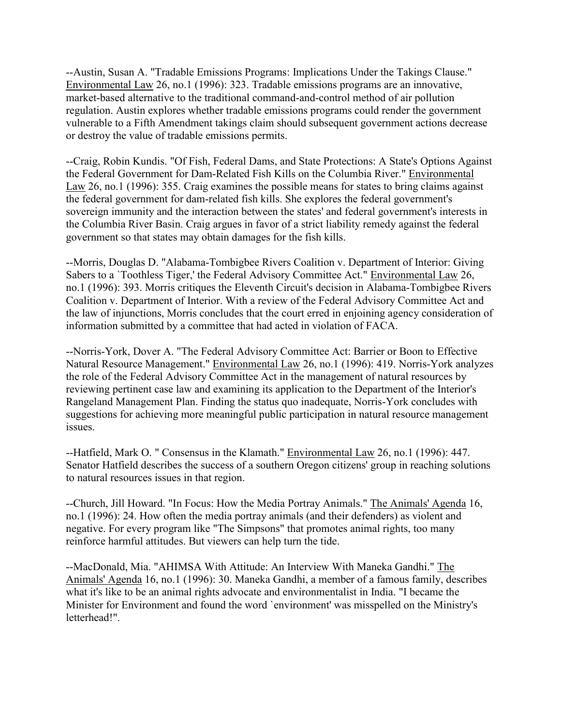--Austin, Susan A. "Tradable Emissions Programs: Implications Under the Takings Clause." Environmental Law 26, no.1 (1996): 323. Tradable emissions programs are an innovative, market-based alternative to the traditional command-and-control method of air pollution regulation. Austin explores whether tradable emissions programs could render the government vulnerable to a Fifth Amendment takings claim should subsequent government actions decrease or destroy the value of tradable emissions permits.

--Craig, Robin Kundis. "Of Fish, Federal Dams, and State Protections: A State's Options Against the Federal Government for Dam-Related Fish Kills on the Columbia River." Environmental Law 26, no.1 (1996): 355. Craig examines the possible means for states to bring claims against the federal government for dam-related fish kills. She explores the federal government's sovereign immunity and the interaction between the states' and federal government's interests in the Columbia River Basin. Craig argues in favor of a strict liability remedy against the federal government so that states may obtain damages for the fish kills.

--Morris, Douglas D. "Alabama-Tombigbee Rivers Coalition v. Department of Interior: Giving Sabers to a `Toothless Tiger,' the Federal Advisory Committee Act." Environmental Law 26, no.1 (1996): 393. Morris critiques the Eleventh Circuit's decision in Alabama-Tombigbee Rivers Coalition v. Department of Interior. With a review of the Federal Advisory Committee Act and the law of injunctions, Morris concludes that the court erred in enjoining agency consideration of information submitted by a committee that had acted in violation of FACA.

--Norris-York, Dover A. "The Federal Advisory Committee Act: Barrier or Boon to Effective Natural Resource Management." Environmental Law 26, no.1 (1996): 419. Norris-York analyzes the role of the Federal Advisory Committee Act in the management of natural resources by reviewing pertinent case law and examining its application to the Department of the Interior's Rangeland Management Plan. Finding the status quo inadequate, Norris-York concludes with suggestions for achieving more meaningful public participation in natural resource management issues.

--Hatfield, Mark O. " Consensus in the Klamath." Environmental Law 26, no.1 (1996): 447. Senator Hatfield describes the success of a southern Oregon citizens' group in reaching solutions to natural resources issues in that region.

--Church, Jill Howard. "In Focus: How the Media Portray Animals." The Animals' Agenda 16, no.1 (1996): 24. How often the media portray animals (and their defenders) as violent and negative. For every program like "The Simpsons" that promotes animal rights, too many reinforce harmful attitudes. But viewers can help turn the tide.

--MacDonald, Mia. "AHIMSA With Attitude: An Interview With Maneka Gandhi." The Animals' Agenda 16, no.1 (1996): 30. Maneka Gandhi, a member of a famous family, describes what it's like to be an animal rights advocate and environmentalist in India. "I became the Minister for Environment and found the word `environment' was misspelled on the Ministry's letterhead!".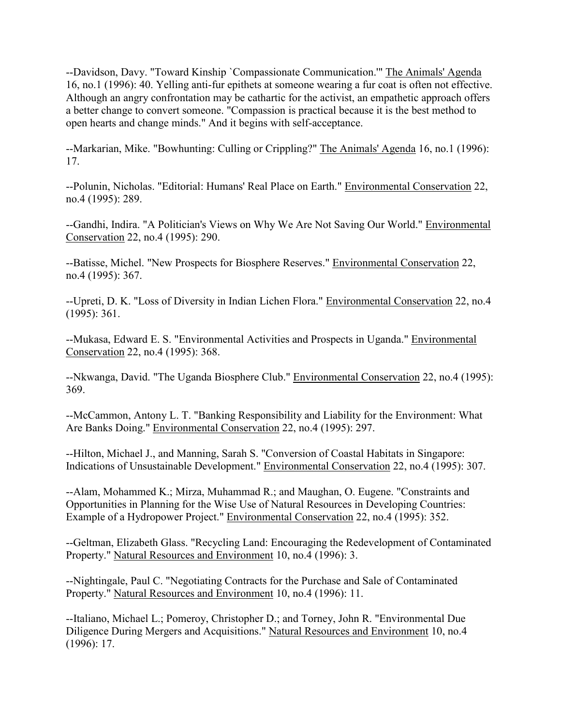--Davidson, Davy. "Toward Kinship `Compassionate Communication.'" The Animals' Agenda 16, no.1 (1996): 40. Yelling anti-fur epithets at someone wearing a fur coat is often not effective. Although an angry confrontation may be cathartic for the activist, an empathetic approach offers a better change to convert someone. "Compassion is practical because it is the best method to open hearts and change minds." And it begins with self-acceptance.

--Markarian, Mike. "Bowhunting: Culling or Crippling?" The Animals' Agenda 16, no.1 (1996): 17.

--Polunin, Nicholas. "Editorial: Humans' Real Place on Earth." Environmental Conservation 22, no.4 (1995): 289.

--Gandhi, Indira. "A Politician's Views on Why We Are Not Saving Our World." Environmental Conservation 22, no.4 (1995): 290.

--Batisse, Michel. "New Prospects for Biosphere Reserves." Environmental Conservation 22, no.4 (1995): 367.

--Upreti, D. K. "Loss of Diversity in Indian Lichen Flora." Environmental Conservation 22, no.4 (1995): 361.

--Mukasa, Edward E. S. "Environmental Activities and Prospects in Uganda." Environmental Conservation 22, no.4 (1995): 368.

--Nkwanga, David. "The Uganda Biosphere Club." Environmental Conservation 22, no.4 (1995): 369.

--McCammon, Antony L. T. "Banking Responsibility and Liability for the Environment: What Are Banks Doing." Environmental Conservation 22, no.4 (1995): 297.

--Hilton, Michael J., and Manning, Sarah S. "Conversion of Coastal Habitats in Singapore: Indications of Unsustainable Development." Environmental Conservation 22, no.4 (1995): 307.

--Alam, Mohammed K.; Mirza, Muhammad R.; and Maughan, O. Eugene. "Constraints and Opportunities in Planning for the Wise Use of Natural Resources in Developing Countries: Example of a Hydropower Project." Environmental Conservation 22, no.4 (1995): 352.

--Geltman, Elizabeth Glass. "Recycling Land: Encouraging the Redevelopment of Contaminated Property." Natural Resources and Environment 10, no.4 (1996): 3.

--Nightingale, Paul C. "Negotiating Contracts for the Purchase and Sale of Contaminated Property." Natural Resources and Environment 10, no.4 (1996): 11.

--Italiano, Michael L.; Pomeroy, Christopher D.; and Torney, John R. "Environmental Due Diligence During Mergers and Acquisitions." Natural Resources and Environment 10, no.4 (1996): 17.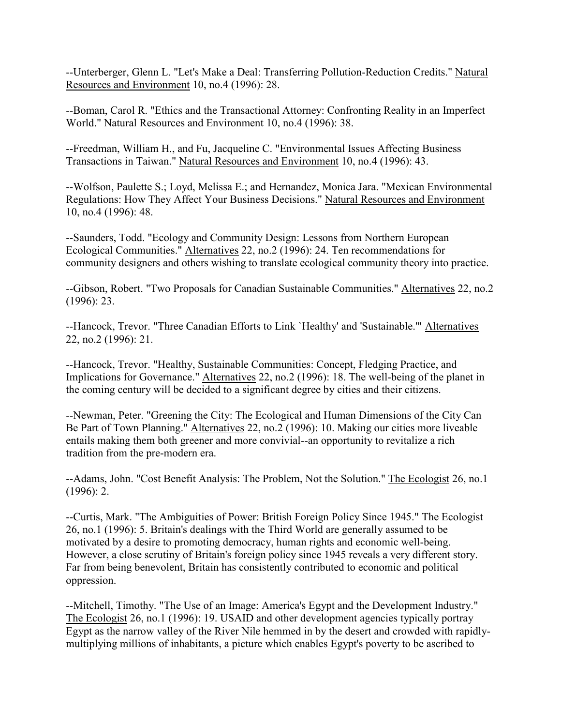--Unterberger, Glenn L. "Let's Make a Deal: Transferring Pollution-Reduction Credits." Natural Resources and Environment 10, no.4 (1996): 28.

--Boman, Carol R. "Ethics and the Transactional Attorney: Confronting Reality in an Imperfect World." Natural Resources and Environment 10, no.4 (1996): 38.

--Freedman, William H., and Fu, Jacqueline C. "Environmental Issues Affecting Business Transactions in Taiwan." Natural Resources and Environment 10, no.4 (1996): 43.

--Wolfson, Paulette S.; Loyd, Melissa E.; and Hernandez, Monica Jara. "Mexican Environmental Regulations: How They Affect Your Business Decisions." Natural Resources and Environment 10, no.4 (1996): 48.

--Saunders, Todd. "Ecology and Community Design: Lessons from Northern European Ecological Communities." Alternatives 22, no.2 (1996): 24. Ten recommendations for community designers and others wishing to translate ecological community theory into practice.

--Gibson, Robert. "Two Proposals for Canadian Sustainable Communities." Alternatives 22, no.2 (1996): 23.

--Hancock, Trevor. "Three Canadian Efforts to Link `Healthy' and 'Sustainable.'" Alternatives 22, no.2 (1996): 21.

--Hancock, Trevor. "Healthy, Sustainable Communities: Concept, Fledging Practice, and Implications for Governance." Alternatives 22, no.2 (1996): 18. The well-being of the planet in the coming century will be decided to a significant degree by cities and their citizens.

--Newman, Peter. "Greening the City: The Ecological and Human Dimensions of the City Can Be Part of Town Planning." Alternatives 22, no.2 (1996): 10. Making our cities more liveable entails making them both greener and more convivial--an opportunity to revitalize a rich tradition from the pre-modern era.

--Adams, John. "Cost Benefit Analysis: The Problem, Not the Solution." The Ecologist 26, no.1 (1996): 2.

--Curtis, Mark. "The Ambiguities of Power: British Foreign Policy Since 1945." The Ecologist 26, no.1 (1996): 5. Britain's dealings with the Third World are generally assumed to be motivated by a desire to promoting democracy, human rights and economic well-being. However, a close scrutiny of Britain's foreign policy since 1945 reveals a very different story. Far from being benevolent, Britain has consistently contributed to economic and political oppression.

--Mitchell, Timothy. "The Use of an Image: America's Egypt and the Development Industry." The Ecologist 26, no.1 (1996): 19. USAID and other development agencies typically portray Egypt as the narrow valley of the River Nile hemmed in by the desert and crowded with rapidlymultiplying millions of inhabitants, a picture which enables Egypt's poverty to be ascribed to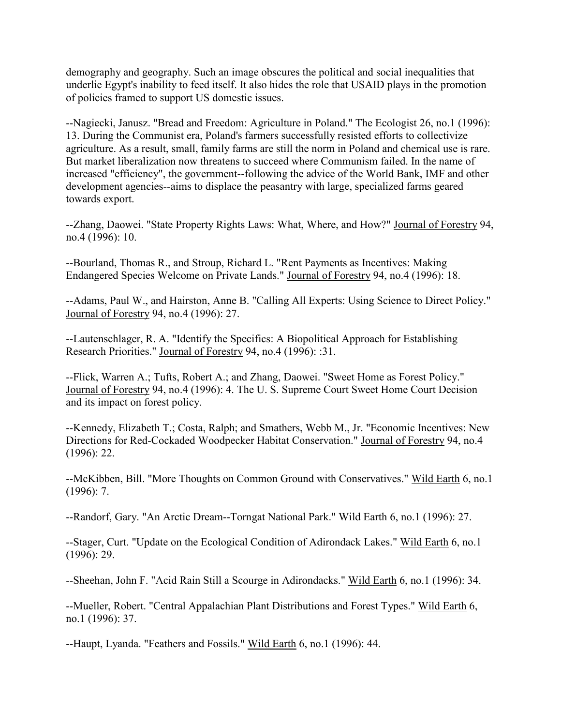demography and geography. Such an image obscures the political and social inequalities that underlie Egypt's inability to feed itself. It also hides the role that USAID plays in the promotion of policies framed to support US domestic issues.

--Nagiecki, Janusz. "Bread and Freedom: Agriculture in Poland." The Ecologist 26, no.1 (1996): 13. During the Communist era, Poland's farmers successfully resisted efforts to collectivize agriculture. As a result, small, family farms are still the norm in Poland and chemical use is rare. But market liberalization now threatens to succeed where Communism failed. In the name of increased "efficiency", the government--following the advice of the World Bank, IMF and other development agencies--aims to displace the peasantry with large, specialized farms geared towards export.

--Zhang, Daowei. "State Property Rights Laws: What, Where, and How?" Journal of Forestry 94, no.4 (1996): 10.

--Bourland, Thomas R., and Stroup, Richard L. "Rent Payments as Incentives: Making Endangered Species Welcome on Private Lands." Journal of Forestry 94, no.4 (1996): 18.

--Adams, Paul W., and Hairston, Anne B. "Calling All Experts: Using Science to Direct Policy." Journal of Forestry 94, no.4 (1996): 27.

--Lautenschlager, R. A. "Identify the Specifics: A Biopolitical Approach for Establishing Research Priorities." Journal of Forestry 94, no.4 (1996): :31.

--Flick, Warren A.; Tufts, Robert A.; and Zhang, Daowei. "Sweet Home as Forest Policy." Journal of Forestry 94, no.4 (1996): 4. The U. S. Supreme Court Sweet Home Court Decision and its impact on forest policy.

--Kennedy, Elizabeth T.; Costa, Ralph; and Smathers, Webb M., Jr. "Economic Incentives: New Directions for Red-Cockaded Woodpecker Habitat Conservation." Journal of Forestry 94, no.4 (1996): 22.

--McKibben, Bill. "More Thoughts on Common Ground with Conservatives." Wild Earth 6, no.1  $(1996): 7.$ 

--Randorf, Gary. "An Arctic Dream--Torngat National Park." Wild Earth 6, no.1 (1996): 27.

--Stager, Curt. "Update on the Ecological Condition of Adirondack Lakes." Wild Earth 6, no.1 (1996): 29.

--Sheehan, John F. "Acid Rain Still a Scourge in Adirondacks." Wild Earth 6, no.1 (1996): 34.

--Mueller, Robert. "Central Appalachian Plant Distributions and Forest Types." Wild Earth 6, no.1 (1996): 37.

--Haupt, Lyanda. "Feathers and Fossils." Wild Earth 6, no.1 (1996): 44.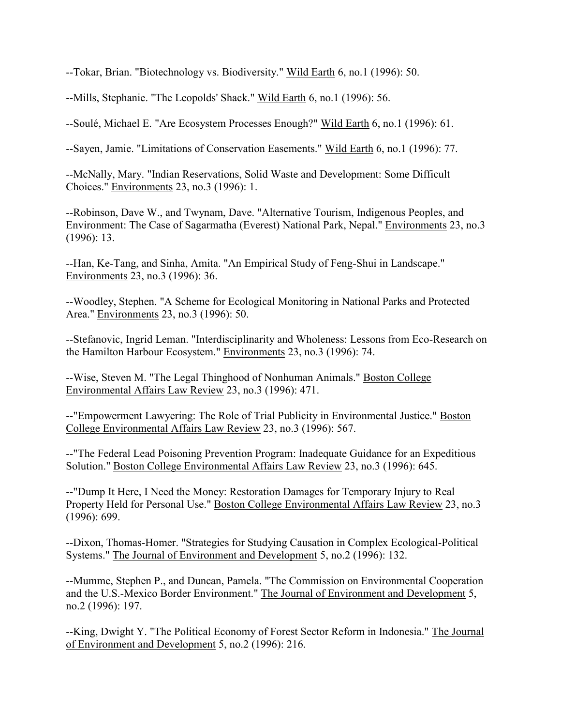--Tokar, Brian. "Biotechnology vs. Biodiversity." Wild Earth 6, no.1 (1996): 50.

--Mills, Stephanie. "The Leopolds' Shack." Wild Earth 6, no.1 (1996): 56.

--Soulé, Michael E. "Are Ecosystem Processes Enough?" Wild Earth 6, no.1 (1996): 61.

--Sayen, Jamie. "Limitations of Conservation Easements." Wild Earth 6, no.1 (1996): 77.

--McNally, Mary. "Indian Reservations, Solid Waste and Development: Some Difficult Choices." Environments 23, no.3 (1996): 1.

--Robinson, Dave W., and Twynam, Dave. "Alternative Tourism, Indigenous Peoples, and Environment: The Case of Sagarmatha (Everest) National Park, Nepal." Environments 23, no.3 (1996): 13.

--Han, Ke-Tang, and Sinha, Amita. "An Empirical Study of Feng-Shui in Landscape." Environments 23, no.3 (1996): 36.

--Woodley, Stephen. "A Scheme for Ecological Monitoring in National Parks and Protected Area." Environments 23, no.3 (1996): 50.

--Stefanovic, Ingrid Leman. "Interdisciplinarity and Wholeness: Lessons from Eco-Research on the Hamilton Harbour Ecosystem." Environments 23, no.3 (1996): 74.

--Wise, Steven M. "The Legal Thinghood of Nonhuman Animals." Boston College Environmental Affairs Law Review 23, no.3 (1996): 471.

--"Empowerment Lawyering: The Role of Trial Publicity in Environmental Justice." Boston College Environmental Affairs Law Review 23, no.3 (1996): 567.

--"The Federal Lead Poisoning Prevention Program: Inadequate Guidance for an Expeditious Solution." Boston College Environmental Affairs Law Review 23, no.3 (1996): 645.

--"Dump It Here, I Need the Money: Restoration Damages for Temporary Injury to Real Property Held for Personal Use." Boston College Environmental Affairs Law Review 23, no.3 (1996): 699.

--Dixon, Thomas-Homer. "Strategies for Studying Causation in Complex Ecological-Political Systems." The Journal of Environment and Development 5, no.2 (1996): 132.

--Mumme, Stephen P., and Duncan, Pamela. "The Commission on Environmental Cooperation and the U.S.-Mexico Border Environment." The Journal of Environment and Development 5, no.2 (1996): 197.

--King, Dwight Y. "The Political Economy of Forest Sector Reform in Indonesia." The Journal of Environment and Development 5, no.2 (1996): 216.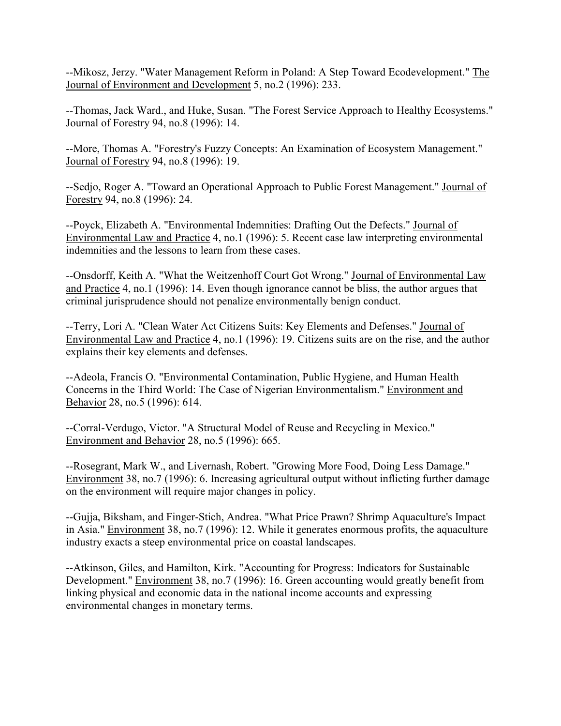--Mikosz, Jerzy. "Water Management Reform in Poland: A Step Toward Ecodevelopment." The Journal of Environment and Development 5, no.2 (1996): 233.

--Thomas, Jack Ward., and Huke, Susan. "The Forest Service Approach to Healthy Ecosystems." Journal of Forestry 94, no.8 (1996): 14.

--More, Thomas A. "Forestry's Fuzzy Concepts: An Examination of Ecosystem Management." Journal of Forestry 94, no.8 (1996): 19.

--Sedjo, Roger A. "Toward an Operational Approach to Public Forest Management." Journal of Forestry 94, no.8 (1996): 24.

--Poyck, Elizabeth A. "Environmental Indemnities: Drafting Out the Defects." Journal of Environmental Law and Practice 4, no.1 (1996): 5. Recent case law interpreting environmental indemnities and the lessons to learn from these cases.

--Onsdorff, Keith A. "What the Weitzenhoff Court Got Wrong." Journal of Environmental Law and Practice 4, no.1 (1996): 14. Even though ignorance cannot be bliss, the author argues that criminal jurisprudence should not penalize environmentally benign conduct.

--Terry, Lori A. "Clean Water Act Citizens Suits: Key Elements and Defenses." Journal of Environmental Law and Practice 4, no.1 (1996): 19. Citizens suits are on the rise, and the author explains their key elements and defenses.

--Adeola, Francis O. "Environmental Contamination, Public Hygiene, and Human Health Concerns in the Third World: The Case of Nigerian Environmentalism." Environment and Behavior 28, no.5 (1996): 614.

--Corral-Verdugo, Victor. "A Structural Model of Reuse and Recycling in Mexico." Environment and Behavior 28, no.5 (1996): 665.

--Rosegrant, Mark W., and Livernash, Robert. "Growing More Food, Doing Less Damage." Environment 38, no.7 (1996): 6. Increasing agricultural output without inflicting further damage on the environment will require major changes in policy.

--Gujja, Biksham, and Finger-Stich, Andrea. "What Price Prawn? Shrimp Aquaculture's Impact in Asia." Environment 38, no.7 (1996): 12. While it generates enormous profits, the aquaculture industry exacts a steep environmental price on coastal landscapes.

--Atkinson, Giles, and Hamilton, Kirk. "Accounting for Progress: Indicators for Sustainable Development." Environment 38, no.7 (1996): 16. Green accounting would greatly benefit from linking physical and economic data in the national income accounts and expressing environmental changes in monetary terms.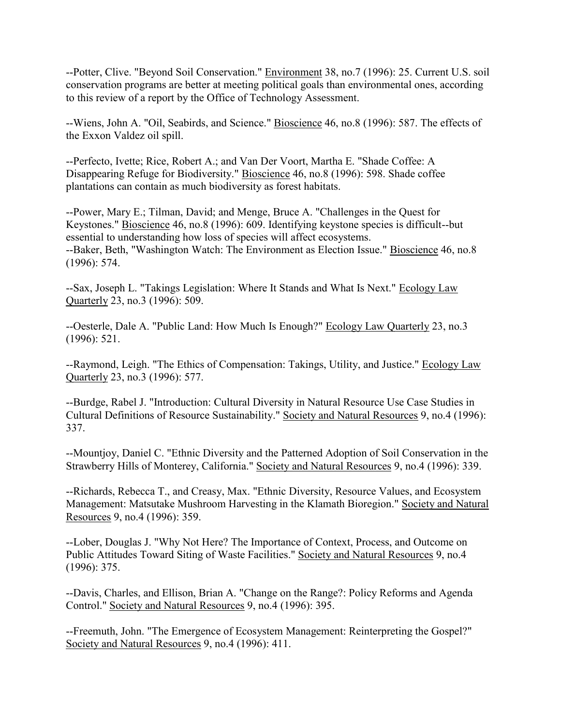--Potter, Clive. "Beyond Soil Conservation." Environment 38, no.7 (1996): 25. Current U.S. soil conservation programs are better at meeting political goals than environmental ones, according to this review of a report by the Office of Technology Assessment.

--Wiens, John A. "Oil, Seabirds, and Science." Bioscience 46, no.8 (1996): 587. The effects of the Exxon Valdez oil spill.

--Perfecto, Ivette; Rice, Robert A.; and Van Der Voort, Martha E. "Shade Coffee: A Disappearing Refuge for Biodiversity." Bioscience 46, no.8 (1996): 598. Shade coffee plantations can contain as much biodiversity as forest habitats.

--Power, Mary E.; Tilman, David; and Menge, Bruce A. "Challenges in the Quest for Keystones." Bioscience 46, no.8 (1996): 609. Identifying keystone species is difficult--but essential to understanding how loss of species will affect ecosystems. --Baker, Beth, "Washington Watch: The Environment as Election Issue." Bioscience 46, no.8 (1996): 574.

--Sax, Joseph L. "Takings Legislation: Where It Stands and What Is Next." Ecology Law Quarterly 23, no.3 (1996): 509.

--Oesterle, Dale A. "Public Land: How Much Is Enough?" Ecology Law Quarterly 23, no.3 (1996): 521.

--Raymond, Leigh. "The Ethics of Compensation: Takings, Utility, and Justice." Ecology Law Quarterly 23, no.3 (1996): 577.

--Burdge, Rabel J. "Introduction: Cultural Diversity in Natural Resource Use Case Studies in Cultural Definitions of Resource Sustainability." Society and Natural Resources 9, no.4 (1996): 337.

--Mountjoy, Daniel C. "Ethnic Diversity and the Patterned Adoption of Soil Conservation in the Strawberry Hills of Monterey, California." Society and Natural Resources 9, no.4 (1996): 339.

--Richards, Rebecca T., and Creasy, Max. "Ethnic Diversity, Resource Values, and Ecosystem Management: Matsutake Mushroom Harvesting in the Klamath Bioregion." Society and Natural Resources 9, no.4 (1996): 359.

--Lober, Douglas J. "Why Not Here? The Importance of Context, Process, and Outcome on Public Attitudes Toward Siting of Waste Facilities." Society and Natural Resources 9, no.4 (1996): 375.

--Davis, Charles, and Ellison, Brian A. "Change on the Range?: Policy Reforms and Agenda Control." Society and Natural Resources 9, no.4 (1996): 395.

--Freemuth, John. "The Emergence of Ecosystem Management: Reinterpreting the Gospel?" Society and Natural Resources 9, no.4 (1996): 411.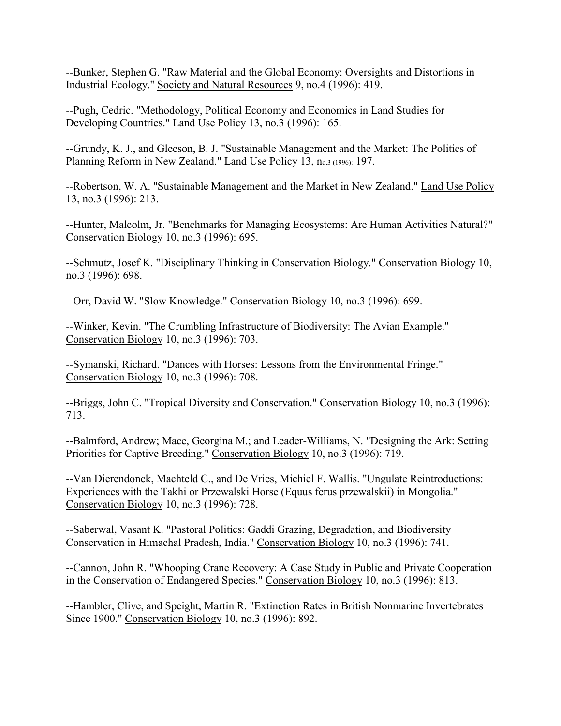--Bunker, Stephen G. "Raw Material and the Global Economy: Oversights and Distortions in Industrial Ecology." Society and Natural Resources 9, no.4 (1996): 419.

--Pugh, Cedric. "Methodology, Political Economy and Economics in Land Studies for Developing Countries." Land Use Policy 13, no.3 (1996): 165.

--Grundy, K. J., and Gleeson, B. J. "Sustainable Management and the Market: The Politics of Planning Reform in New Zealand." Land Use Policy 13, no.3 (1996): 197.

--Robertson, W. A. "Sustainable Management and the Market in New Zealand." Land Use Policy 13, no.3 (1996): 213.

--Hunter, Malcolm, Jr. "Benchmarks for Managing Ecosystems: Are Human Activities Natural?" Conservation Biology 10, no.3 (1996): 695.

--Schmutz, Josef K. "Disciplinary Thinking in Conservation Biology." Conservation Biology 10, no.3 (1996): 698.

--Orr, David W. "Slow Knowledge." Conservation Biology 10, no.3 (1996): 699.

--Winker, Kevin. "The Crumbling Infrastructure of Biodiversity: The Avian Example." Conservation Biology 10, no.3 (1996): 703.

--Symanski, Richard. "Dances with Horses: Lessons from the Environmental Fringe." Conservation Biology 10, no.3 (1996): 708.

--Briggs, John C. "Tropical Diversity and Conservation." Conservation Biology 10, no.3 (1996): 713.

--Balmford, Andrew; Mace, Georgina M.; and Leader-Williams, N. "Designing the Ark: Setting Priorities for Captive Breeding." Conservation Biology 10, no.3 (1996): 719.

--Van Dierendonck, Machteld C., and De Vries, Michiel F. Wallis. "Ungulate Reintroductions: Experiences with the Takhi or Przewalski Horse (Equus ferus przewalskii) in Mongolia." Conservation Biology 10, no.3 (1996): 728.

--Saberwal, Vasant K. "Pastoral Politics: Gaddi Grazing, Degradation, and Biodiversity Conservation in Himachal Pradesh, India." Conservation Biology 10, no.3 (1996): 741.

--Cannon, John R. "Whooping Crane Recovery: A Case Study in Public and Private Cooperation in the Conservation of Endangered Species." Conservation Biology 10, no.3 (1996): 813.

--Hambler, Clive, and Speight, Martin R. "Extinction Rates in British Nonmarine Invertebrates Since 1900." Conservation Biology 10, no.3 (1996): 892.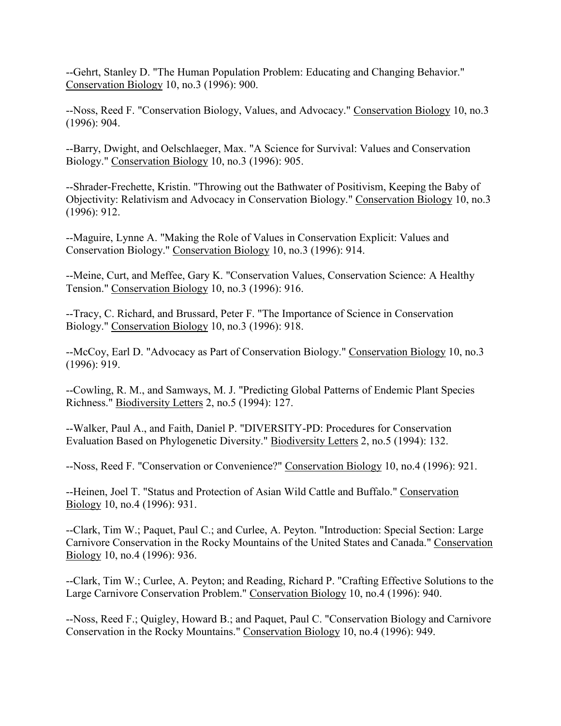--Gehrt, Stanley D. "The Human Population Problem: Educating and Changing Behavior." Conservation Biology 10, no.3 (1996): 900.

--Noss, Reed F. "Conservation Biology, Values, and Advocacy." Conservation Biology 10, no.3 (1996): 904.

--Barry, Dwight, and Oelschlaeger, Max. "A Science for Survival: Values and Conservation Biology." Conservation Biology 10, no.3 (1996): 905.

--Shrader-Frechette, Kristin. "Throwing out the Bathwater of Positivism, Keeping the Baby of Objectivity: Relativism and Advocacy in Conservation Biology." Conservation Biology 10, no.3 (1996): 912.

--Maguire, Lynne A. "Making the Role of Values in Conservation Explicit: Values and Conservation Biology." Conservation Biology 10, no.3 (1996): 914.

--Meine, Curt, and Meffee, Gary K. "Conservation Values, Conservation Science: A Healthy Tension." Conservation Biology 10, no.3 (1996): 916.

--Tracy, C. Richard, and Brussard, Peter F. "The Importance of Science in Conservation Biology." Conservation Biology 10, no.3 (1996): 918.

--McCoy, Earl D. "Advocacy as Part of Conservation Biology." Conservation Biology 10, no.3 (1996): 919.

--Cowling, R. M., and Samways, M. J. "Predicting Global Patterns of Endemic Plant Species Richness." Biodiversity Letters 2, no.5 (1994): 127.

--Walker, Paul A., and Faith, Daniel P. "DIVERSITY-PD: Procedures for Conservation Evaluation Based on Phylogenetic Diversity." Biodiversity Letters 2, no.5 (1994): 132.

--Noss, Reed F. "Conservation or Convenience?" Conservation Biology 10, no.4 (1996): 921.

--Heinen, Joel T. "Status and Protection of Asian Wild Cattle and Buffalo." Conservation Biology 10, no.4 (1996): 931.

--Clark, Tim W.; Paquet, Paul C.; and Curlee, A. Peyton. "Introduction: Special Section: Large Carnivore Conservation in the Rocky Mountains of the United States and Canada." Conservation Biology 10, no.4 (1996): 936.

--Clark, Tim W.; Curlee, A. Peyton; and Reading, Richard P. "Crafting Effective Solutions to the Large Carnivore Conservation Problem." Conservation Biology 10, no.4 (1996): 940.

--Noss, Reed F.; Quigley, Howard B.; and Paquet, Paul C. "Conservation Biology and Carnivore Conservation in the Rocky Mountains." Conservation Biology 10, no.4 (1996): 949.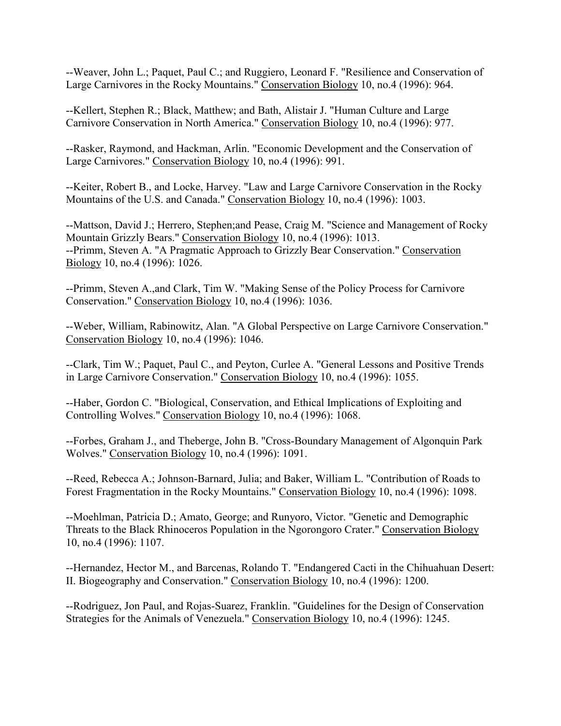--Weaver, John L.; Paquet, Paul C.; and Ruggiero, Leonard F. "Resilience and Conservation of Large Carnivores in the Rocky Mountains." Conservation Biology 10, no.4 (1996): 964.

--Kellert, Stephen R.; Black, Matthew; and Bath, Alistair J. "Human Culture and Large Carnivore Conservation in North America." Conservation Biology 10, no.4 (1996): 977.

--Rasker, Raymond, and Hackman, Arlin. "Economic Development and the Conservation of Large Carnivores." Conservation Biology 10, no.4 (1996): 991.

--Keiter, Robert B., and Locke, Harvey. "Law and Large Carnivore Conservation in the Rocky Mountains of the U.S. and Canada." Conservation Biology 10, no.4 (1996): 1003.

--Mattson, David J.; Herrero, Stephen;and Pease, Craig M. "Science and Management of Rocky Mountain Grizzly Bears." Conservation Biology 10, no.4 (1996): 1013. --Primm, Steven A. "A Pragmatic Approach to Grizzly Bear Conservation." Conservation Biology 10, no.4 (1996): 1026.

--Primm, Steven A.,and Clark, Tim W. "Making Sense of the Policy Process for Carnivore Conservation." Conservation Biology 10, no.4 (1996): 1036.

--Weber, William, Rabinowitz, Alan. "A Global Perspective on Large Carnivore Conservation." Conservation Biology 10, no.4 (1996): 1046.

--Clark, Tim W.; Paquet, Paul C., and Peyton, Curlee A. "General Lessons and Positive Trends in Large Carnivore Conservation." Conservation Biology 10, no.4 (1996): 1055.

--Haber, Gordon C. "Biological, Conservation, and Ethical Implications of Exploiting and Controlling Wolves." Conservation Biology 10, no.4 (1996): 1068.

--Forbes, Graham J., and Theberge, John B. "Cross-Boundary Management of Algonquin Park Wolves." Conservation Biology 10, no.4 (1996): 1091.

--Reed, Rebecca A.; Johnson-Barnard, Julia; and Baker, William L. "Contribution of Roads to Forest Fragmentation in the Rocky Mountains." Conservation Biology 10, no.4 (1996): 1098.

--Moehlman, Patricia D.; Amato, George; and Runyoro, Victor. "Genetic and Demographic Threats to the Black Rhinoceros Population in the Ngorongoro Crater." Conservation Biology 10, no.4 (1996): 1107.

--Hernandez, Hector M., and Barcenas, Rolando T. "Endangered Cacti in the Chihuahuan Desert: II. Biogeography and Conservation." Conservation Biology 10, no.4 (1996): 1200.

--Rodriguez, Jon Paul, and Rojas-Suarez, Franklin. "Guidelines for the Design of Conservation Strategies for the Animals of Venezuela." Conservation Biology 10, no.4 (1996): 1245.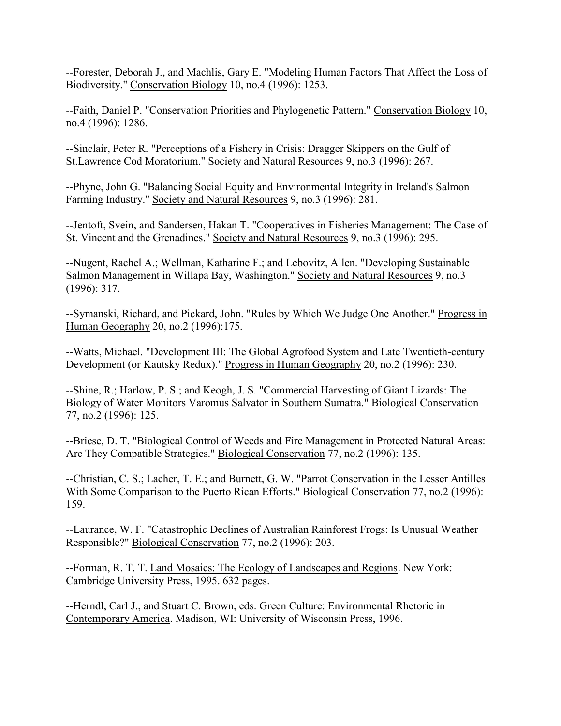--Forester, Deborah J., and Machlis, Gary E. "Modeling Human Factors That Affect the Loss of Biodiversity." Conservation Biology 10, no.4 (1996): 1253.

--Faith, Daniel P. "Conservation Priorities and Phylogenetic Pattern." Conservation Biology 10, no.4 (1996): 1286.

--Sinclair, Peter R. "Perceptions of a Fishery in Crisis: Dragger Skippers on the Gulf of St.Lawrence Cod Moratorium." Society and Natural Resources 9, no.3 (1996): 267.

--Phyne, John G. "Balancing Social Equity and Environmental Integrity in Ireland's Salmon Farming Industry." Society and Natural Resources 9, no.3 (1996): 281.

--Jentoft, Svein, and Sandersen, Hakan T. "Cooperatives in Fisheries Management: The Case of St. Vincent and the Grenadines." Society and Natural Resources 9, no.3 (1996): 295.

--Nugent, Rachel A.; Wellman, Katharine F.; and Lebovitz, Allen. "Developing Sustainable Salmon Management in Willapa Bay, Washington." Society and Natural Resources 9, no.3 (1996): 317.

--Symanski, Richard, and Pickard, John. "Rules by Which We Judge One Another." Progress in Human Geography 20, no.2 (1996):175.

--Watts, Michael. "Development III: The Global Agrofood System and Late Twentieth-century Development (or Kautsky Redux)." Progress in Human Geography 20, no.2 (1996): 230.

--Shine, R.; Harlow, P. S.; and Keogh, J. S. "Commercial Harvesting of Giant Lizards: The Biology of Water Monitors Varomus Salvator in Southern Sumatra." Biological Conservation 77, no.2 (1996): 125.

--Briese, D. T. "Biological Control of Weeds and Fire Management in Protected Natural Areas: Are They Compatible Strategies." Biological Conservation 77, no.2 (1996): 135.

--Christian, C. S.; Lacher, T. E.; and Burnett, G. W. "Parrot Conservation in the Lesser Antilles With Some Comparison to the Puerto Rican Efforts." Biological Conservation 77, no.2 (1996): 159.

--Laurance, W. F. "Catastrophic Declines of Australian Rainforest Frogs: Is Unusual Weather Responsible?" Biological Conservation 77, no.2 (1996): 203.

--Forman, R. T. T. Land Mosaics: The Ecology of Landscapes and Regions. New York: Cambridge University Press, 1995. 632 pages.

--Herndl, Carl J., and Stuart C. Brown, eds. Green Culture: Environmental Rhetoric in Contemporary America. Madison, WI: University of Wisconsin Press, 1996.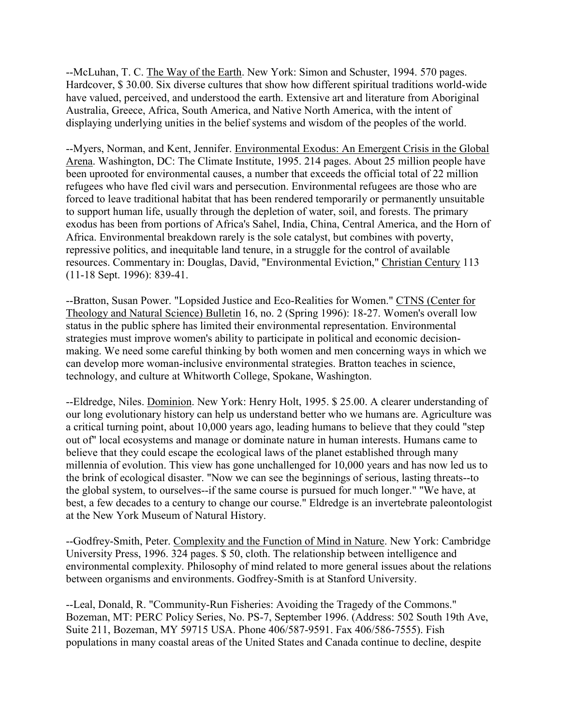--McLuhan, T. C. The Way of the Earth. New York: Simon and Schuster, 1994. 570 pages. Hardcover, \$ 30.00. Six diverse cultures that show how different spiritual traditions world-wide have valued, perceived, and understood the earth. Extensive art and literature from Aboriginal Australia, Greece, Africa, South America, and Native North America, with the intent of displaying underlying unities in the belief systems and wisdom of the peoples of the world.

--Myers, Norman, and Kent, Jennifer. Environmental Exodus: An Emergent Crisis in the Global Arena. Washington, DC: The Climate Institute, 1995. 214 pages. About 25 million people have been uprooted for environmental causes, a number that exceeds the official total of 22 million refugees who have fled civil wars and persecution. Environmental refugees are those who are forced to leave traditional habitat that has been rendered temporarily or permanently unsuitable to support human life, usually through the depletion of water, soil, and forests. The primary exodus has been from portions of Africa's Sahel, India, China, Central America, and the Horn of Africa. Environmental breakdown rarely is the sole catalyst, but combines with poverty, repressive politics, and inequitable land tenure, in a struggle for the control of available resources. Commentary in: Douglas, David, "Environmental Eviction," Christian Century 113 (11-18 Sept. 1996): 839-41.

--Bratton, Susan Power. "Lopsided Justice and Eco-Realities for Women." CTNS (Center for Theology and Natural Science) Bulletin 16, no. 2 (Spring 1996): 18-27. Women's overall low status in the public sphere has limited their environmental representation. Environmental strategies must improve women's ability to participate in political and economic decisionmaking. We need some careful thinking by both women and men concerning ways in which we can develop more woman-inclusive environmental strategies. Bratton teaches in science, technology, and culture at Whitworth College, Spokane, Washington.

--Eldredge, Niles. Dominion. New York: Henry Holt, 1995. \$ 25.00. A clearer understanding of our long evolutionary history can help us understand better who we humans are. Agriculture was a critical turning point, about 10,000 years ago, leading humans to believe that they could "step out of" local ecosystems and manage or dominate nature in human interests. Humans came to believe that they could escape the ecological laws of the planet established through many millennia of evolution. This view has gone unchallenged for 10,000 years and has now led us to the brink of ecological disaster. "Now we can see the beginnings of serious, lasting threats--to the global system, to ourselves--if the same course is pursued for much longer." "We have, at best, a few decades to a century to change our course." Eldredge is an invertebrate paleontologist at the New York Museum of Natural History.

--Godfrey-Smith, Peter. Complexity and the Function of Mind in Nature. New York: Cambridge University Press, 1996. 324 pages. \$ 50, cloth. The relationship between intelligence and environmental complexity. Philosophy of mind related to more general issues about the relations between organisms and environments. Godfrey-Smith is at Stanford University.

--Leal, Donald, R. "Community-Run Fisheries: Avoiding the Tragedy of the Commons." Bozeman, MT: PERC Policy Series, No. PS-7, September 1996. (Address: 502 South 19th Ave, Suite 211, Bozeman, MY 59715 USA. Phone 406/587-9591. Fax 406/586-7555). Fish populations in many coastal areas of the United States and Canada continue to decline, despite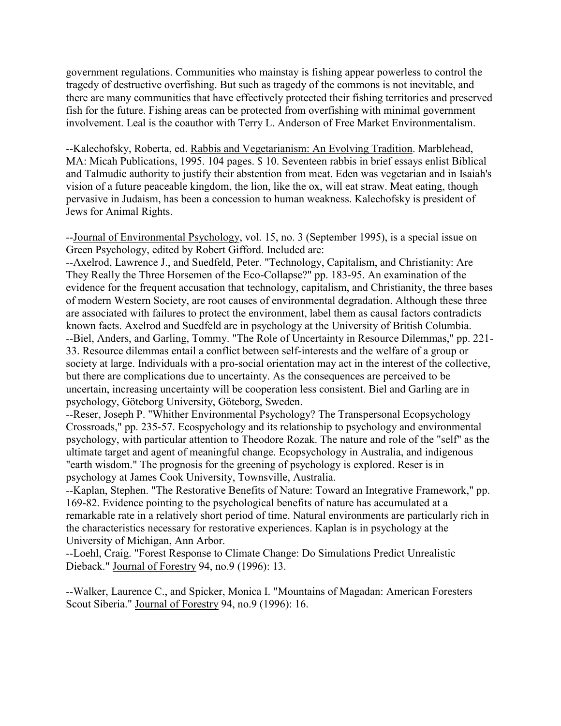government regulations. Communities who mainstay is fishing appear powerless to control the tragedy of destructive overfishing. But such as tragedy of the commons is not inevitable, and there are many communities that have effectively protected their fishing territories and preserved fish for the future. Fishing areas can be protected from overfishing with minimal government involvement. Leal is the coauthor with Terry L. Anderson of Free Market Environmentalism.

--Kalechofsky, Roberta, ed. Rabbis and Vegetarianism: An Evolving Tradition. Marblehead, MA: Micah Publications, 1995. 104 pages. \$ 10. Seventeen rabbis in brief essays enlist Biblical and Talmudic authority to justify their abstention from meat. Eden was vegetarian and in Isaiah's vision of a future peaceable kingdom, the lion, like the ox, will eat straw. Meat eating, though pervasive in Judaism, has been a concession to human weakness. Kalechofsky is president of Jews for Animal Rights.

--Journal of Environmental Psychology, vol. 15, no. 3 (September 1995), is a special issue on Green Psychology, edited by Robert Gifford. Included are:

--Axelrod, Lawrence J., and Suedfeld, Peter. "Technology, Capitalism, and Christianity: Are They Really the Three Horsemen of the Eco-Collapse?" pp. 183-95. An examination of the evidence for the frequent accusation that technology, capitalism, and Christianity, the three bases of modern Western Society, are root causes of environmental degradation. Although these three are associated with failures to protect the environment, label them as causal factors contradicts known facts. Axelrod and Suedfeld are in psychology at the University of British Columbia. --Biel, Anders, and Garling, Tommy. "The Role of Uncertainty in Resource Dilemmas," pp. 221- 33. Resource dilemmas entail a conflict between self-interests and the welfare of a group or society at large. Individuals with a pro-social orientation may act in the interest of the collective, but there are complications due to uncertainty. As the consequences are perceived to be uncertain, increasing uncertainty will be cooperation less consistent. Biel and Garling are in psychology, Göteborg University, Göteborg, Sweden.

--Reser, Joseph P. "Whither Environmental Psychology? The Transpersonal Ecopsychology Crossroads," pp. 235-57. Ecospychology and its relationship to psychology and environmental psychology, with particular attention to Theodore Rozak. The nature and role of the "self" as the ultimate target and agent of meaningful change. Ecopsychology in Australia, and indigenous "earth wisdom." The prognosis for the greening of psychology is explored. Reser is in psychology at James Cook University, Townsville, Australia.

--Kaplan, Stephen. "The Restorative Benefits of Nature: Toward an Integrative Framework," pp. 169-82. Evidence pointing to the psychological benefits of nature has accumulated at a remarkable rate in a relatively short period of time. Natural environments are particularly rich in the characteristics necessary for restorative experiences. Kaplan is in psychology at the University of Michigan, Ann Arbor.

--Loehl, Craig. "Forest Response to Climate Change: Do Simulations Predict Unrealistic Dieback." Journal of Forestry 94, no.9 (1996): 13.

--Walker, Laurence C., and Spicker, Monica I. "Mountains of Magadan: American Foresters Scout Siberia." Journal of Forestry 94, no.9 (1996): 16.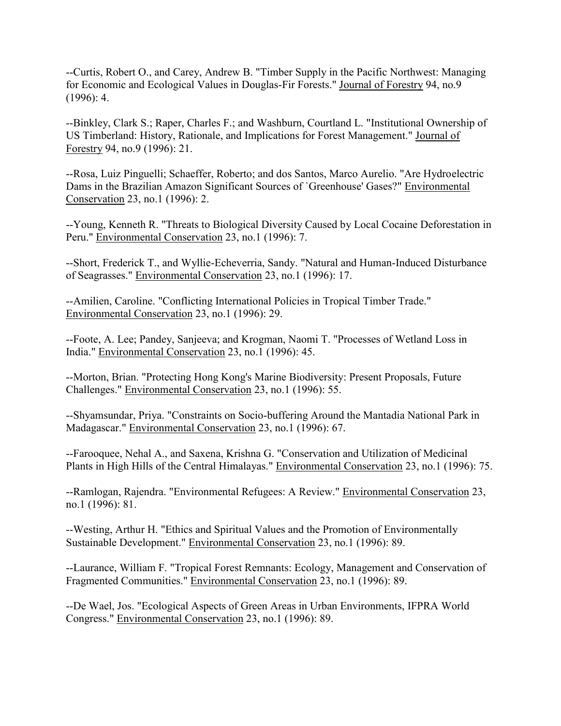--Curtis, Robert O., and Carey, Andrew B. "Timber Supply in the Pacific Northwest: Managing for Economic and Ecological Values in Douglas-Fir Forests." Journal of Forestry 94, no.9  $(1996): 4.$ 

--Binkley, Clark S.; Raper, Charles F.; and Washburn, Courtland L. "Institutional Ownership of US Timberland: History, Rationale, and Implications for Forest Management." Journal of Forestry 94, no.9 (1996): 21.

--Rosa, Luiz Pinguelli; Schaeffer, Roberto; and dos Santos, Marco Aurelio. "Are Hydroelectric Dams in the Brazilian Amazon Significant Sources of `Greenhouse' Gases?" Environmental Conservation 23, no.1 (1996): 2.

--Young, Kenneth R. "Threats to Biological Diversity Caused by Local Cocaine Deforestation in Peru." Environmental Conservation 23, no.1 (1996): 7.

--Short, Frederick T., and Wyllie-Echeverria, Sandy. "Natural and Human-Induced Disturbance of Seagrasses." Environmental Conservation 23, no.1 (1996): 17.

--Amilien, Caroline. "Conflicting International Policies in Tropical Timber Trade." Environmental Conservation 23, no.1 (1996): 29.

--Foote, A. Lee; Pandey, Sanjeeva; and Krogman, Naomi T. "Processes of Wetland Loss in India." Environmental Conservation 23, no.1 (1996): 45.

--Morton, Brian. "Protecting Hong Kong's Marine Biodiversity: Present Proposals, Future Challenges." Environmental Conservation 23, no.1 (1996): 55.

--Shyamsundar, Priya. "Constraints on Socio-buffering Around the Mantadia National Park in Madagascar." Environmental Conservation 23, no.1 (1996): 67.

--Farooquee, Nehal A., and Saxena, Krishna G. "Conservation and Utilization of Medicinal Plants in High Hills of the Central Himalayas." Environmental Conservation 23, no.1 (1996): 75.

--Ramlogan, Rajendra. "Environmental Refugees: A Review." Environmental Conservation 23, no.1 (1996): 81.

--Westing, Arthur H. "Ethics and Spiritual Values and the Promotion of Environmentally Sustainable Development." Environmental Conservation 23, no.1 (1996): 89.

--Laurance, William F. "Tropical Forest Remnants: Ecology, Management and Conservation of Fragmented Communities." Environmental Conservation 23, no.1 (1996): 89.

--De Wael, Jos. "Ecological Aspects of Green Areas in Urban Environments, IFPRA World Congress." Environmental Conservation 23, no.1 (1996): 89.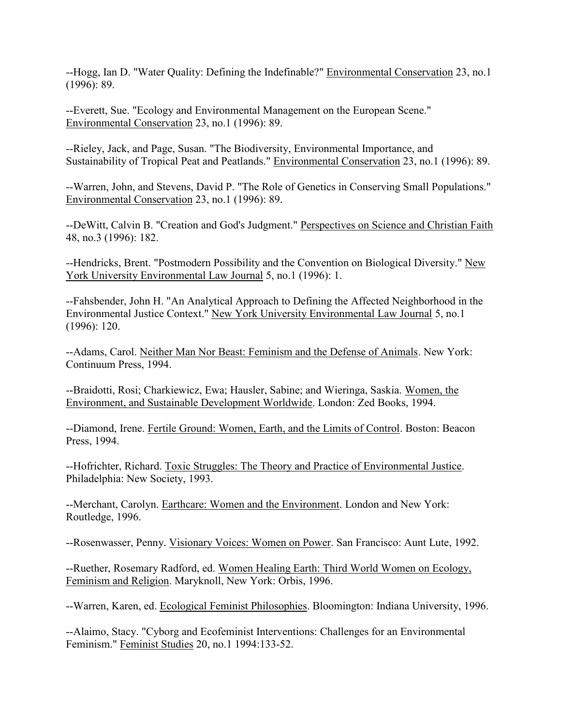--Hogg, Ian D. "Water Quality: Defining the Indefinable?" Environmental Conservation 23, no.1 (1996): 89.

--Everett, Sue. "Ecology and Environmental Management on the European Scene." Environmental Conservation 23, no.1 (1996): 89.

--Rieley, Jack, and Page, Susan. "The Biodiversity, Environmental Importance, and Sustainability of Tropical Peat and Peatlands." Environmental Conservation 23, no.1 (1996): 89.

--Warren, John, and Stevens, David P. "The Role of Genetics in Conserving Small Populations." Environmental Conservation 23, no.1 (1996): 89.

--DeWitt, Calvin B. "Creation and God's Judgment." Perspectives on Science and Christian Faith 48, no.3 (1996): 182.

--Hendricks, Brent. "Postmodern Possibility and the Convention on Biological Diversity." New York University Environmental Law Journal 5, no.1 (1996): 1.

--Fahsbender, John H. "An Analytical Approach to Defining the Affected Neighborhood in the Environmental Justice Context." New York University Environmental Law Journal 5, no.1 (1996): 120.

--Adams, Carol. Neither Man Nor Beast: Feminism and the Defense of Animals. New York: Continuum Press, 1994.

--Braidotti, Rosi; Charkiewicz, Ewa; Hausler, Sabine; and Wieringa, Saskia. Women, the Environment, and Sustainable Development Worldwide. London: Zed Books, 1994.

--Diamond, Irene. Fertile Ground: Women, Earth, and the Limits of Control. Boston: Beacon Press, 1994.

--Hofrichter, Richard. Toxic Struggles: The Theory and Practice of Environmental Justice. Philadelphia: New Society, 1993.

--Merchant, Carolyn. Earthcare: Women and the Environment. London and New York: Routledge, 1996.

--Rosenwasser, Penny. Visionary Voices: Women on Power. San Francisco: Aunt Lute, 1992.

--Ruether, Rosemary Radford, ed. Women Healing Earth: Third World Women on Ecology, Feminism and Religion. Maryknoll, New York: Orbis, 1996.

--Warren, Karen, ed. Ecological Feminist Philosophies. Bloomington: Indiana University, 1996.

--Alaimo, Stacy. "Cyborg and Ecofeminist Interventions: Challenges for an Environmental Feminism." Feminist Studies 20, no.1 1994:133-52.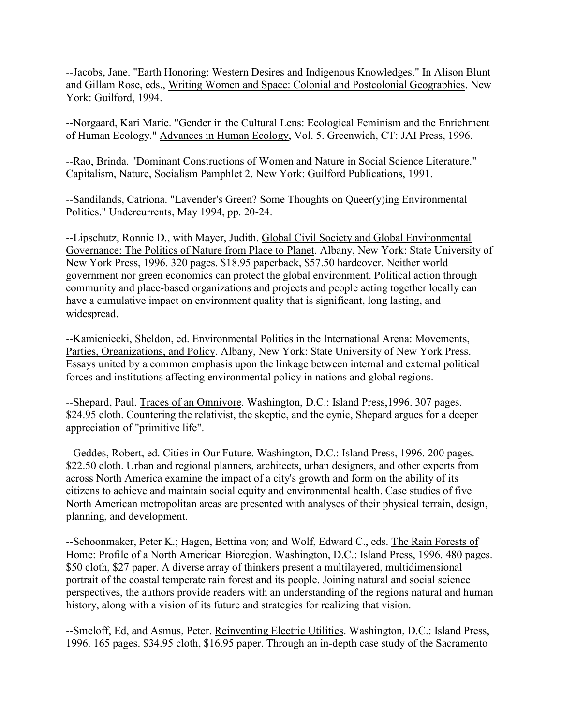--Jacobs, Jane. "Earth Honoring: Western Desires and Indigenous Knowledges." In Alison Blunt and Gillam Rose, eds., Writing Women and Space: Colonial and Postcolonial Geographies. New York: Guilford, 1994.

--Norgaard, Kari Marie. "Gender in the Cultural Lens: Ecological Feminism and the Enrichment of Human Ecology." Advances in Human Ecology, Vol. 5. Greenwich, CT: JAI Press, 1996.

--Rao, Brinda. "Dominant Constructions of Women and Nature in Social Science Literature." Capitalism, Nature, Socialism Pamphlet 2. New York: Guilford Publications, 1991.

--Sandilands, Catriona. "Lavender's Green? Some Thoughts on Queer(y)ing Environmental Politics." Undercurrents, May 1994, pp. 20-24.

--Lipschutz, Ronnie D., with Mayer, Judith. Global Civil Society and Global Environmental Governance: The Politics of Nature from Place to Planet. Albany, New York: State University of New York Press, 1996. 320 pages. \$18.95 paperback, \$57.50 hardcover. Neither world government nor green economics can protect the global environment. Political action through community and place-based organizations and projects and people acting together locally can have a cumulative impact on environment quality that is significant, long lasting, and widespread.

--Kamieniecki, Sheldon, ed. Environmental Politics in the International Arena: Movements, Parties, Organizations, and Policy. Albany, New York: State University of New York Press. Essays united by a common emphasis upon the linkage between internal and external political forces and institutions affecting environmental policy in nations and global regions.

--Shepard, Paul. Traces of an Omnivore. Washington, D.C.: Island Press,1996. 307 pages. \$24.95 cloth. Countering the relativist, the skeptic, and the cynic, Shepard argues for a deeper appreciation of "primitive life".

--Geddes, Robert, ed. Cities in Our Future. Washington, D.C.: Island Press, 1996. 200 pages. \$22.50 cloth. Urban and regional planners, architects, urban designers, and other experts from across North America examine the impact of a city's growth and form on the ability of its citizens to achieve and maintain social equity and environmental health. Case studies of five North American metropolitan areas are presented with analyses of their physical terrain, design, planning, and development.

--Schoonmaker, Peter K.; Hagen, Bettina von; and Wolf, Edward C., eds. The Rain Forests of Home: Profile of a North American Bioregion. Washington, D.C.: Island Press, 1996. 480 pages. \$50 cloth, \$27 paper. A diverse array of thinkers present a multilayered, multidimensional portrait of the coastal temperate rain forest and its people. Joining natural and social science perspectives, the authors provide readers with an understanding of the regions natural and human history, along with a vision of its future and strategies for realizing that vision.

--Smeloff, Ed, and Asmus, Peter. Reinventing Electric Utilities. Washington, D.C.: Island Press, 1996. 165 pages. \$34.95 cloth, \$16.95 paper. Through an in-depth case study of the Sacramento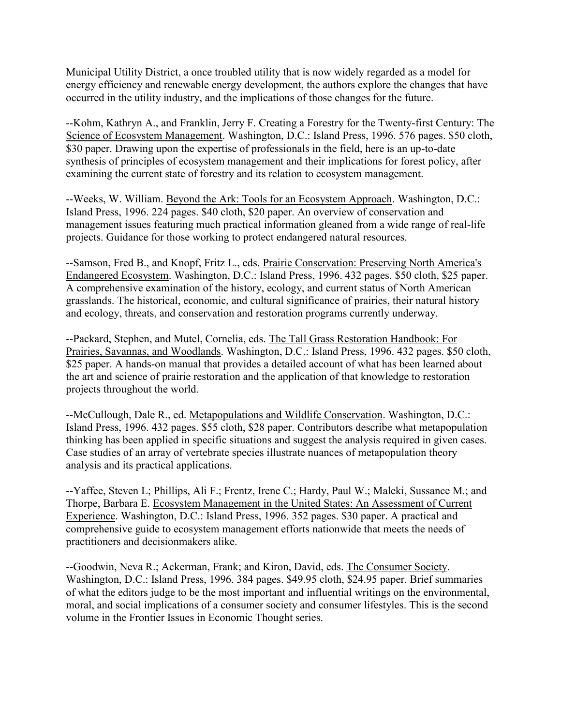Municipal Utility District, a once troubled utility that is now widely regarded as a model for energy efficiency and renewable energy development, the authors explore the changes that have occurred in the utility industry, and the implications of those changes for the future.

--Kohm, Kathryn A., and Franklin, Jerry F. Creating a Forestry for the Twenty-first Century: The Science of Ecosystem Management. Washington, D.C.: Island Press, 1996. 576 pages. \$50 cloth, \$30 paper. Drawing upon the expertise of professionals in the field, here is an up-to-date synthesis of principles of ecosystem management and their implications for forest policy, after examining the current state of forestry and its relation to ecosystem management.

--Weeks, W. William. Beyond the Ark: Tools for an Ecosystem Approach. Washington, D.C.: Island Press, 1996. 224 pages. \$40 cloth, \$20 paper. An overview of conservation and management issues featuring much practical information gleaned from a wide range of real-life projects. Guidance for those working to protect endangered natural resources.

--Samson, Fred B., and Knopf, Fritz L., eds. Prairie Conservation: Preserving North America's Endangered Ecosystem. Washington, D.C.: Island Press, 1996. 432 pages. \$50 cloth, \$25 paper. A comprehensive examination of the history, ecology, and current status of North American grasslands. The historical, economic, and cultural significance of prairies, their natural history and ecology, threats, and conservation and restoration programs currently underway.

--Packard, Stephen, and Mutel, Cornelia, eds. The Tall Grass Restoration Handbook: For Prairies, Savannas, and Woodlands. Washington, D.C.: Island Press, 1996. 432 pages. \$50 cloth, \$25 paper. A hands-on manual that provides a detailed account of what has been learned about the art and science of prairie restoration and the application of that knowledge to restoration projects throughout the world.

--McCullough, Dale R., ed. Metapopulations and Wildlife Conservation. Washington, D.C.: Island Press, 1996. 432 pages. \$55 cloth, \$28 paper. Contributors describe what metapopulation thinking has been applied in specific situations and suggest the analysis required in given cases. Case studies of an array of vertebrate species illustrate nuances of metapopulation theory analysis and its practical applications.

--Yaffee, Steven L; Phillips, Ali F.; Frentz, Irene C.; Hardy, Paul W.; Maleki, Sussance M.; and Thorpe, Barbara E. Ecosystem Management in the United States: An Assessment of Current Experience. Washington, D.C.: Island Press, 1996. 352 pages. \$30 paper. A practical and comprehensive guide to ecosystem management efforts nationwide that meets the needs of practitioners and decisionmakers alike.

--Goodwin, Neva R.; Ackerman, Frank; and Kiron, David, eds. The Consumer Society. Washington, D.C.: Island Press, 1996. 384 pages. \$49.95 cloth, \$24.95 paper. Brief summaries of what the editors judge to be the most important and influential writings on the environmental, moral, and social implications of a consumer society and consumer lifestyles. This is the second volume in the Frontier Issues in Economic Thought series.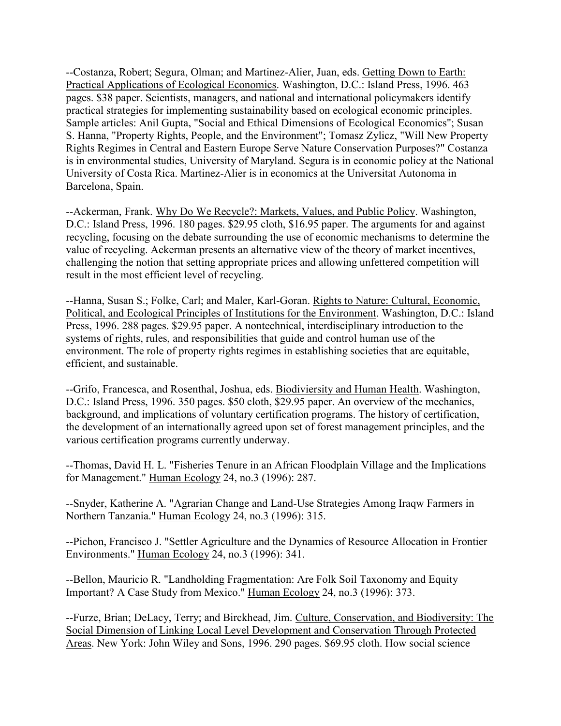--Costanza, Robert; Segura, Olman; and Martinez-Alier, Juan, eds. Getting Down to Earth: Practical Applications of Ecological Economics. Washington, D.C.: Island Press, 1996. 463 pages. \$38 paper. Scientists, managers, and national and international policymakers identify practical strategies for implementing sustainability based on ecological economic principles. Sample articles: Anil Gupta, "Social and Ethical Dimensions of Ecological Economics"; Susan S. Hanna, "Property Rights, People, and the Environment"; Tomasz Zylicz, "Will New Property Rights Regimes in Central and Eastern Europe Serve Nature Conservation Purposes?" Costanza is in environmental studies, University of Maryland. Segura is in economic policy at the National University of Costa Rica. Martinez-Alier is in economics at the Universitat Autonoma in Barcelona, Spain.

--Ackerman, Frank. Why Do We Recycle?: Markets, Values, and Public Policy. Washington, D.C.: Island Press, 1996. 180 pages. \$29.95 cloth, \$16.95 paper. The arguments for and against recycling, focusing on the debate surrounding the use of economic mechanisms to determine the value of recycling. Ackerman presents an alternative view of the theory of market incentives, challenging the notion that setting appropriate prices and allowing unfettered competition will result in the most efficient level of recycling.

--Hanna, Susan S.; Folke, Carl; and Maler, Karl-Goran. Rights to Nature: Cultural, Economic, Political, and Ecological Principles of Institutions for the Environment. Washington, D.C.: Island Press, 1996. 288 pages. \$29.95 paper. A nontechnical, interdisciplinary introduction to the systems of rights, rules, and responsibilities that guide and control human use of the environment. The role of property rights regimes in establishing societies that are equitable, efficient, and sustainable.

--Grifo, Francesca, and Rosenthal, Joshua, eds. Biodiviersity and Human Health. Washington, D.C.: Island Press, 1996. 350 pages. \$50 cloth, \$29.95 paper. An overview of the mechanics, background, and implications of voluntary certification programs. The history of certification, the development of an internationally agreed upon set of forest management principles, and the various certification programs currently underway.

--Thomas, David H. L. "Fisheries Tenure in an African Floodplain Village and the Implications for Management." Human Ecology 24, no.3 (1996): 287.

--Snyder, Katherine A. "Agrarian Change and Land-Use Strategies Among Iraqw Farmers in Northern Tanzania." Human Ecology 24, no.3 (1996): 315.

--Pichon, Francisco J. "Settler Agriculture and the Dynamics of Resource Allocation in Frontier Environments." Human Ecology 24, no.3 (1996): 341.

--Bellon, Mauricio R. "Landholding Fragmentation: Are Folk Soil Taxonomy and Equity Important? A Case Study from Mexico." Human Ecology 24, no.3 (1996): 373.

--Furze, Brian; DeLacy, Terry; and Birckhead, Jim. Culture, Conservation, and Biodiversity: The Social Dimension of Linking Local Level Development and Conservation Through Protected Areas. New York: John Wiley and Sons, 1996. 290 pages. \$69.95 cloth. How social science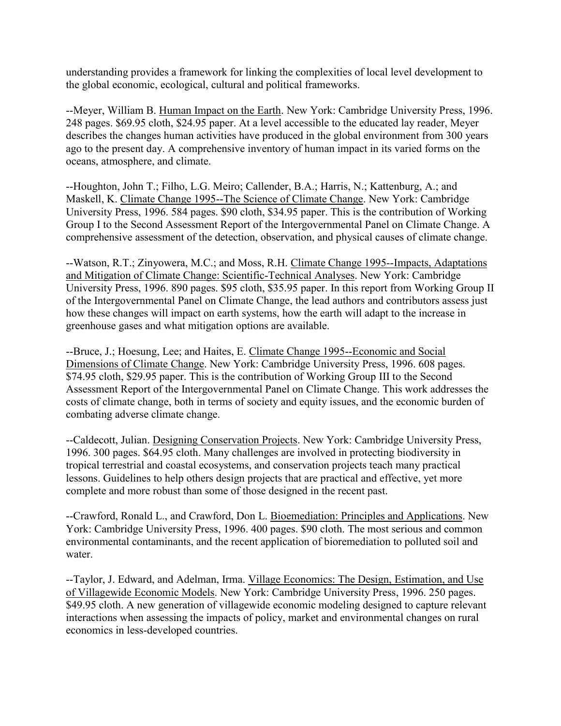understanding provides a framework for linking the complexities of local level development to the global economic, ecological, cultural and political frameworks.

--Meyer, William B. Human Impact on the Earth. New York: Cambridge University Press, 1996. 248 pages. \$69.95 cloth, \$24.95 paper. At a level accessible to the educated lay reader, Meyer describes the changes human activities have produced in the global environment from 300 years ago to the present day. A comprehensive inventory of human impact in its varied forms on the oceans, atmosphere, and climate.

--Houghton, John T.; Filho, L.G. Meiro; Callender, B.A.; Harris, N.; Kattenburg, A.; and Maskell, K. Climate Change 1995--The Science of Climate Change. New York: Cambridge University Press, 1996. 584 pages. \$90 cloth, \$34.95 paper. This is the contribution of Working Group I to the Second Assessment Report of the Intergovernmental Panel on Climate Change. A comprehensive assessment of the detection, observation, and physical causes of climate change.

--Watson, R.T.; Zinyowera, M.C.; and Moss, R.H. Climate Change 1995--Impacts, Adaptations and Mitigation of Climate Change: Scientific-Technical Analyses. New York: Cambridge University Press, 1996. 890 pages. \$95 cloth, \$35.95 paper. In this report from Working Group II of the Intergovernmental Panel on Climate Change, the lead authors and contributors assess just how these changes will impact on earth systems, how the earth will adapt to the increase in greenhouse gases and what mitigation options are available.

--Bruce, J.; Hoesung, Lee; and Haites, E. Climate Change 1995--Economic and Social Dimensions of Climate Change. New York: Cambridge University Press, 1996. 608 pages. \$74.95 cloth, \$29.95 paper. This is the contribution of Working Group III to the Second Assessment Report of the Intergovernmental Panel on Climate Change. This work addresses the costs of climate change, both in terms of society and equity issues, and the economic burden of combating adverse climate change.

--Caldecott, Julian. Designing Conservation Projects. New York: Cambridge University Press, 1996. 300 pages. \$64.95 cloth. Many challenges are involved in protecting biodiversity in tropical terrestrial and coastal ecosystems, and conservation projects teach many practical lessons. Guidelines to help others design projects that are practical and effective, yet more complete and more robust than some of those designed in the recent past.

--Crawford, Ronald L., and Crawford, Don L. Bioemediation: Principles and Applications. New York: Cambridge University Press, 1996. 400 pages. \$90 cloth. The most serious and common environmental contaminants, and the recent application of bioremediation to polluted soil and water.

--Taylor, J. Edward, and Adelman, Irma. Village Economics: The Design, Estimation, and Use of Villagewide Economic Models. New York: Cambridge University Press, 1996. 250 pages. \$49.95 cloth. A new generation of villagewide economic modeling designed to capture relevant interactions when assessing the impacts of policy, market and environmental changes on rural economics in less-developed countries.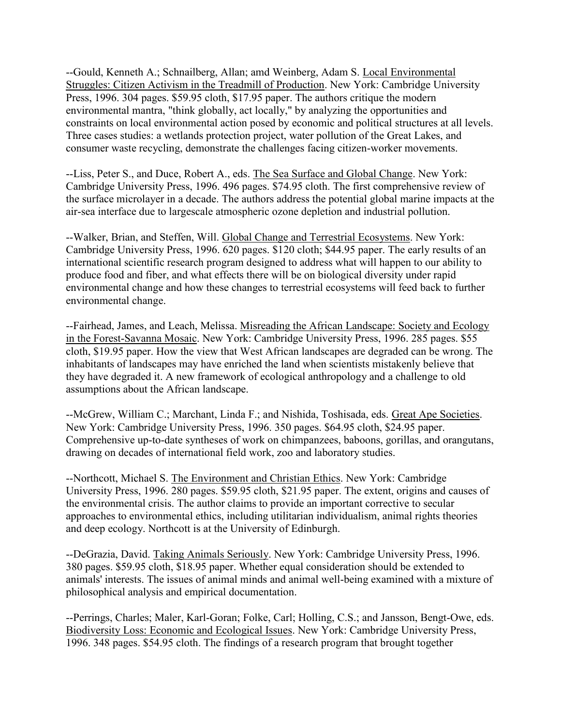--Gould, Kenneth A.; Schnailberg, Allan; amd Weinberg, Adam S. Local Environmental Struggles: Citizen Activism in the Treadmill of Production. New York: Cambridge University Press, 1996. 304 pages. \$59.95 cloth, \$17.95 paper. The authors critique the modern environmental mantra, "think globally, act locally," by analyzing the opportunities and constraints on local environmental action posed by economic and political structures at all levels. Three cases studies: a wetlands protection project, water pollution of the Great Lakes, and consumer waste recycling, demonstrate the challenges facing citizen-worker movements.

--Liss, Peter S., and Duce, Robert A., eds. The Sea Surface and Global Change. New York: Cambridge University Press, 1996. 496 pages. \$74.95 cloth. The first comprehensive review of the surface microlayer in a decade. The authors address the potential global marine impacts at the air-sea interface due to largescale atmospheric ozone depletion and industrial pollution.

--Walker, Brian, and Steffen, Will. Global Change and Terrestrial Ecosystems. New York: Cambridge University Press, 1996. 620 pages. \$120 cloth; \$44.95 paper. The early results of an international scientific research program designed to address what will happen to our ability to produce food and fiber, and what effects there will be on biological diversity under rapid environmental change and how these changes to terrestrial ecosystems will feed back to further environmental change.

--Fairhead, James, and Leach, Melissa. Misreading the African Landscape: Society and Ecology in the Forest-Savanna Mosaic. New York: Cambridge University Press, 1996. 285 pages. \$55 cloth, \$19.95 paper. How the view that West African landscapes are degraded can be wrong. The inhabitants of landscapes may have enriched the land when scientists mistakenly believe that they have degraded it. A new framework of ecological anthropology and a challenge to old assumptions about the African landscape.

--McGrew, William C.; Marchant, Linda F.; and Nishida, Toshisada, eds. Great Ape Societies. New York: Cambridge University Press, 1996. 350 pages. \$64.95 cloth, \$24.95 paper. Comprehensive up-to-date syntheses of work on chimpanzees, baboons, gorillas, and orangutans, drawing on decades of international field work, zoo and laboratory studies.

--Northcott, Michael S. The Environment and Christian Ethics. New York: Cambridge University Press, 1996. 280 pages. \$59.95 cloth, \$21.95 paper. The extent, origins and causes of the environmental crisis. The author claims to provide an important corrective to secular approaches to environmental ethics, including utilitarian individualism, animal rights theories and deep ecology. Northcott is at the University of Edinburgh.

--DeGrazia, David. Taking Animals Seriously. New York: Cambridge University Press, 1996. 380 pages. \$59.95 cloth, \$18.95 paper. Whether equal consideration should be extended to animals' interests. The issues of animal minds and animal well-being examined with a mixture of philosophical analysis and empirical documentation.

--Perrings, Charles; Maler, Karl-Goran; Folke, Carl; Holling, C.S.; and Jansson, Bengt-Owe, eds. Biodiversity Loss: Economic and Ecological Issues. New York: Cambridge University Press, 1996. 348 pages. \$54.95 cloth. The findings of a research program that brought together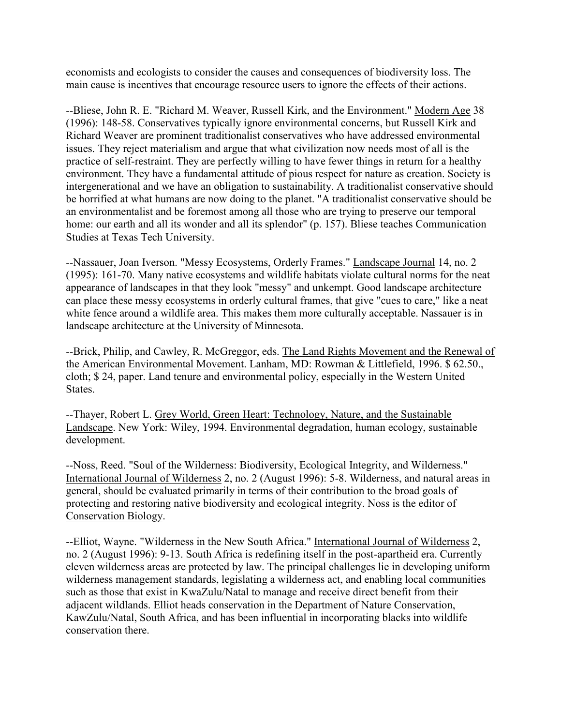economists and ecologists to consider the causes and consequences of biodiversity loss. The main cause is incentives that encourage resource users to ignore the effects of their actions.

--Bliese, John R. E. "Richard M. Weaver, Russell Kirk, and the Environment." Modern Age 38 (1996): 148-58. Conservatives typically ignore environmental concerns, but Russell Kirk and Richard Weaver are prominent traditionalist conservatives who have addressed environmental issues. They reject materialism and argue that what civilization now needs most of all is the practice of self-restraint. They are perfectly willing to have fewer things in return for a healthy environment. They have a fundamental attitude of pious respect for nature as creation. Society is intergenerational and we have an obligation to sustainability. A traditionalist conservative should be horrified at what humans are now doing to the planet. "A traditionalist conservative should be an environmentalist and be foremost among all those who are trying to preserve our temporal home: our earth and all its wonder and all its splendor" (p. 157). Bliese teaches Communication Studies at Texas Tech University.

--Nassauer, Joan Iverson. "Messy Ecosystems, Orderly Frames." Landscape Journal 14, no. 2 (1995): 161-70. Many native ecosystems and wildlife habitats violate cultural norms for the neat appearance of landscapes in that they look "messy" and unkempt. Good landscape architecture can place these messy ecosystems in orderly cultural frames, that give "cues to care," like a neat white fence around a wildlife area. This makes them more culturally acceptable. Nassauer is in landscape architecture at the University of Minnesota.

--Brick, Philip, and Cawley, R. McGreggor, eds. The Land Rights Movement and the Renewal of the American Environmental Movement. Lanham, MD: Rowman & Littlefield, 1996. \$ 62.50., cloth; \$ 24, paper. Land tenure and environmental policy, especially in the Western United States.

--Thayer, Robert L. Grey World, Green Heart: Technology, Nature, and the Sustainable Landscape. New York: Wiley, 1994. Environmental degradation, human ecology, sustainable development.

--Noss, Reed. "Soul of the Wilderness: Biodiversity, Ecological Integrity, and Wilderness." International Journal of Wilderness 2, no. 2 (August 1996): 5-8. Wilderness, and natural areas in general, should be evaluated primarily in terms of their contribution to the broad goals of protecting and restoring native biodiversity and ecological integrity. Noss is the editor of Conservation Biology.

--Elliot, Wayne. "Wilderness in the New South Africa." International Journal of Wilderness 2, no. 2 (August 1996): 9-13. South Africa is redefining itself in the post-apartheid era. Currently eleven wilderness areas are protected by law. The principal challenges lie in developing uniform wilderness management standards, legislating a wilderness act, and enabling local communities such as those that exist in KwaZulu/Natal to manage and receive direct benefit from their adjacent wildlands. Elliot heads conservation in the Department of Nature Conservation, KawZulu/Natal, South Africa, and has been influential in incorporating blacks into wildlife conservation there.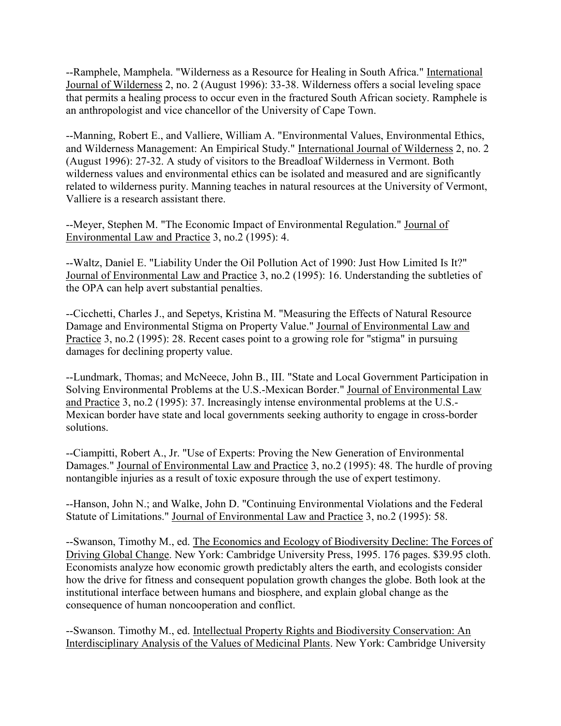--Ramphele, Mamphela. "Wilderness as a Resource for Healing in South Africa." International Journal of Wilderness 2, no. 2 (August 1996): 33-38. Wilderness offers a social leveling space that permits a healing process to occur even in the fractured South African society. Ramphele is an anthropologist and vice chancellor of the University of Cape Town.

--Manning, Robert E., and Valliere, William A. "Environmental Values, Environmental Ethics, and Wilderness Management: An Empirical Study." International Journal of Wilderness 2, no. 2 (August 1996): 27-32. A study of visitors to the Breadloaf Wilderness in Vermont. Both wilderness values and environmental ethics can be isolated and measured and are significantly related to wilderness purity. Manning teaches in natural resources at the University of Vermont, Valliere is a research assistant there.

--Meyer, Stephen M. "The Economic Impact of Environmental Regulation." Journal of Environmental Law and Practice 3, no.2 (1995): 4.

--Waltz, Daniel E. "Liability Under the Oil Pollution Act of 1990: Just How Limited Is It?" Journal of Environmental Law and Practice 3, no.2 (1995): 16. Understanding the subtleties of the OPA can help avert substantial penalties.

--Cicchetti, Charles J., and Sepetys, Kristina M. "Measuring the Effects of Natural Resource Damage and Environmental Stigma on Property Value." Journal of Environmental Law and Practice 3, no.2 (1995): 28. Recent cases point to a growing role for "stigma" in pursuing damages for declining property value.

--Lundmark, Thomas; and McNeece, John B., III. "State and Local Government Participation in Solving Environmental Problems at the U.S.-Mexican Border." Journal of Environmental Law and Practice 3, no.2 (1995): 37. Increasingly intense environmental problems at the U.S.- Mexican border have state and local governments seeking authority to engage in cross-border solutions.

--Ciampitti, Robert A., Jr. "Use of Experts: Proving the New Generation of Environmental Damages." Journal of Environmental Law and Practice 3, no.2 (1995): 48. The hurdle of proving nontangible injuries as a result of toxic exposure through the use of expert testimony.

--Hanson, John N.; and Walke, John D. "Continuing Environmental Violations and the Federal Statute of Limitations." Journal of Environmental Law and Practice 3, no.2 (1995): 58.

--Swanson, Timothy M., ed. The Economics and Ecology of Biodiversity Decline: The Forces of Driving Global Change. New York: Cambridge University Press, 1995. 176 pages. \$39.95 cloth. Economists analyze how economic growth predictably alters the earth, and ecologists consider how the drive for fitness and consequent population growth changes the globe. Both look at the institutional interface between humans and biosphere, and explain global change as the consequence of human noncooperation and conflict.

--Swanson. Timothy M., ed. Intellectual Property Rights and Biodiversity Conservation: An Interdisciplinary Analysis of the Values of Medicinal Plants. New York: Cambridge University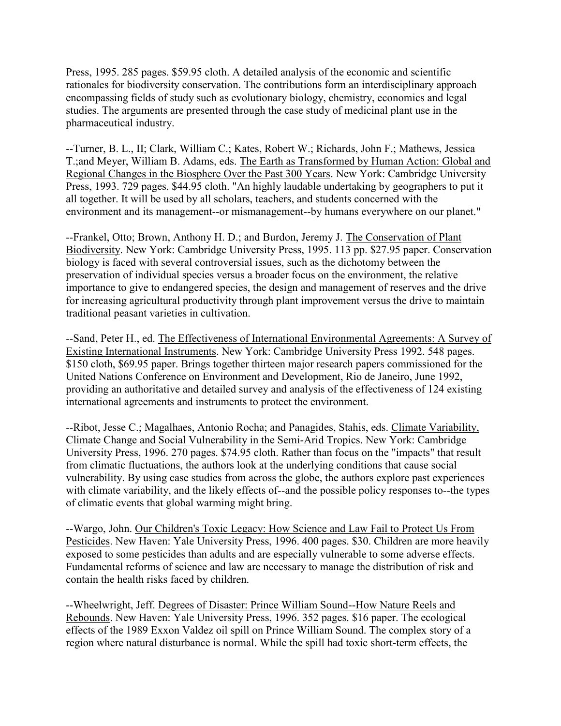Press, 1995. 285 pages. \$59.95 cloth. A detailed analysis of the economic and scientific rationales for biodiversity conservation. The contributions form an interdisciplinary approach encompassing fields of study such as evolutionary biology, chemistry, economics and legal studies. The arguments are presented through the case study of medicinal plant use in the pharmaceutical industry.

--Turner, B. L., II; Clark, William C.; Kates, Robert W.; Richards, John F.; Mathews, Jessica T.;and Meyer, William B. Adams, eds. The Earth as Transformed by Human Action: Global and Regional Changes in the Biosphere Over the Past 300 Years. New York: Cambridge University Press, 1993. 729 pages. \$44.95 cloth. "An highly laudable undertaking by geographers to put it all together. It will be used by all scholars, teachers, and students concerned with the environment and its management--or mismanagement--by humans everywhere on our planet."

--Frankel, Otto; Brown, Anthony H. D.; and Burdon, Jeremy J. The Conservation of Plant Biodiversity. New York: Cambridge University Press, 1995. 113 pp. \$27.95 paper. Conservation biology is faced with several controversial issues, such as the dichotomy between the preservation of individual species versus a broader focus on the environment, the relative importance to give to endangered species, the design and management of reserves and the drive for increasing agricultural productivity through plant improvement versus the drive to maintain traditional peasant varieties in cultivation.

--Sand, Peter H., ed. The Effectiveness of International Environmental Agreements: A Survey of Existing International Instruments. New York: Cambridge University Press 1992. 548 pages. \$150 cloth, \$69.95 paper. Brings together thirteen major research papers commissioned for the United Nations Conference on Environment and Development, Rio de Janeiro, June 1992, providing an authoritative and detailed survey and analysis of the effectiveness of 124 existing international agreements and instruments to protect the environment.

--Ribot, Jesse C.; Magalhaes, Antonio Rocha; and Panagides, Stahis, eds. Climate Variability, Climate Change and Social Vulnerability in the Semi-Arid Tropics. New York: Cambridge University Press, 1996. 270 pages. \$74.95 cloth. Rather than focus on the "impacts" that result from climatic fluctuations, the authors look at the underlying conditions that cause social vulnerability. By using case studies from across the globe, the authors explore past experiences with climate variability, and the likely effects of--and the possible policy responses to--the types of climatic events that global warming might bring.

--Wargo, John. Our Children's Toxic Legacy: How Science and Law Fail to Protect Us From Pesticides. New Haven: Yale University Press, 1996. 400 pages. \$30. Children are more heavily exposed to some pesticides than adults and are especially vulnerable to some adverse effects. Fundamental reforms of science and law are necessary to manage the distribution of risk and contain the health risks faced by children.

--Wheelwright, Jeff. Degrees of Disaster: Prince William Sound--How Nature Reels and Rebounds. New Haven: Yale University Press, 1996. 352 pages. \$16 paper. The ecological effects of the 1989 Exxon Valdez oil spill on Prince William Sound. The complex story of a region where natural disturbance is normal. While the spill had toxic short-term effects, the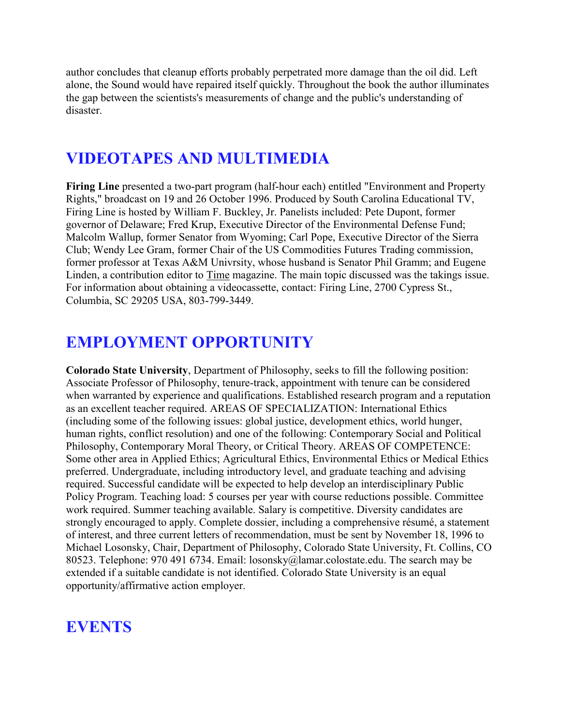author concludes that cleanup efforts probably perpetrated more damage than the oil did. Left alone, the Sound would have repaired itself quickly. Throughout the book the author illuminates the gap between the scientists's measurements of change and the public's understanding of disaster.

# **VIDEOTAPES AND MULTIMEDIA**

**Firing Line** presented a two-part program (half-hour each) entitled "Environment and Property Rights," broadcast on 19 and 26 October 1996. Produced by South Carolina Educational TV, Firing Line is hosted by William F. Buckley, Jr. Panelists included: Pete Dupont, former governor of Delaware; Fred Krup, Executive Director of the Environmental Defense Fund; Malcolm Wallup, former Senator from Wyoming; Carl Pope, Executive Director of the Sierra Club; Wendy Lee Gram, former Chair of the US Commodities Futures Trading commission, former professor at Texas A&M Univrsity, whose husband is Senator Phil Gramm; and Eugene Linden, a contribution editor to Time magazine. The main topic discussed was the takings issue. For information about obtaining a videocassette, contact: Firing Line, 2700 Cypress St., Columbia, SC 29205 USA, 803-799-3449.

# **EMPLOYMENT OPPORTUNITY**

**Colorado State University**, Department of Philosophy, seeks to fill the following position: Associate Professor of Philosophy, tenure-track, appointment with tenure can be considered when warranted by experience and qualifications. Established research program and a reputation as an excellent teacher required. AREAS OF SPECIALIZATION: International Ethics (including some of the following issues: global justice, development ethics, world hunger, human rights, conflict resolution) and one of the following: Contemporary Social and Political Philosophy, Contemporary Moral Theory, or Critical Theory. AREAS OF COMPETENCE: Some other area in Applied Ethics; Agricultural Ethics, Environmental Ethics or Medical Ethics preferred. Undergraduate, including introductory level, and graduate teaching and advising required. Successful candidate will be expected to help develop an interdisciplinary Public Policy Program. Teaching load: 5 courses per year with course reductions possible. Committee work required. Summer teaching available. Salary is competitive. Diversity candidates are strongly encouraged to apply. Complete dossier, including a comprehensive résumé, a statement of interest, and three current letters of recommendation, must be sent by November 18, 1996 to Michael Losonsky, Chair, Department of Philosophy, Colorado State University, Ft. Collins, CO 80523. Telephone: 970 491 6734. Email: losonsky@lamar.colostate.edu. The search may be extended if a suitable candidate is not identified. Colorado State University is an equal opportunity/affirmative action employer.

# **EVENTS**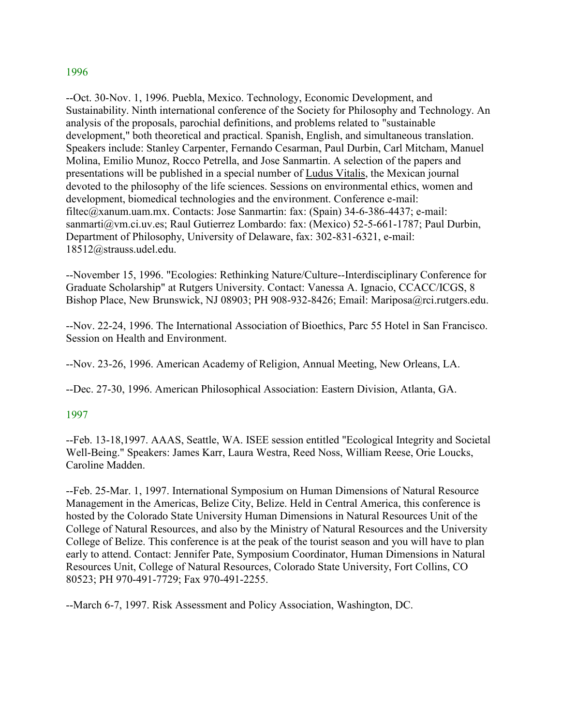#### 1996

--Oct. 30-Nov. 1, 1996. Puebla, Mexico. Technology, Economic Development, and Sustainability. Ninth international conference of the Society for Philosophy and Technology. An analysis of the proposals, parochial definitions, and problems related to "sustainable development," both theoretical and practical. Spanish, English, and simultaneous translation. Speakers include: Stanley Carpenter, Fernando Cesarman, Paul Durbin, Carl Mitcham, Manuel Molina, Emilio Munoz, Rocco Petrella, and Jose Sanmartin. A selection of the papers and presentations will be published in a special number of Ludus Vitalis, the Mexican journal devoted to the philosophy of the life sciences. Sessions on environmental ethics, women and development, biomedical technologies and the environment. Conference e-mail: filtec@xanum.uam.mx. Contacts: Jose Sanmartin: fax: (Spain) 34-6-386-4437; e-mail: sanmarti@vm.ci.uv.es; Raul Gutierrez Lombardo: fax: (Mexico) 52-5-661-1787; Paul Durbin, Department of Philosophy, University of Delaware, fax: 302-831-6321, e-mail: 18512@strauss.udel.edu.

--November 15, 1996. "Ecologies: Rethinking Nature/Culture--Interdisciplinary Conference for Graduate Scholarship" at Rutgers University. Contact: Vanessa A. Ignacio, CCACC/ICGS, 8 Bishop Place, New Brunswick, NJ 08903; PH 908-932-8426; Email: Mariposa@rci.rutgers.edu.

--Nov. 22-24, 1996. The International Association of Bioethics, Parc 55 Hotel in San Francisco. Session on Health and Environment.

--Nov. 23-26, 1996. American Academy of Religion, Annual Meeting, New Orleans, LA.

--Dec. 27-30, 1996. American Philosophical Association: Eastern Division, Atlanta, GA.

### 1997

--Feb. 13-18,1997. AAAS, Seattle, WA. ISEE session entitled "Ecological Integrity and Societal Well-Being." Speakers: James Karr, Laura Westra, Reed Noss, William Reese, Orie Loucks, Caroline Madden.

--Feb. 25-Mar. 1, 1997. International Symposium on Human Dimensions of Natural Resource Management in the Americas, Belize City, Belize. Held in Central America, this conference is hosted by the Colorado State University Human Dimensions in Natural Resources Unit of the College of Natural Resources, and also by the Ministry of Natural Resources and the University College of Belize. This conference is at the peak of the tourist season and you will have to plan early to attend. Contact: Jennifer Pate, Symposium Coordinator, Human Dimensions in Natural Resources Unit, College of Natural Resources, Colorado State University, Fort Collins, CO 80523; PH 970-491-7729; Fax 970-491-2255.

--March 6-7, 1997. Risk Assessment and Policy Association, Washington, DC.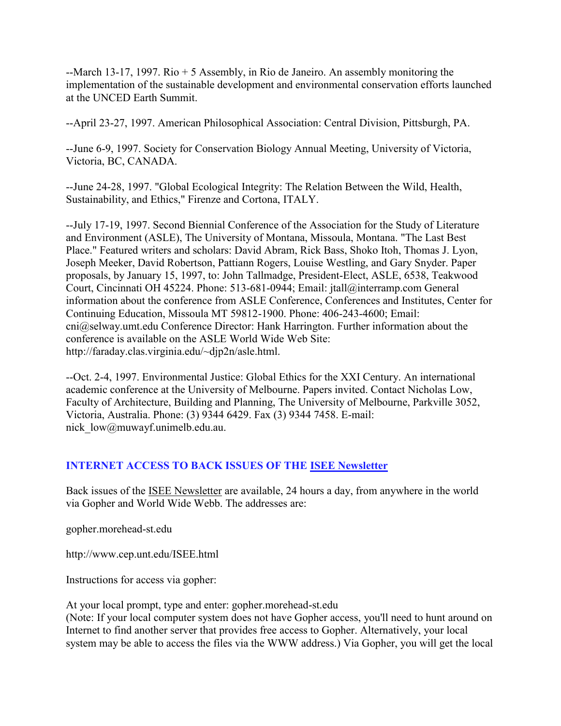--March 13-17, 1997. Rio + 5 Assembly, in Rio de Janeiro. An assembly monitoring the implementation of the sustainable development and environmental conservation efforts launched at the UNCED Earth Summit.

--April 23-27, 1997. American Philosophical Association: Central Division, Pittsburgh, PA.

--June 6-9, 1997. Society for Conservation Biology Annual Meeting, University of Victoria, Victoria, BC, CANADA.

--June 24-28, 1997. "Global Ecological Integrity: The Relation Between the Wild, Health, Sustainability, and Ethics," Firenze and Cortona, ITALY.

--July 17-19, 1997. Second Biennial Conference of the Association for the Study of Literature and Environment (ASLE), The University of Montana, Missoula, Montana. "The Last Best Place." Featured writers and scholars: David Abram, Rick Bass, Shoko Itoh, Thomas J. Lyon, Joseph Meeker, David Robertson, Pattiann Rogers, Louise Westling, and Gary Snyder. Paper proposals, by January 15, 1997, to: John Tallmadge, President-Elect, ASLE, 6538, Teakwood Court, Cincinnati OH 45224. Phone: 513-681-0944; Email: jtall@interramp.com General information about the conference from ASLE Conference, Conferences and Institutes, Center for Continuing Education, Missoula MT 59812-1900. Phone: 406-243-4600; Email: cni@selway.umt.edu Conference Director: Hank Harrington. Further information about the conference is available on the ASLE World Wide Web Site: http://faraday.clas.virginia.edu/~djp2n/asle.html.

--Oct. 2-4, 1997. Environmental Justice: Global Ethics for the XXI Century. An international academic conference at the University of Melbourne. Papers invited. Contact Nicholas Low, Faculty of Architecture, Building and Planning, The University of Melbourne, Parkville 3052, Victoria, Australia. Phone: (3) 9344 6429. Fax (3) 9344 7458. E-mail: nick low@muwayf.unimelb.edu.au.

## **INTERNET ACCESS TO BACK ISSUES OF THE ISEE Newsletter**

Back issues of the ISEE Newsletter are available, 24 hours a day, from anywhere in the world via Gopher and World Wide Webb. The addresses are:

gopher.morehead-st.edu

http://www.cep.unt.edu/ISEE.html

Instructions for access via gopher:

At your local prompt, type and enter: gopher.morehead-st.edu

(Note: If your local computer system does not have Gopher access, you'll need to hunt around on Internet to find another server that provides free access to Gopher. Alternatively, your local system may be able to access the files via the WWW address.) Via Gopher, you will get the local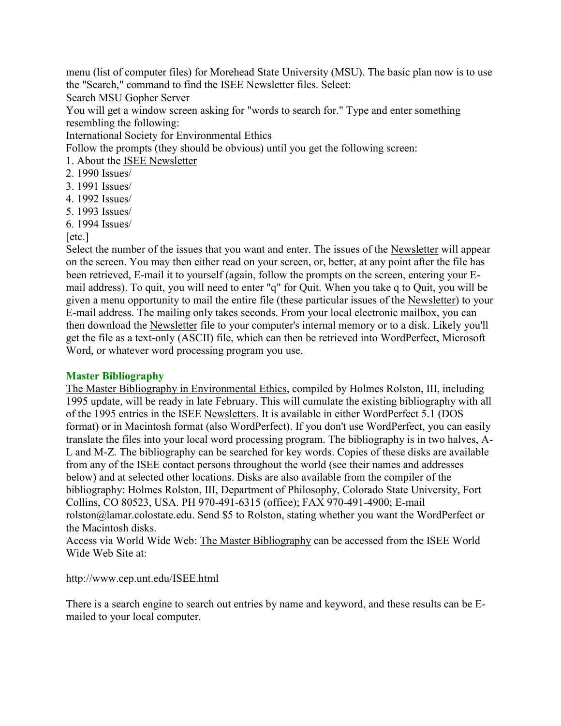menu (list of computer files) for Morehead State University (MSU). The basic plan now is to use the "Search," command to find the ISEE Newsletter files. Select:

Search MSU Gopher Server

You will get a window screen asking for "words to search for." Type and enter something resembling the following:

International Society for Environmental Ethics

Follow the prompts (they should be obvious) until you get the following screen:

- 1. About the ISEE Newsletter
- 2. 1990 Issues/
- 3. 1991 Issues/
- 4. 1992 Issues/
- 5. 1993 Issues/
- 6. 1994 Issues/

[etc.]

Select the number of the issues that you want and enter. The issues of the Newsletter will appear on the screen. You may then either read on your screen, or, better, at any point after the file has been retrieved, E-mail it to yourself (again, follow the prompts on the screen, entering your Email address). To quit, you will need to enter "q" for Quit. When you take q to Quit, you will be given a menu opportunity to mail the entire file (these particular issues of the Newsletter) to your E-mail address. The mailing only takes seconds. From your local electronic mailbox, you can then download the Newsletter file to your computer's internal memory or to a disk. Likely you'll get the file as a text-only (ASCII) file, which can then be retrieved into WordPerfect, Microsoft Word, or whatever word processing program you use.

#### **Master Bibliography**

The Master Bibliography in Environmental Ethics, compiled by Holmes Rolston, III, including 1995 update, will be ready in late February. This will cumulate the existing bibliography with all of the 1995 entries in the ISEE Newsletters. It is available in either WordPerfect 5.1 (DOS format) or in Macintosh format (also WordPerfect). If you don't use WordPerfect, you can easily translate the files into your local word processing program. The bibliography is in two halves, A-L and M-Z. The bibliography can be searched for key words. Copies of these disks are available from any of the ISEE contact persons throughout the world (see their names and addresses below) and at selected other locations. Disks are also available from the compiler of the bibliography: Holmes Rolston, III, Department of Philosophy, Colorado State University, Fort Collins, CO 80523, USA. PH 970-491-6315 (office); FAX 970-491-4900; E-mail rolston@lamar.colostate.edu. Send \$5 to Rolston, stating whether you want the WordPerfect or the Macintosh disks.

Access via World Wide Web: The Master Bibliography can be accessed from the ISEE World Wide Web Site at:

http://www.cep.unt.edu/ISEE.html

There is a search engine to search out entries by name and keyword, and these results can be Emailed to your local computer.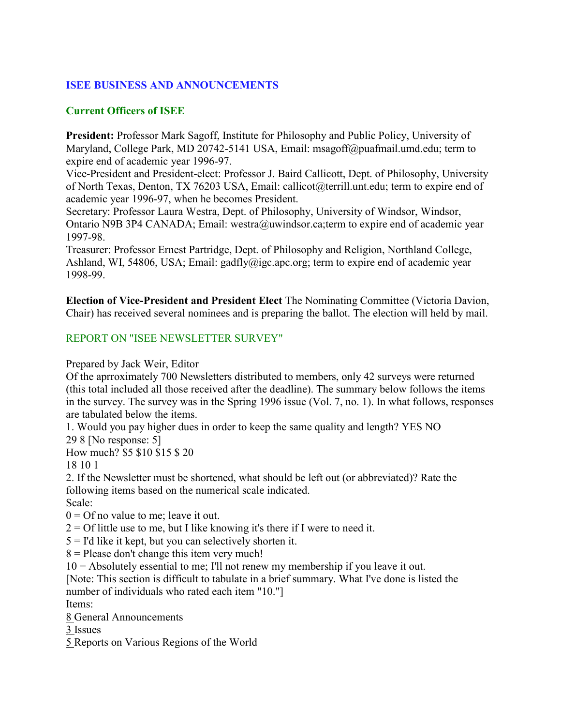### **ISEE BUSINESS AND ANNOUNCEMENTS**

### **Current Officers of ISEE**

**President:** Professor Mark Sagoff, Institute for Philosophy and Public Policy, University of Maryland, College Park, MD 20742-5141 USA, Email: msagoff@puafmail.umd.edu; term to expire end of academic year 1996-97.

Vice-President and President-elect: Professor J. Baird Callicott, Dept. of Philosophy, University of North Texas, Denton, TX 76203 USA, Email: callicot@terrill.unt.edu; term to expire end of academic year 1996-97, when he becomes President.

Secretary: Professor Laura Westra, Dept. of Philosophy, University of Windsor, Windsor, Ontario N9B 3P4 CANADA; Email: westra@uwindsor.ca;term to expire end of academic year 1997-98.

Treasurer: Professor Ernest Partridge, Dept. of Philosophy and Religion, Northland College, Ashland, WI, 54806, USA; Email: gadfly@igc.apc.org; term to expire end of academic year 1998-99.

**Election of Vice-President and President Elect** The Nominating Committee (Victoria Davion, Chair) has received several nominees and is preparing the ballot. The election will held by mail.

### REPORT ON "ISEE NEWSLETTER SURVEY"

Prepared by Jack Weir, Editor

Of the aprroximately 700 Newsletters distributed to members, only 42 surveys were returned (this total included all those received after the deadline). The summary below follows the items in the survey. The survey was in the Spring 1996 issue (Vol. 7, no. 1). In what follows, responses are tabulated below the items.

1. Would you pay higher dues in order to keep the same quality and length? YES NO 29 8 [No response: 5]

How much? \$5 \$10 \$15 \$ 20

18 10 1

2. If the Newsletter must be shortened, what should be left out (or abbreviated)? Rate the following items based on the numerical scale indicated.

Scale:

 $0 = \text{Of}$  no value to me; leave it out.

 $2 =$  Of little use to me, but I like knowing it's there if I were to need it.

 $5 =$  I'd like it kept, but you can selectively shorten it.

 $8$  = Please don't change this item very much!

10 = Absolutely essential to me; I'll not renew my membership if you leave it out.

[Note: This section is difficult to tabulate in a brief summary. What I've done is listed the number of individuals who rated each item "10."]

Items:

8 General Announcements

3 Issues

5 Reports on Various Regions of the World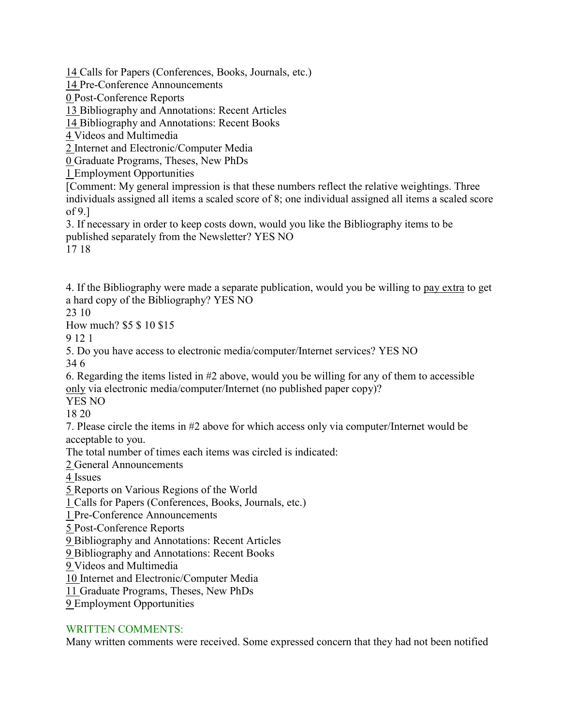14 Calls for Papers (Conferences, Books, Journals, etc.)

14 Pre-Conference Announcements

0 Post-Conference Reports

13 Bibliography and Annotations: Recent Articles

14 Bibliography and Annotations: Recent Books

4 Videos and Multimedia

2 Internet and Electronic/Computer Media

0 Graduate Programs, Theses, New PhDs

1 Employment Opportunities

[Comment: My general impression is that these numbers reflect the relative weightings. Three individuals assigned all items a scaled score of 8; one individual assigned all items a scaled score of 9.]

3. If necessary in order to keep costs down, would you like the Bibliography items to be published separately from the Newsletter? YES NO

17 18

4. If the Bibliography were made a separate publication, would you be willing to pay extra to get a hard copy of the Bibliography? YES NO

23 10

How much? \$5 \$ 10 \$15

9 12 1

5. Do you have access to electronic media/computer/Internet services? YES NO

34 6

6. Regarding the items listed in #2 above, would you be willing for any of them to accessible only via electronic media/computer/Internet (no published paper copy)?

YES NO

18 20

7. Please circle the items in #2 above for which access only via computer/Internet would be acceptable to you.

The total number of times each items was circled is indicated:

2 General Announcements

4 Issues

5 Reports on Various Regions of the World

1 Calls for Papers (Conferences, Books, Journals, etc.)

1 Pre-Conference Announcements

5 Post-Conference Reports

9 Bibliography and Annotations: Recent Articles

9 Bibliography and Annotations: Recent Books

9 Videos and Multimedia

10 Internet and Electronic/Computer Media

11 Graduate Programs, Theses, New PhDs

9 Employment Opportunities

### WRITTEN COMMENTS:

Many written comments were received. Some expressed concern that they had not been notified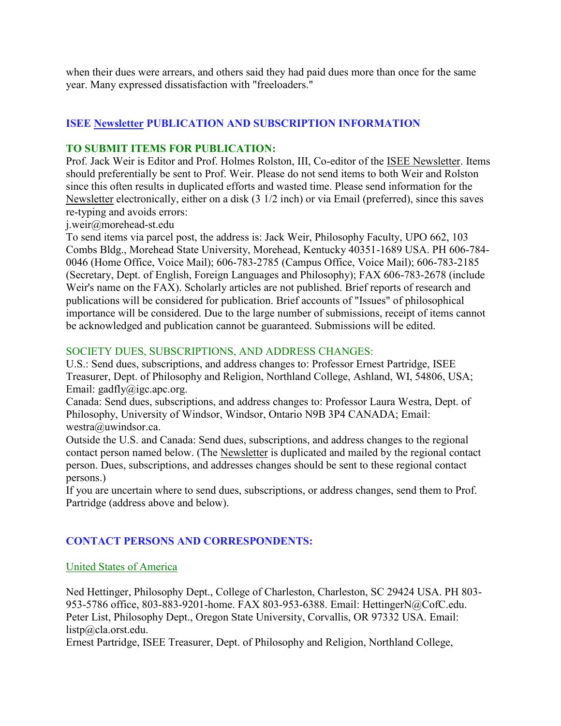when their dues were arrears, and others said they had paid dues more than once for the same year. Many expressed dissatisfaction with "freeloaders."

### **ISEE Newsletter PUBLICATION AND SUBSCRIPTION INFORMATION**

#### **TO SUBMIT ITEMS FOR PUBLICATION:**

Prof. Jack Weir is Editor and Prof. Holmes Rolston, III, Co-editor of the ISEE Newsletter. Items should preferentially be sent to Prof. Weir. Please do not send items to both Weir and Rolston since this often results in duplicated efforts and wasted time. Please send information for the Newsletter electronically, either on a disk (3 1/2 inch) or via Email (preferred), since this saves re-typing and avoids errors:

j.weir@morehead-st.edu

To send items via parcel post, the address is: Jack Weir, Philosophy Faculty, UPO 662, 103 Combs Bldg., Morehead State University, Morehead, Kentucky 40351-1689 USA. PH 606-784- 0046 (Home Office, Voice Mail); 606-783-2785 (Campus Office, Voice Mail); 606-783-2185 (Secretary, Dept. of English, Foreign Languages and Philosophy); FAX 606-783-2678 (include Weir's name on the FAX). Scholarly articles are not published. Brief reports of research and publications will be considered for publication. Brief accounts of "Issues" of philosophical importance will be considered. Due to the large number of submissions, receipt of items cannot be acknowledged and publication cannot be guaranteed. Submissions will be edited.

#### SOCIETY DUES, SUBSCRIPTIONS, AND ADDRESS CHANGES:

U.S.: Send dues, subscriptions, and address changes to: Professor Ernest Partridge, ISEE Treasurer, Dept. of Philosophy and Religion, Northland College, Ashland, WI, 54806, USA; Email: gadfly@igc.apc.org.

Canada: Send dues, subscriptions, and address changes to: Professor Laura Westra, Dept. of Philosophy, University of Windsor, Windsor, Ontario N9B 3P4 CANADA; Email: westra@uwindsor.ca.

Outside the U.S. and Canada: Send dues, subscriptions, and address changes to the regional contact person named below. (The Newsletter is duplicated and mailed by the regional contact person. Dues, subscriptions, and addresses changes should be sent to these regional contact persons.)

If you are uncertain where to send dues, subscriptions, or address changes, send them to Prof. Partridge (address above and below).

### **CONTACT PERSONS AND CORRESPONDENTS:**

#### United States of America

Ned Hettinger, Philosophy Dept., College of Charleston, Charleston, SC 29424 USA. PH 803- 953-5786 office, 803-883-9201-home. FAX 803-953-6388. Email: HettingerN@CofC.edu. Peter List, Philosophy Dept., Oregon State University, Corvallis, OR 97332 USA. Email: listp@cla.orst.edu.

Ernest Partridge, ISEE Treasurer, Dept. of Philosophy and Religion, Northland College,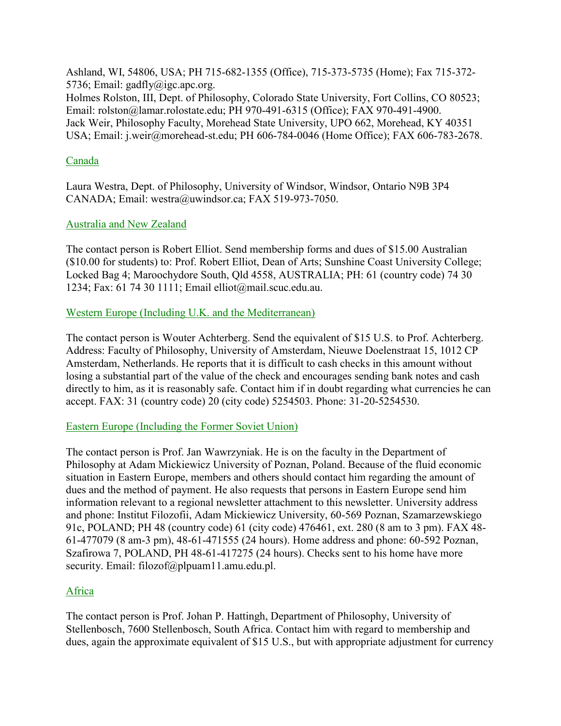Ashland, WI, 54806, USA; PH 715-682-1355 (Office), 715-373-5735 (Home); Fax 715-372- 5736; Email: gadfly@igc.apc.org. Holmes Rolston, III, Dept. of Philosophy, Colorado State University, Fort Collins, CO 80523; Email: rolston@lamar.rolostate.edu; PH 970-491-6315 (Office); FAX 970-491-4900. Jack Weir, Philosophy Faculty, Morehead State University, UPO 662, Morehead, KY 40351 USA; Email: j.weir@morehead-st.edu; PH 606-784-0046 (Home Office); FAX 606-783-2678.

#### Canada

Laura Westra, Dept. of Philosophy, University of Windsor, Windsor, Ontario N9B 3P4 CANADA; Email: westra@uwindsor.ca; FAX 519-973-7050.

#### Australia and New Zealand

The contact person is Robert Elliot. Send membership forms and dues of \$15.00 Australian (\$10.00 for students) to: Prof. Robert Elliot, Dean of Arts; Sunshine Coast University College; Locked Bag 4; Maroochydore South, Qld 4558, AUSTRALIA; PH: 61 (country code) 74 30 1234; Fax: 61 74 30 1111; Email elliot@mail.scuc.edu.au.

#### Western Europe (Including U.K. and the Mediterranean)

The contact person is Wouter Achterberg. Send the equivalent of \$15 U.S. to Prof. Achterberg. Address: Faculty of Philosophy, University of Amsterdam, Nieuwe Doelenstraat 15, 1012 CP Amsterdam, Netherlands. He reports that it is difficult to cash checks in this amount without losing a substantial part of the value of the check and encourages sending bank notes and cash directly to him, as it is reasonably safe. Contact him if in doubt regarding what currencies he can accept. FAX: 31 (country code) 20 (city code) 5254503. Phone: 31-20-5254530.

#### Eastern Europe (Including the Former Soviet Union)

The contact person is Prof. Jan Wawrzyniak. He is on the faculty in the Department of Philosophy at Adam Mickiewicz University of Poznan, Poland. Because of the fluid economic situation in Eastern Europe, members and others should contact him regarding the amount of dues and the method of payment. He also requests that persons in Eastern Europe send him information relevant to a regional newsletter attachment to this newsletter. University address and phone: Institut Filozofii, Adam Mickiewicz University, 60-569 Poznan, Szamarzewskiego 91c, POLAND; PH 48 (country code) 61 (city code) 476461, ext. 280 (8 am to 3 pm). FAX 48- 61-477079 (8 am-3 pm), 48-61-471555 (24 hours). Home address and phone: 60-592 Poznan, Szafirowa 7, POLAND, PH 48-61-417275 (24 hours). Checks sent to his home have more security. Email: filozof@plpuam11.amu.edu.pl.

### Africa

The contact person is Prof. Johan P. Hattingh, Department of Philosophy, University of Stellenbosch, 7600 Stellenbosch, South Africa. Contact him with regard to membership and dues, again the approximate equivalent of \$15 U.S., but with appropriate adjustment for currency